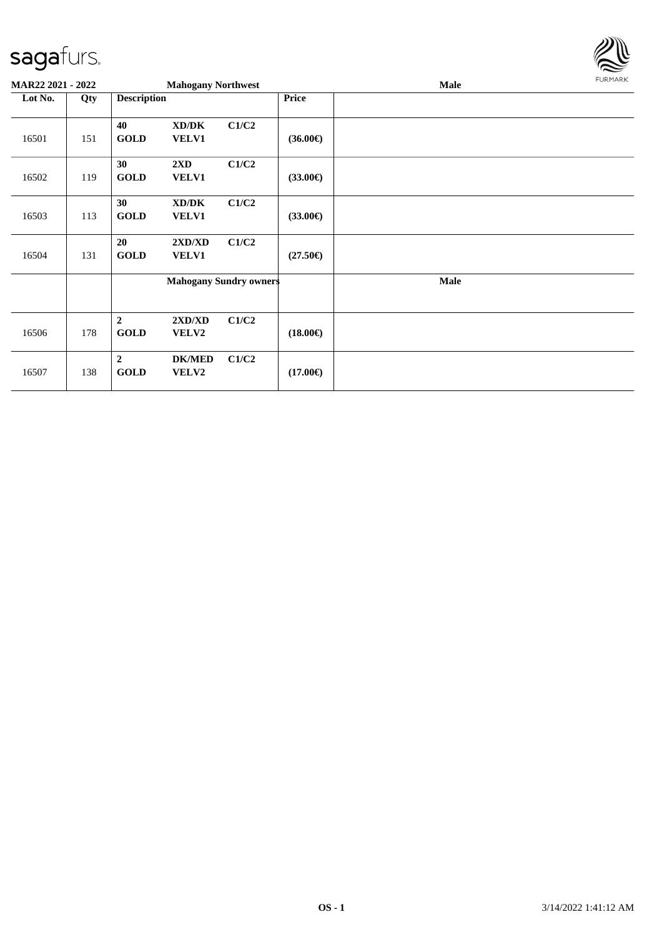

| MAR22 2021 - 2022 |     |                                 | <b>Mahogany Northwest</b>               |       |                   | Male | <b>FURMARK</b> |
|-------------------|-----|---------------------------------|-----------------------------------------|-------|-------------------|------|----------------|
| Lot No.           | Qty | <b>Description</b>              |                                         |       | Price             |      |                |
| 16501             | 151 | 40<br><b>GOLD</b>               | XD/DK<br><b>VELV1</b>                   | C1/C2 | $(36.00\epsilon)$ |      |                |
| 16502             | 119 | 30<br><b>GOLD</b>               | $2\mathbf{X}\mathbf{D}$<br><b>VELV1</b> | C1/C2 | $(33.00\epsilon)$ |      |                |
| 16503             | 113 | 30<br><b>GOLD</b>               | XD/DK<br><b>VELV1</b>                   | C1/C2 | $(33.00\epsilon)$ |      |                |
| 16504             | 131 | 20<br><b>GOLD</b>               | 2XD/XD<br><b>VELV1</b>                  | C1/C2 | $(27.50\epsilon)$ |      |                |
|                   |     |                                 | <b>Mahogany Sundry owners</b>           |       |                   | Male |                |
| 16506             | 178 | $\boldsymbol{2}$<br><b>GOLD</b> | 2XD/XD<br>VELV2                         | C1/C2 | $(18.00\epsilon)$ |      |                |
| 16507             | 138 | $\overline{2}$<br><b>GOLD</b>   | <b>DK/MED</b><br><b>VELV2</b>           | C1/C2 | $(17.00\epsilon)$ |      |                |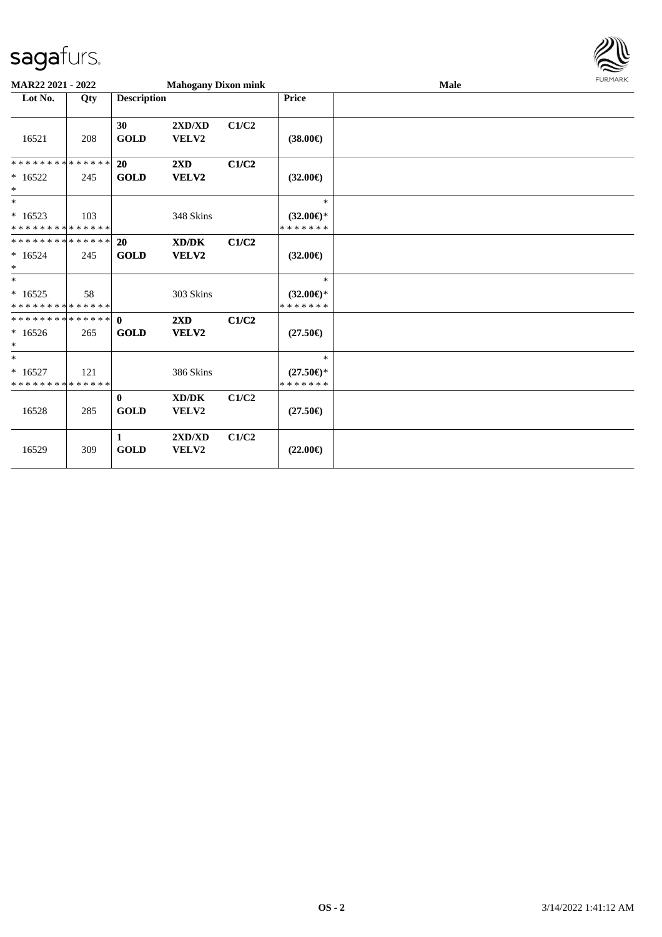

| <b>MAR22 2021 - 2022</b>                            |     |                             | <b>Mahogany Dixon mink</b>       |       |                                                | Male | <b>FURMARK</b> |
|-----------------------------------------------------|-----|-----------------------------|----------------------------------|-------|------------------------------------------------|------|----------------|
| Lot No.                                             | Qty | <b>Description</b>          |                                  |       | <b>Price</b>                                   |      |                |
| 16521                                               | 208 | 30<br><b>GOLD</b>           | 2XD/XD<br>VELV2                  | C1/C2 | $(38.00\epsilon)$                              |      |                |
| * * * * * * * * * * * * * * *<br>$*16522$<br>$*$    | 245 | 20<br><b>GOLD</b>           | $2\mathbf{X}\mathbf{D}$<br>VELV2 | C1/C2 | $(32.00\epsilon)$                              |      |                |
| $*$<br>$*16523$<br>* * * * * * * * * * * * * *      | 103 |                             | 348 Skins                        |       | $*$<br>$(32.00\epsilon)$ *<br>* * * * * * *    |      |                |
| * * * * * * * * * * * * * * *<br>$*16524$<br>$\ast$ | 245 | 20<br><b>GOLD</b>           | XD/DK<br>VELV2                   | C1/C2 | $(32.00\epsilon)$                              |      |                |
| $*$<br>$*16525$<br>* * * * * * * * * * * * * * *    | 58  |                             | 303 Skins                        |       | $\ast$<br>$(32.00\epsilon)$ *<br>* * * * * * * |      |                |
| $*16526$<br>$*$                                     | 265 | <b>GOLD</b>                 | $2\mathbf{X}\mathbf{D}$<br>VELV2 | C1/C2 | $(27.50\epsilon)$                              |      |                |
| $*$<br>$*16527$<br>* * * * * * * * * * * * * *      | 121 |                             | 386 Skins                        |       | $\ast$<br>$(27.50\epsilon)$ *<br>* * * * * * * |      |                |
| 16528                                               | 285 | $\mathbf{0}$<br><b>GOLD</b> | XD/DK<br>VELV2                   | C1/C2 | $(27.50\epsilon)$                              |      |                |
| 16529                                               | 309 | 1<br><b>GOLD</b>            | 2XD/XD<br>VELV2                  | C1/C2 | $(22.00\epsilon)$                              |      |                |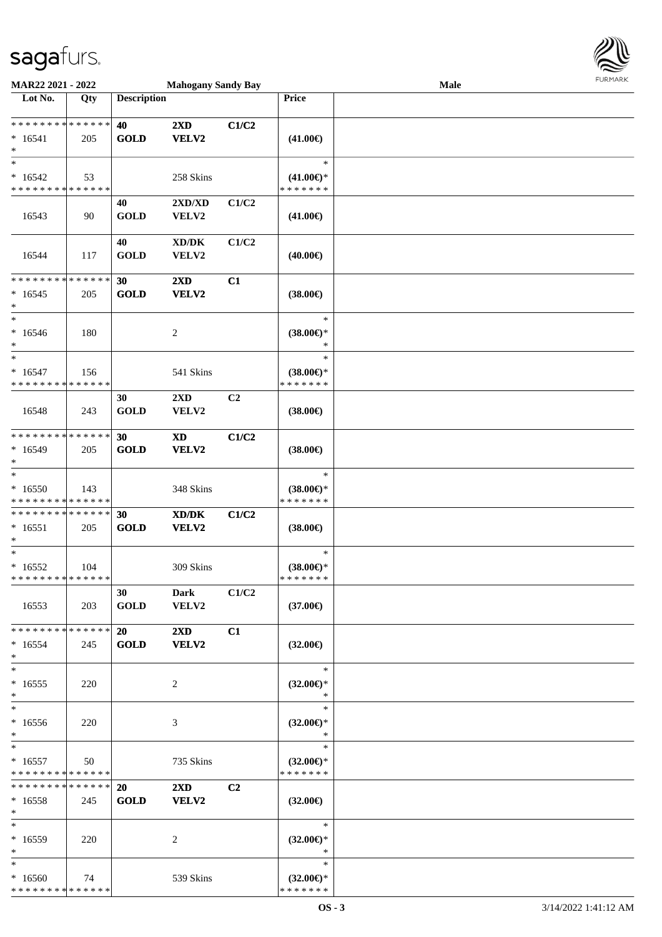

| MAR22 2021 - 2022                                   |     |                          | <b>Mahogany Sandy Bay</b>                    |                |                                                   | Male |  |
|-----------------------------------------------------|-----|--------------------------|----------------------------------------------|----------------|---------------------------------------------------|------|--|
| Lot No.                                             | Qty | <b>Description</b>       |                                              |                | Price                                             |      |  |
| **************<br>$*16541$<br>$\ast$                | 205 | 40<br><b>GOLD</b>        | $2\mathbf{X}\mathbf{D}$<br>VELV2             | C1/C2          | $(41.00\epsilon)$                                 |      |  |
| $\ast$<br>$*16542$<br>* * * * * * * * * * * * * *   | 53  |                          | 258 Skins                                    |                | $\ast$<br>$(41.00\epsilon)$ *<br>* * * * * * *    |      |  |
| 16543                                               | 90  | 40<br><b>GOLD</b>        | 2XD/XD<br>VELV2                              | C1/C2          | $(41.00\epsilon)$                                 |      |  |
| 16544                                               | 117 | 40<br><b>GOLD</b>        | $\bold{X}\bold{D}/\bold{D}\bold{K}$<br>VELV2 | C1/C2          | $(40.00\epsilon)$                                 |      |  |
| * * * * * * * * * * * * * *<br>$*16545$<br>$\ast$   | 205 | 30<br><b>GOLD</b>        | 2XD<br>VELV2                                 | C1             | $(38.00\epsilon)$                                 |      |  |
| $\ast$<br>$*16546$<br>$\ast$<br>$\ast$              | 180 |                          | $\overline{c}$                               |                | $\ast$<br>$(38.00\epsilon)$ *<br>$\ast$<br>$\ast$ |      |  |
| $* 16547$<br>* * * * * * * * * * * * * *            | 156 |                          | 541 Skins                                    |                | $(38.00\epsilon)$ *<br>* * * * * * *              |      |  |
| 16548                                               | 243 | 30<br><b>GOLD</b>        | 2XD<br>VELV2                                 | C <sub>2</sub> | $(38.00\epsilon)$                                 |      |  |
| * * * * * * * * * * * * * *<br>$*16549$<br>$\ast$   | 205 | 30<br><b>GOLD</b>        | $\boldsymbol{\mathrm{XD}}$<br>VELV2          | C1/C2          | $(38.00\epsilon)$                                 |      |  |
| $\ast$<br>$*16550$<br>* * * * * * * * * * * * * *   | 143 |                          | 348 Skins                                    |                | $\ast$<br>$(38.00\epsilon)$ *<br>* * * * * * *    |      |  |
| * * * * * * * * * * * * * *<br>$*16551$<br>$\ast$   | 205 | 30<br><b>GOLD</b>        | XD/DK<br>VELV2                               | C1/C2          | $(38.00\epsilon)$                                 |      |  |
| $\ast$<br>$*16552$<br>**************                | 104 |                          | 309 Skins                                    |                | $\ast$<br>$(38.00\epsilon)$ *<br>*******          |      |  |
| 16553                                               | 203 | 30<br><b>GOLD</b>        | Dark<br>VELV2                                | C1/C2          | $(37.00\epsilon)$                                 |      |  |
| * * * * * * * * * * * * * * *<br>$*16554$<br>$\ast$ | 245 | 20<br><b>GOLD</b>        | $2\mathbf{X}\mathbf{D}$<br>VELV2             | C1             | $(32.00\epsilon)$                                 |      |  |
| $\ast$<br>$*16555$<br>$\ast$                        | 220 |                          | 2                                            |                | $\ast$<br>$(32.00\epsilon)$ *<br>$\ast$           |      |  |
| $\ast$<br>$*16556$<br>$\ast$                        | 220 |                          | 3                                            |                | $\ast$<br>$(32.00\epsilon)$ *<br>$\ast$           |      |  |
| $\ast$<br>$*16557$<br>* * * * * * * * * * * * * *   | 50  |                          | 735 Skins                                    |                | $\ast$<br>$(32.00\epsilon)$ *<br>* * * * * * *    |      |  |
| **************<br>$*16558$<br>$\ast$                | 245 | <b>20</b><br><b>GOLD</b> | $2\mathbf{X}\mathbf{D}$<br>VELV2             | C <sub>2</sub> | $(32.00\epsilon)$                                 |      |  |
| $*$<br>$*16559$<br>$\ast$                           | 220 |                          | 2                                            |                | $\ast$<br>$(32.00\epsilon)$ *<br>$\ast$           |      |  |
| $\ast$<br>$*16560$<br>* * * * * * * * * * * * * *   | 74  |                          | 539 Skins                                    |                | $\ast$<br>$(32.00\epsilon)$ *<br>* * * * * * *    |      |  |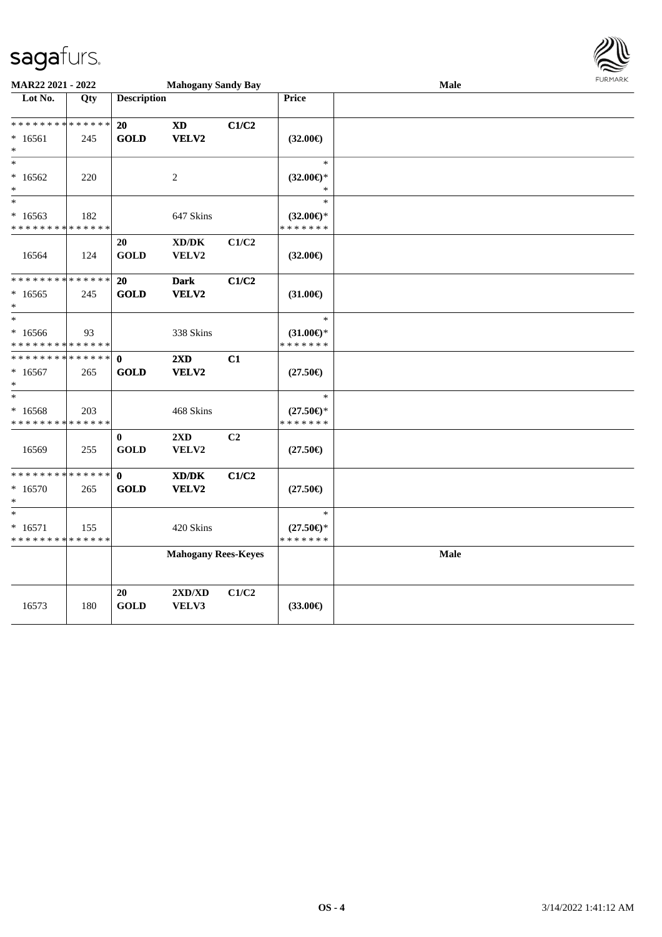

| MAR22 2021 - 2022                                  |     |                             | <b>Mahogany Sandy Bay</b>                                            |       |                                                | Male |  |  |  |  |
|----------------------------------------------------|-----|-----------------------------|----------------------------------------------------------------------|-------|------------------------------------------------|------|--|--|--|--|
| Lot No.                                            | Qty | <b>Description</b>          |                                                                      |       | Price                                          |      |  |  |  |  |
| * * * * * * * * * * * * * *<br>$*16561$<br>$\ast$  | 245 | 20<br><b>GOLD</b>           | $\boldsymbol{\mathrm{XD}}$<br>VELV2                                  | C1/C2 | $(32.00\epsilon)$                              |      |  |  |  |  |
| $\ast$<br>$*16562$<br>$\ast$                       | 220 |                             | $\boldsymbol{2}$                                                     |       | $\ast$<br>$(32.00\epsilon)$ *<br>$\ast$        |      |  |  |  |  |
| $\ast$<br>$*16563$<br>* * * * * * * * * * * * * *  | 182 |                             | 647 Skins                                                            |       | $\ast$<br>$(32.00\epsilon)$ *<br>* * * * * * * |      |  |  |  |  |
| 16564                                              | 124 | 20<br><b>GOLD</b>           | $\bold{X}\bold{D}/\bold{D}\bold{K}$<br>VELV2                         | C1/C2 | $(32.00\epsilon)$                              |      |  |  |  |  |
| * * * * * * * * * * * * * *<br>$*16565$<br>$\ast$  | 245 | 20<br><b>GOLD</b>           | <b>Dark</b><br>VELV2                                                 | C1/C2 | $(31.00\epsilon)$                              |      |  |  |  |  |
| $\ast$<br>$*16566$<br>* * * * * * * * * * * * * *  | 93  |                             | 338 Skins                                                            |       | $\ast$<br>$(31.00\epsilon)$ *<br>* * * * * * * |      |  |  |  |  |
| * * * * * * * * * * * * * *<br>$*16567$<br>$\ast$  | 265 | $\mathbf{0}$<br><b>GOLD</b> | 2XD<br>VELV2                                                         | C1    | $(27.50\epsilon)$                              |      |  |  |  |  |
| $\ast$<br>$*16568$<br>* * * * * * * * * * * * * *  | 203 |                             | 468 Skins                                                            |       | $\ast$<br>$(27.50\epsilon)$ *<br>* * * * * * * |      |  |  |  |  |
| 16569                                              | 255 | $\bf{0}$<br><b>GOLD</b>     | $2{\bf X}{\bf D}$<br>VELV2                                           | C2    | $(27.50\epsilon)$                              |      |  |  |  |  |
| * * * * * * * * * * * * * *<br>$*16570$<br>$\ast$  | 265 | $\mathbf{0}$<br><b>GOLD</b> | $\boldsymbol{\text{X} \text{D} \text{/} \text{D} \text{K}}$<br>VELV2 | C1/C2 | $(27.50\epsilon)$                              |      |  |  |  |  |
| $\ast$<br>$* 16571$<br>* * * * * * * * * * * * * * | 155 |                             | 420 Skins                                                            |       | $\ast$<br>$(27.50\epsilon)$ *<br>* * * * * * * |      |  |  |  |  |
|                                                    |     |                             | <b>Mahogany Rees-Keyes</b>                                           |       |                                                | Male |  |  |  |  |
| 16573                                              | 180 | 20<br><b>GOLD</b>           | 2XD/XD<br>VELV3                                                      | C1/C2 | $(33.00\epsilon)$                              |      |  |  |  |  |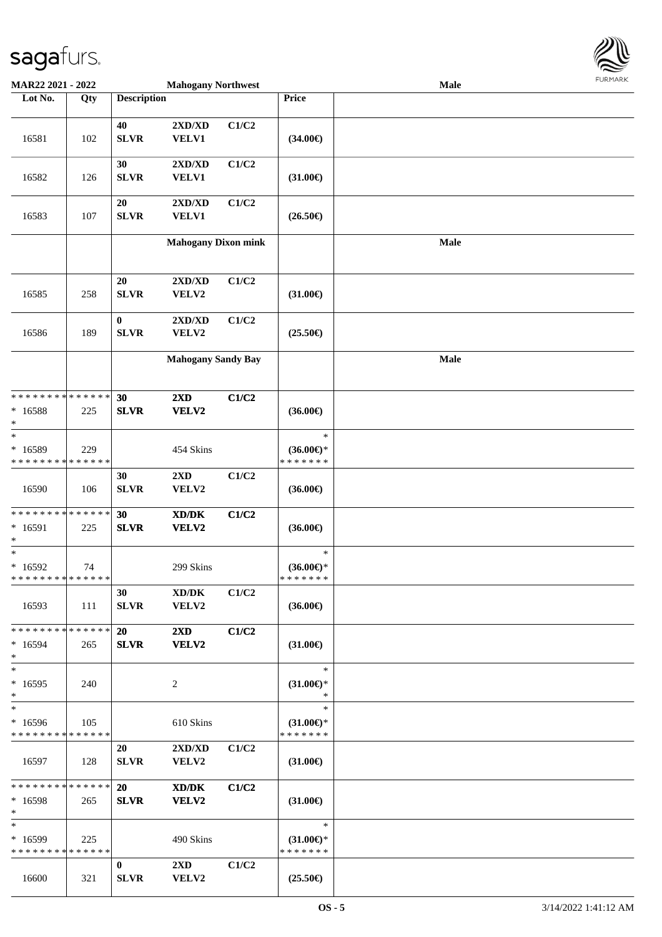

| <b>MAR22 2021 - 2022</b>                |             |                    | <b>Mahogany Northwest</b>                   |       |                                      | <b>Male</b> |  |
|-----------------------------------------|-------------|--------------------|---------------------------------------------|-------|--------------------------------------|-------------|--|
| Lot No.                                 | Qty         | <b>Description</b> |                                             |       | <b>Price</b>                         |             |  |
|                                         |             |                    |                                             |       |                                      |             |  |
|                                         |             | 40                 | $2{\bf X}{\bf D}/{\bf X}{\bf D}$            | C1/C2 |                                      |             |  |
| 16581                                   | 102         | <b>SLVR</b>        | VELV1                                       |       | $(34.00\epsilon)$                    |             |  |
|                                         |             |                    |                                             |       |                                      |             |  |
|                                         |             | 30                 | 2XD/XD                                      | C1/C2 |                                      |             |  |
| 16582                                   | 126         | <b>SLVR</b>        | <b>VELV1</b>                                |       | $(31.00\epsilon)$                    |             |  |
|                                         |             |                    |                                             |       |                                      |             |  |
|                                         |             | 20                 | 2XD/XD                                      | C1/C2 |                                      |             |  |
| 16583                                   | 107         | <b>SLVR</b>        | VELV1                                       |       | $(26.50\epsilon)$                    |             |  |
|                                         |             |                    | <b>Mahogany Dixon mink</b>                  |       |                                      | Male        |  |
|                                         |             |                    |                                             |       |                                      |             |  |
|                                         |             |                    |                                             |       |                                      |             |  |
|                                         |             | 20                 | $2{\bf X}{\bf D}/{\bf X}{\bf D}$            | C1/C2 |                                      |             |  |
| 16585                                   | 258         | <b>SLVR</b>        | VELV2                                       |       | $(31.00\epsilon)$                    |             |  |
|                                         |             |                    |                                             |       |                                      |             |  |
|                                         |             | $\bf{0}$           | $2{\bf X}{\bf D}/{\bf X}{\bf D}$            | C1/C2 |                                      |             |  |
| 16586                                   | 189         | <b>SLVR</b>        | VELV2                                       |       | $(25.50\epsilon)$                    |             |  |
|                                         |             |                    |                                             |       |                                      |             |  |
|                                         |             |                    | <b>Mahogany Sandy Bay</b>                   |       |                                      | Male        |  |
|                                         |             |                    |                                             |       |                                      |             |  |
| * * * * * * * * * * * * * *             |             |                    |                                             |       |                                      |             |  |
|                                         |             | 30                 | 2XD                                         | C1/C2 |                                      |             |  |
| * 16588<br>$\ast$                       | 225         | <b>SLVR</b>        | VELV2                                       |       | $(36.00\epsilon)$                    |             |  |
| $\ast$                                  |             |                    |                                             |       | $\ast$                               |             |  |
| * 16589                                 | 229         |                    | 454 Skins                                   |       | $(36.00\epsilon)$ *                  |             |  |
| * * * * * * * *                         | * * * * * * |                    |                                             |       | * * * * * * *                        |             |  |
|                                         |             | 30                 | 2XD                                         | C1/C2 |                                      |             |  |
| 16590                                   | 106         | <b>SLVR</b>        | VELV2                                       |       | $(36.00\epsilon)$                    |             |  |
|                                         |             |                    |                                             |       |                                      |             |  |
| * * * * * * * * * * * * * *             |             | 30                 | $\mathbf{X}\mathbf{D}/\mathbf{D}\mathbf{K}$ | C1/C2 |                                      |             |  |
| * 16591                                 | 225         | <b>SLVR</b>        | VELV2                                       |       | $(36.00\epsilon)$                    |             |  |
| $\ast$                                  |             |                    |                                             |       |                                      |             |  |
| $\ast$                                  |             |                    |                                             |       | $\ast$                               |             |  |
| $*16592$<br>* * * * * * * * * * * * * * | 74          |                    | 299 Skins                                   |       | $(36.00\epsilon)$ *<br>* * * * * * * |             |  |
|                                         |             | 30                 | XD/DK                                       | C1/C2 |                                      |             |  |
| 16593                                   | 111         | <b>SLVR</b>        | VELV2                                       |       | $(36.00\epsilon)$                    |             |  |
|                                         |             |                    |                                             |       |                                      |             |  |
| * * * * * * * * * * * * * * *           |             | 20                 | $2\mathbf{X}\mathbf{D}$                     | C1/C2 |                                      |             |  |
| $*16594$                                | 265         | <b>SLVR</b>        | VELV2                                       |       | $(31.00\epsilon)$                    |             |  |
| $*$                                     |             |                    |                                             |       |                                      |             |  |
| $*$                                     |             |                    |                                             |       | $\ast$                               |             |  |
| $*16595$                                | 240         |                    | 2                                           |       | $(31.00\epsilon)$ *                  |             |  |
| $*$                                     |             |                    |                                             |       | $\ast$                               |             |  |
| $*$                                     |             |                    |                                             |       | $\ast$                               |             |  |
| $*16596$                                | 105         |                    | 610 Skins                                   |       | $(31.00\epsilon)$ *                  |             |  |
| * * * * * * * * * * * * * *             |             |                    |                                             |       | * * * * * * *                        |             |  |
|                                         |             | 20                 | 2XD/XD                                      | C1/C2 |                                      |             |  |
| 16597                                   | 128         | <b>SLVR</b>        | <b>VELV2</b>                                |       | $(31.00\epsilon)$                    |             |  |
| * * * * * * * * * * * * * * *           |             | <b>20</b>          | $\mathbf{X}\mathbf{D}/\mathbf{D}\mathbf{K}$ | C1/C2 |                                      |             |  |
| $*16598$                                | 265         | <b>SLVR</b>        | VELV2                                       |       | $(31.00\epsilon)$                    |             |  |
| $*$                                     |             |                    |                                             |       |                                      |             |  |
| $*$                                     |             |                    |                                             |       | $\ast$                               |             |  |
| * 16599                                 | 225         |                    | 490 Skins                                   |       | $(31.00€)$ *                         |             |  |
| * * * * * * * * * * * * * *             |             |                    |                                             |       | * * * * * * *                        |             |  |
|                                         |             | $\bf{0}$           | $2\mathbf{X}\mathbf{D}$                     | C1/C2 |                                      |             |  |
| 16600                                   | 321         | <b>SLVR</b>        | VELV2                                       |       | $(25.50\epsilon)$                    |             |  |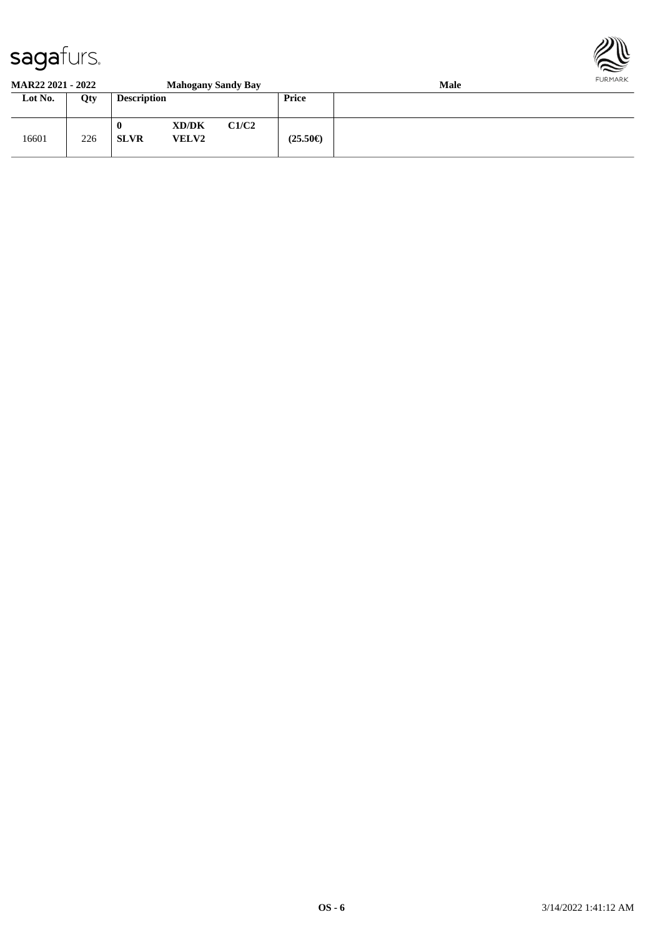

#### **MAR22 2021 - 2022 Mahogany Sandy Bay Male**

|         |     |                    | $\cdots$              |       |                   |  |
|---------|-----|--------------------|-----------------------|-------|-------------------|--|
| Lot No. | Qty | <b>Description</b> |                       |       | Price             |  |
| 16601   | 226 | 0<br><b>SLVR</b>   | XD/DK<br><b>VELV2</b> | C1/C2 | $(25.50\epsilon)$ |  |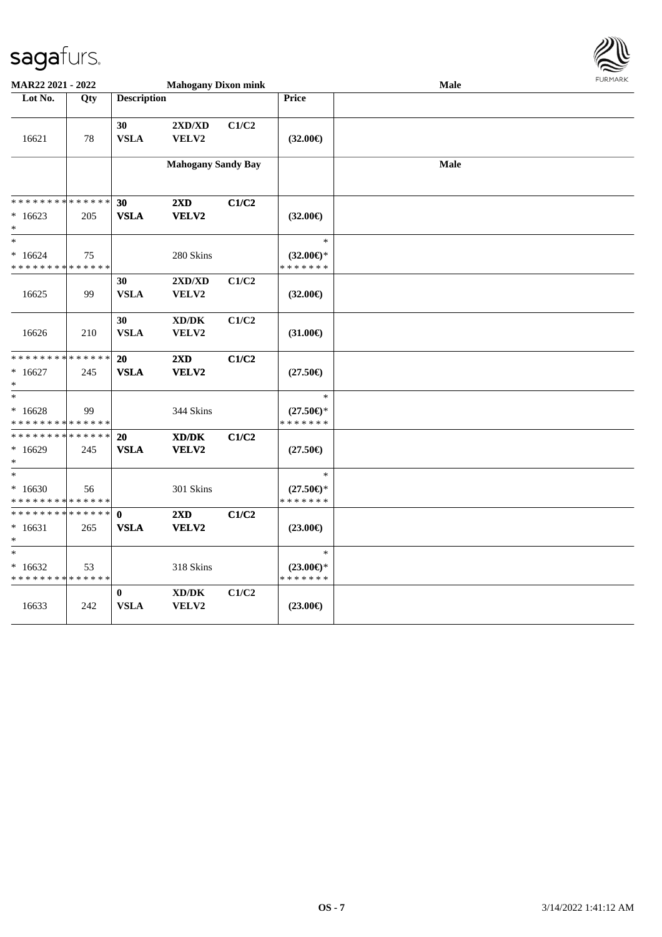

| <b>Mahogany Dixon mink</b><br>MAR22 2021 - 2022   |     |                            |                                              |       |                                                | Male | FURMARK |
|---------------------------------------------------|-----|----------------------------|----------------------------------------------|-------|------------------------------------------------|------|---------|
| Lot No.                                           | Qty | <b>Description</b>         |                                              |       | <b>Price</b>                                   |      |         |
| 16621                                             | 78  | 30<br><b>VSLA</b>          | $2{\bf X}{\bf D}/{\bf X}{\bf D}$<br>VELV2    | C1/C2 | $(32.00\epsilon)$                              |      |         |
|                                                   |     |                            | <b>Mahogany Sandy Bay</b>                    |       |                                                | Male |         |
| * * * * * * * * * * * * * *                       |     | 30                         | 2XD                                          | C1/C2 |                                                |      |         |
| $*16623$<br>$*$                                   | 205 | <b>VSLA</b>                | VELV2                                        |       | $(32.00\epsilon)$                              |      |         |
| $\ast$<br>$*16624$<br>* * * * * * * * * * * * * * | 75  |                            | 280 Skins                                    |       | $\ast$<br>$(32.00\epsilon)$ *<br>* * * * * * * |      |         |
| 16625                                             | 99  | 30<br><b>VSLA</b>          | 2XD/XD<br>VELV2                              | C1/C2 | $(32.00\epsilon)$                              |      |         |
| 16626                                             | 210 | 30<br><b>VSLA</b>          | XD/DK<br>VELV2                               | C1/C2 | $(31.00\epsilon)$                              |      |         |
| * * * * * * * * * * * * * *<br>$*16627$<br>$\ast$ | 245 | 20<br><b>VSLA</b>          | $2\mathbf{X}\mathbf{D}$<br>VELV2             | C1/C2 | $(27.50\epsilon)$                              |      |         |
| $*$<br>$*16628$<br>* * * * * * * * * * * * * *    | 99  |                            | 344 Skins                                    |       | $\ast$<br>$(27.50\epsilon)$ *<br>* * * * * * * |      |         |
| * * * * * * * * * * * * * *<br>$*16629$<br>$\ast$ | 245 | 20<br><b>VSLA</b>          | XD/DK<br>VELV2                               | C1/C2 | $(27.50\epsilon)$                              |      |         |
| $*$<br>$*16630$<br>* * * * * * * * * * * * * *    | 56  |                            | 301 Skins                                    |       | $\ast$<br>$(27.50\epsilon)$ *<br>* * * * * * * |      |         |
| * * * * * * * * * * * * * * *<br>$*16631$<br>$*$  | 265 | $\mathbf 0$<br><b>VSLA</b> | 2XD<br>VELV2                                 | C1/C2 | $(23.00\epsilon)$                              |      |         |
| $*$<br>$*16632$<br>* * * * * * * * * * * * * *    | 53  |                            | 318 Skins                                    |       | $\ast$<br>$(23.00\epsilon)$ *<br>* * * * * * * |      |         |
| 16633                                             | 242 | $\bf{0}$<br><b>VSLA</b>    | $\bold{X}\bold{D}/\bold{D}\bold{K}$<br>VELV2 | C1/C2 | $(23.00\epsilon)$                              |      |         |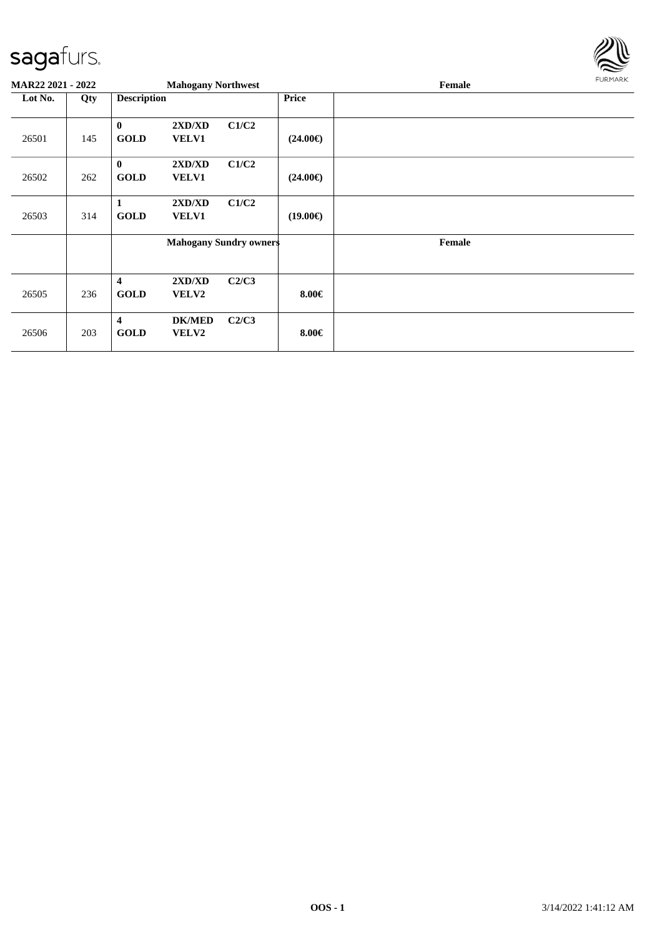

| <b>MAR22 2021 - 2022</b> |     |                                        | <b>Mahogany Northwest</b>     |                               |                   | Female | FURMARK |
|--------------------------|-----|----------------------------------------|-------------------------------|-------------------------------|-------------------|--------|---------|
| Lot No.                  | Qty | <b>Description</b>                     |                               |                               | <b>Price</b>      |        |         |
| 26501                    | 145 | $\bf{0}$<br><b>GOLD</b>                | 2XD/XD<br><b>VELV1</b>        | C1/C2                         | $(24.00\epsilon)$ |        |         |
| 26502                    | 262 | $\bf{0}$<br><b>GOLD</b>                | 2XD/XD<br><b>VELV1</b>        | C1/C2                         | $(24.00\epsilon)$ |        |         |
| 26503                    | 314 | 1<br><b>GOLD</b>                       | 2XD/XD<br><b>VELV1</b>        | C1/C2                         | $(19.00\epsilon)$ |        |         |
|                          |     |                                        |                               | <b>Mahogany Sundry owners</b> |                   | Female |         |
| 26505                    | 236 | $\overline{\mathbf{4}}$<br><b>GOLD</b> | 2XD/XD<br><b>VELV2</b>        | C2/C3                         | $8.00 \in$        |        |         |
| 26506                    | 203 | 4<br><b>GOLD</b>                       | <b>DK/MED</b><br><b>VELV2</b> | C2/C3                         | $8.00 \in$        |        |         |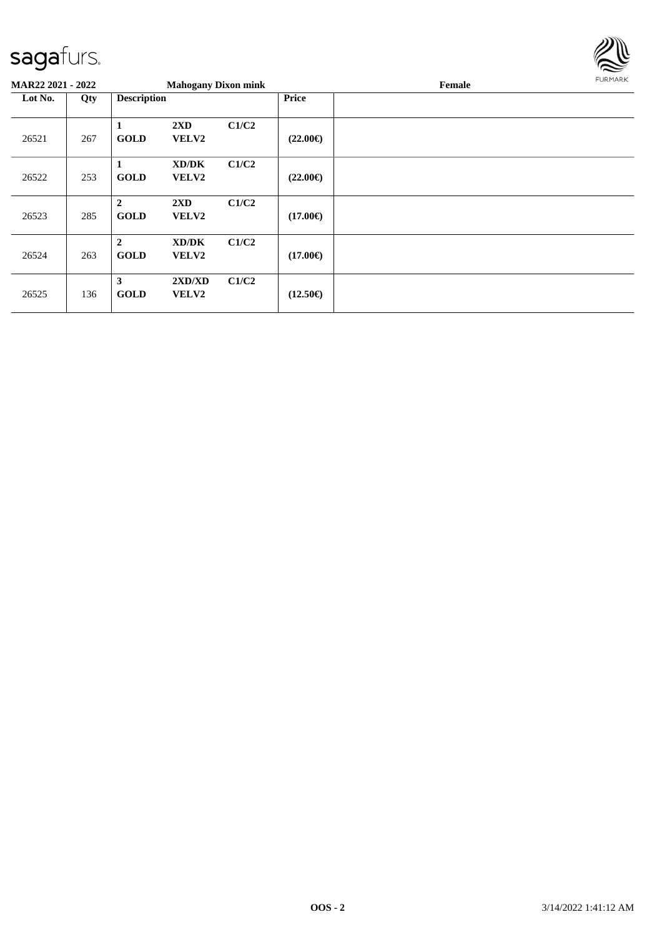

| <b>MAR22 2021 - 2022</b> |     |                               | <b>Mahogany Dixon mink</b>              |       |                   | Female | FURMARK |
|--------------------------|-----|-------------------------------|-----------------------------------------|-------|-------------------|--------|---------|
| Lot No.                  | Qty | <b>Description</b>            |                                         |       | <b>Price</b>      |        |         |
| 26521                    | 267 | <b>GOLD</b>                   | $2\mathbf{X}\mathbf{D}$<br>VELV2        | C1/C2 | $(22.00\epsilon)$ |        |         |
| 26522                    | 253 | 1<br><b>GOLD</b>              | XD/DK<br><b>VELV2</b>                   | C1/C2 | $(22.00\epsilon)$ |        |         |
| 26523                    | 285 | $\overline{2}$<br><b>GOLD</b> | $2\mathbf{X}\mathbf{D}$<br><b>VELV2</b> | C1/C2 | $(17.00\epsilon)$ |        |         |
| 26524                    | 263 | $\overline{2}$<br><b>GOLD</b> | XD/DK<br><b>VELV2</b>                   | C1/C2 | $(17.00\epsilon)$ |        |         |
| 26525                    | 136 | 3<br><b>GOLD</b>              | 2XD/XD<br><b>VELV2</b>                  | C1/C2 | $(12.50\epsilon)$ |        |         |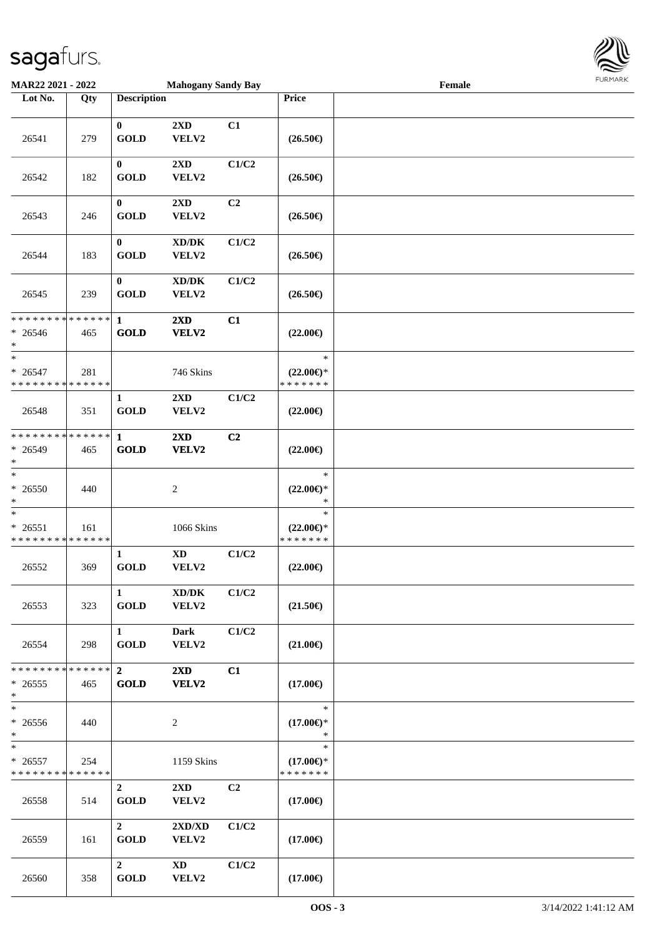

| MAR22 2021 - 2022                                  |     |                               | <b>Mahogany Sandy Bay</b>                    |       |                                                | Female |  |
|----------------------------------------------------|-----|-------------------------------|----------------------------------------------|-------|------------------------------------------------|--------|--|
| Lot No.                                            | Qty | <b>Description</b>            |                                              |       | Price                                          |        |  |
| 26541                                              | 279 | $\bf{0}$<br><b>GOLD</b>       | 2XD<br>VELV2                                 | C1    | $(26.50\epsilon)$                              |        |  |
| 26542                                              | 182 | $\bf{0}$<br><b>GOLD</b>       | $2{\bf X}{\bf D}$<br>VELV2                   | C1/C2 | $(26.50\epsilon)$                              |        |  |
| 26543                                              | 246 | $\bf{0}$<br><b>GOLD</b>       | 2XD<br>VELV2                                 | C2    | $(26.50\epsilon)$                              |        |  |
| 26544                                              | 183 | $\bf{0}$<br><b>GOLD</b>       | $\bold{X}\bold{D}/\bold{D}\bold{K}$<br>VELV2 | C1/C2 | $(26.50\epsilon)$                              |        |  |
| 26545                                              | 239 | $\bf{0}$<br><b>GOLD</b>       | $\bold{X}\bold{D}/\bold{D}\bold{K}$<br>VELV2 | C1/C2 | $(26.50\in)$                                   |        |  |
| * * * * * * * * * * * * * *<br>$* 26546$<br>$*$    | 465 | $\mathbf{1}$<br><b>GOLD</b>   | 2XD<br>VELV2                                 | C1    | $(22.00\epsilon)$                              |        |  |
| $\ast$<br>$* 26547$<br>* * * * * * * * * * * * * * | 281 |                               | 746 Skins                                    |       | $\ast$<br>$(22.00\epsilon)$ *<br>* * * * * * * |        |  |
| 26548                                              | 351 | 1<br><b>GOLD</b>              | 2XD<br>VELV2                                 | C1/C2 | $(22.00\epsilon)$                              |        |  |
| * * * * * * * * * * * * * *<br>* 26549<br>$\ast$   | 465 | 1<br><b>GOLD</b>              | 2XD<br>VELV2                                 | C2    | $(22.00\epsilon)$                              |        |  |
| $\ast$<br>* 26550<br>$\ast$                        | 440 |                               | $\boldsymbol{2}$                             |       | $\ast$<br>$(22.00\epsilon)$ *<br>$\ast$        |        |  |
| $\ast$<br>$* 26551$<br>* * * * * * * * * * * * * * | 161 |                               | 1066 Skins                                   |       | $\ast$<br>$(22.00\epsilon)$ *<br>* * * * * * * |        |  |
| 26552                                              | 369 | 1<br><b>GOLD</b>              | $\mathbf{X}\mathbf{D}$<br>VELV2              | C1/C2 | $(22.00\epsilon)$                              |        |  |
| 26553                                              | 323 | $\mathbf{1}$<br><b>GOLD</b>   | XD/DK<br>VELV2                               | C1/C2 | $(21.50\epsilon)$                              |        |  |
| 26554                                              | 298 | $\mathbf{1}$<br><b>GOLD</b>   | <b>Dark</b><br>VELV2                         | C1/C2 | $(21.00\epsilon)$                              |        |  |
| * * * * * * * * * * * * * * *<br>$*26555$<br>$*$   | 465 | $\overline{2}$<br><b>GOLD</b> | $2\mathbf{X}\mathbf{D}$<br>VELV2             | C1    | $(17.00\epsilon)$                              |        |  |
| $\ast$<br>$* 26556$<br>$*$                         | 440 |                               | 2                                            |       | $\ast$<br>$(17.00\epsilon)$ *<br>$\ast$        |        |  |
| $*$<br>$* 26557$<br>* * * * * * * * * * * * * *    | 254 |                               | 1159 Skins                                   |       | $\ast$<br>$(17.00\epsilon)$ *<br>* * * * * * * |        |  |
| 26558                                              | 514 | $\overline{2}$<br><b>GOLD</b> | $2\mathbf{X}\mathbf{D}$<br>VELV2             | C2    | $(17.00\epsilon)$                              |        |  |
| 26559                                              | 161 | $\overline{2}$<br><b>GOLD</b> | 2XD/XD<br>VELV2                              | C1/C2 | $(17.00\epsilon)$                              |        |  |
| 26560                                              | 358 | $\mathbf{2}$<br><b>GOLD</b>   | XD<br>VELV2                                  | C1/C2 | $(17.00\epsilon)$                              |        |  |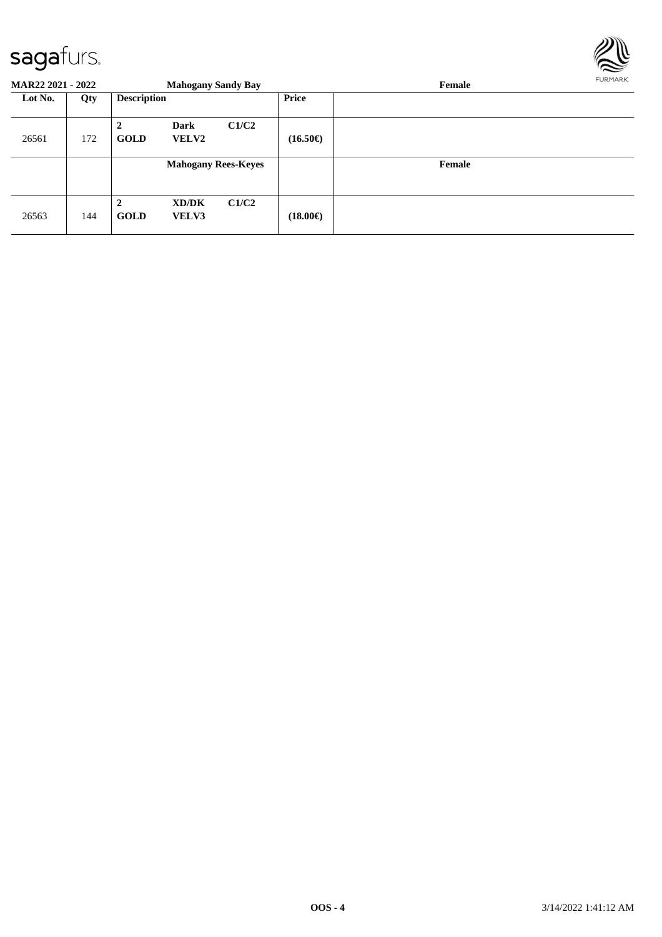

|         | <b>MAR22 2021 - 2022</b><br><b>Mahogany Sandy Bay</b> |                    |                            |       |                   | <b>FURPIARR</b><br>Female |  |  |  |  |
|---------|-------------------------------------------------------|--------------------|----------------------------|-------|-------------------|---------------------------|--|--|--|--|
| Lot No. | Qty                                                   | <b>Description</b> |                            |       | <b>Price</b>      |                           |  |  |  |  |
| 26561   | 172                                                   | <b>GOLD</b>        | Dark<br><b>VELV2</b>       | C1/C2 | $(16.50\epsilon)$ |                           |  |  |  |  |
|         |                                                       |                    | <b>Mahogany Rees-Keyes</b> |       |                   | Female                    |  |  |  |  |
| 26563   | 144                                                   | 2<br><b>GOLD</b>   | XD/DK<br><b>VELV3</b>      | C1/C2 | $(18.00\epsilon)$ |                           |  |  |  |  |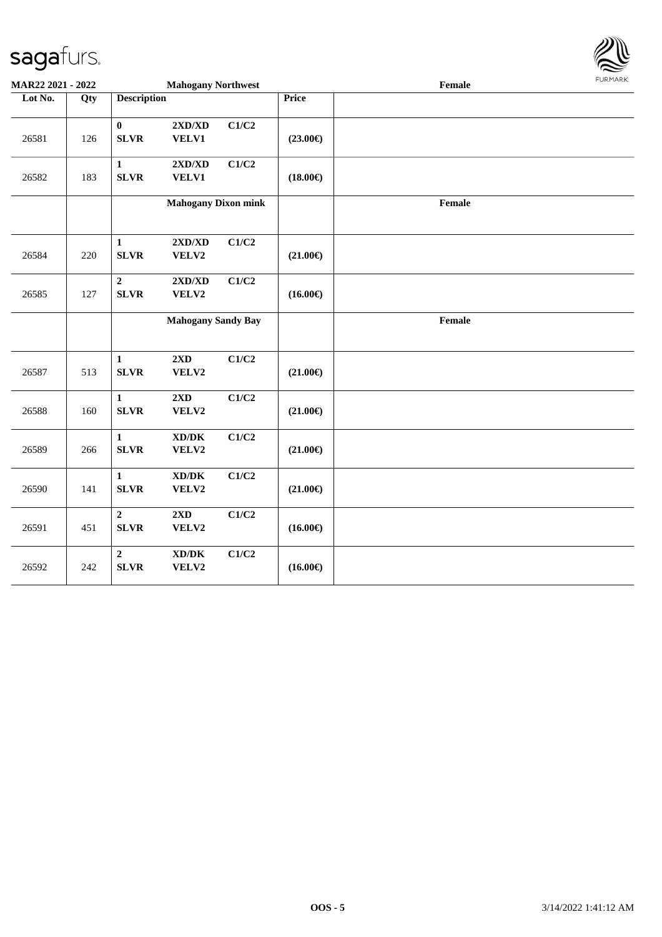

| MAR22 2021 - 2022 |     |                                 | <b>Mahogany Northwest</b>                        |       |                   | Female | <b>FUNITANN</b> |
|-------------------|-----|---------------------------------|--------------------------------------------------|-------|-------------------|--------|-----------------|
| Lot No.           | Qty | <b>Description</b>              |                                                  |       | <b>Price</b>      |        |                 |
| 26581             | 126 | $\bf{0}$<br><b>SLVR</b>         | $2{\bf X}{\bf D}/{\bf X}{\bf D}$<br><b>VELV1</b> | C1/C2 | $(23.00\epsilon)$ |        |                 |
| 26582             | 183 | $\mathbf{1}$<br><b>SLVR</b>     | $2{\bf X}{\bf D}/{\bf X}{\bf D}$<br>VELV1        | C1/C2 | $(18.00\epsilon)$ |        |                 |
|                   |     |                                 | <b>Mahogany Dixon mink</b>                       |       |                   | Female |                 |
| 26584             | 220 | $\mathbf{1}$<br><b>SLVR</b>     | $2{\bf X}{\bf D}/{\bf X}{\bf D}$<br>VELV2        | C1/C2 | $(21.00\epsilon)$ |        |                 |
| 26585             | 127 | $\boldsymbol{2}$<br><b>SLVR</b> | 2XD/XD<br>VELV2                                  | C1/C2 | $(16.00\epsilon)$ |        |                 |
|                   |     |                                 | <b>Mahogany Sandy Bay</b>                        |       |                   | Female |                 |
| 26587             | 513 | $\mathbf{1}$<br><b>SLVR</b>     | 2XD<br>VELV2                                     | C1/C2 | $(21.00\epsilon)$ |        |                 |
| 26588             | 160 | $\mathbf{1}$<br><b>SLVR</b>     | 2XD<br>VELV2                                     | C1/C2 | $(21.00\epsilon)$ |        |                 |
| 26589             | 266 | $\mathbf{1}$<br><b>SLVR</b>     | $\bold{X}\bold{D}/\bold{D}\bold{K}$<br>VELV2     | C1/C2 | $(21.00\epsilon)$ |        |                 |
| 26590             | 141 | $\mathbf{1}$<br><b>SLVR</b>     | $\bold{X}\bold{D}/\bold{D}\bold{K}$<br>VELV2     | C1/C2 | $(21.00\epsilon)$ |        |                 |
| 26591             | 451 | $\overline{2}$<br><b>SLVR</b>   | 2XD<br>VELV2                                     | C1/C2 | $(16.00\epsilon)$ |        |                 |
| 26592             | 242 | $\overline{2}$<br><b>SLVR</b>   | $\bold{X}\bold{D}/\bold{D}\bold{K}$<br>VELV2     | C1/C2 | $(16.00\epsilon)$ |        |                 |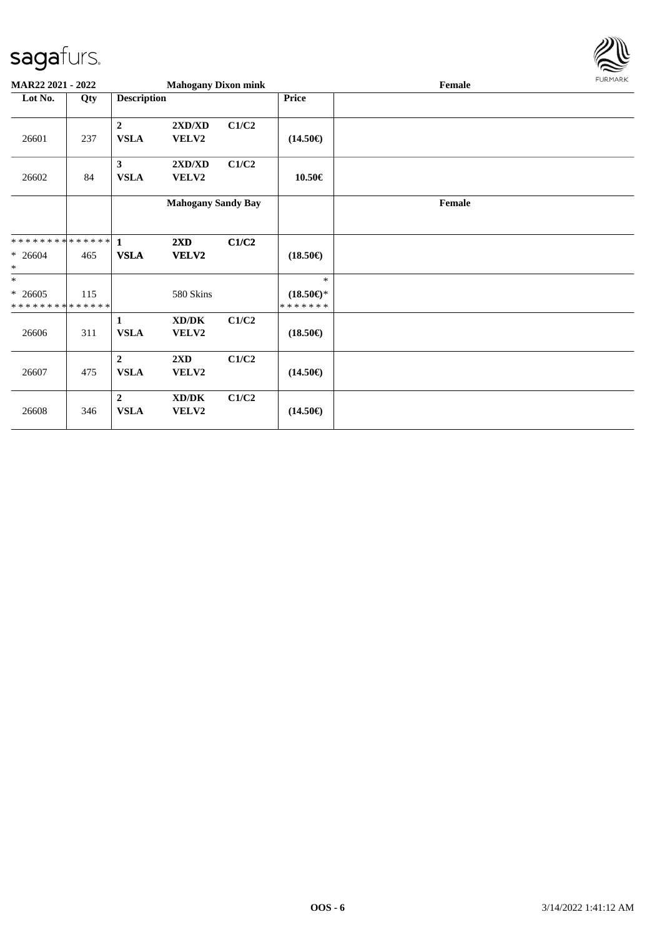

| MAR22 2021 - 2022                        |     |                               | <b>Mahogany Dixon mink</b> |       |                                      | Female |  |  |  |
|------------------------------------------|-----|-------------------------------|----------------------------|-------|--------------------------------------|--------|--|--|--|
| Lot No.                                  | Qty | <b>Description</b>            |                            |       | <b>Price</b>                         |        |  |  |  |
| 26601                                    | 237 | $\mathbf{2}$<br><b>VSLA</b>   | 2XD/XD<br>VELV2            | C1/C2 | $(14.50\epsilon)$                    |        |  |  |  |
| 26602                                    | 84  | $\mathbf{3}$<br><b>VSLA</b>   | 2XD/XD<br>VELV2            | C1/C2 | 10.50€                               |        |  |  |  |
|                                          |     |                               | <b>Mahogany Sandy Bay</b>  |       |                                      | Female |  |  |  |
| **************                           |     | $\mathbf{1}$                  | 2XD                        | C1/C2 |                                      |        |  |  |  |
| $* 26604$<br>$\ast$                      | 465 | <b>VSLA</b>                   | VELV2                      |       | $(18.50\epsilon)$                    |        |  |  |  |
| $\ast$                                   |     |                               |                            |       | $\ast$                               |        |  |  |  |
| $* 26605$<br>* * * * * * * * * * * * * * | 115 |                               | 580 Skins                  |       | $(18.50\epsilon)$ *<br>* * * * * * * |        |  |  |  |
| 26606                                    | 311 | $\mathbf{1}$<br><b>VSLA</b>   | XD/DK<br>VELV2             | C1/C2 | $(18.50\epsilon)$                    |        |  |  |  |
| 26607                                    | 475 | $\overline{2}$<br><b>VSLA</b> | 2XD<br>VELV2               | C1/C2 | $(14.50\epsilon)$                    |        |  |  |  |
| 26608                                    | 346 | $\overline{2}$<br><b>VSLA</b> | XD/DK<br>VELV2             | C1/C2 | $(14.50\epsilon)$                    |        |  |  |  |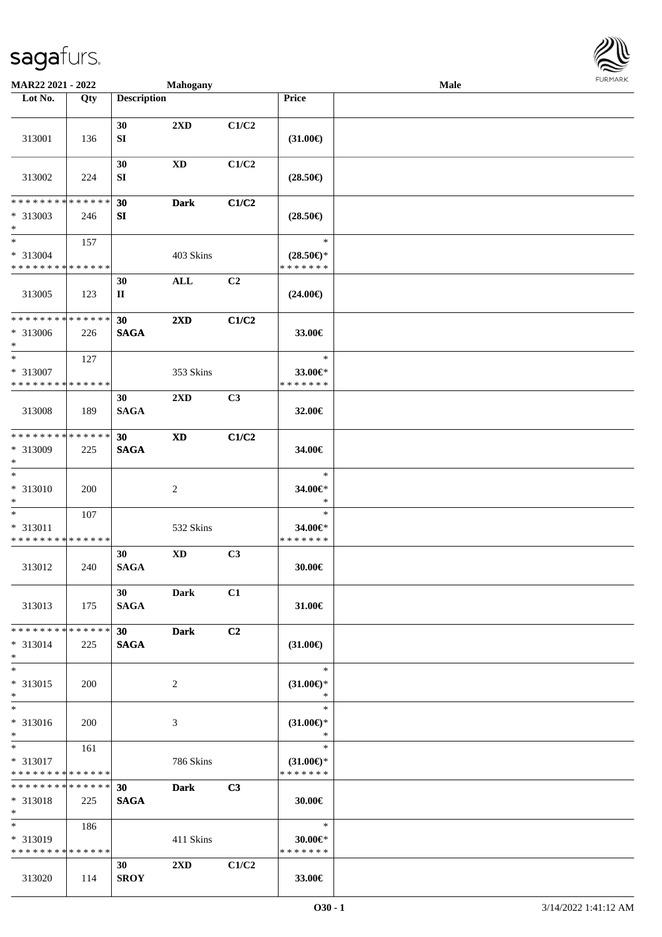

| MAR22 2021 - 2022                                                     |                    |                    | <b>Mahogany</b>            |                |                                                                              | Male |  |
|-----------------------------------------------------------------------|--------------------|--------------------|----------------------------|----------------|------------------------------------------------------------------------------|------|--|
| Lot No.                                                               | Qty                | <b>Description</b> |                            |                | Price                                                                        |      |  |
| 313001                                                                | 136                | 30<br>SI           | 2XD                        | C1/C2          | $(31.00\epsilon)$                                                            |      |  |
| 313002                                                                | 224                | 30<br>SI           | <b>XD</b>                  | C1/C2          | $(28.50\epsilon)$                                                            |      |  |
| ********<br>* 313003<br>$\ast$                                        | * * * * * *<br>246 | 30<br>${\bf SI}$   | <b>Dark</b>                | C1/C2          | $(28.50\epsilon)$                                                            |      |  |
| $\overline{\phantom{a}^*}$<br>* 313004<br>* * * * * * * * * * * * * * | 157                |                    | 403 Skins                  |                | $\ast$<br>$(28.50\mathnormal{\in}\mathcal{)^{\! \! \circ}}$<br>* * * * * * * |      |  |
| 313005                                                                | 123                | 30<br>$\mathbf H$  | $\mathbf{ALL}$             | C2             | $(24.00\epsilon)$                                                            |      |  |
| ********<br>* 313006<br>$\ast$                                        | * * * * * *<br>226 | 30<br><b>SAGA</b>  | 2XD                        | C1/C2          | 33.00€                                                                       |      |  |
| $\ast$<br>* 313007<br>* * * * * * * * * * * * * *                     | 127                |                    | 353 Skins                  |                | $\ast$<br>33.00€*<br>* * * * * * *                                           |      |  |
| 313008                                                                | 189                | 30<br><b>SAGA</b>  | 2XD                        | C3             | 32.00€                                                                       |      |  |
| * * * * * * * *<br>* 313009<br>$\ast$                                 | * * * * * *<br>225 | 30<br><b>SAGA</b>  | $\boldsymbol{\mathrm{XD}}$ | C1/C2          | 34.00€                                                                       |      |  |
| $\ast$<br>$* 313010$<br>$\ast$                                        | 200                |                    | $\sqrt{2}$                 |                | $\ast$<br>34.00€*<br>$\ast$                                                  |      |  |
| $\ast$<br>* 313011<br>* * * * * * * * * * * * * *                     | 107                |                    | 532 Skins                  |                | $\ast$<br>34.00€*<br>* * * * * * *                                           |      |  |
| 313012                                                                | 240                | 30<br><b>SAGA</b>  | <b>XD</b>                  | C3             | 30.00€                                                                       |      |  |
| 313013                                                                | 175                | 30<br><b>SAGA</b>  | <b>Dark</b>                | C1             | 31.00€                                                                       |      |  |
| * * * * * * * * * * * * * * *<br>* 313014<br>$*$                      | 225                | 30<br><b>SAGA</b>  | <b>Dark</b>                | C <sub>2</sub> | $(31.00\epsilon)$                                                            |      |  |
| $\ast$<br>* 313015<br>$*$                                             | <b>200</b>         |                    | 2                          |                | $\ast$<br>$(31.00\epsilon)$ *<br>$\ast$                                      |      |  |
| $\overline{\phantom{1}}$<br>* 313016<br>$*$                           | <b>200</b>         |                    | 3                          |                | $\ast$<br>$(31.00\epsilon)$ *<br>$\ast$                                      |      |  |
| $*$<br>* 313017<br>* * * * * * * * * * * * * *                        | 161                |                    | 786 Skins                  |                | $\ast$<br>$(31.00\epsilon)$ *<br>* * * * * * *                               |      |  |
| * * * * * * * * * * * * * *<br>* 313018<br>$*$                        | 225                | 30<br><b>SAGA</b>  | <b>Dark</b>                | C3             | 30.00€                                                                       |      |  |
| $*$<br>* 313019<br>* * * * * * * * * * * * * *                        | 186                |                    | 411 Skins                  |                | $\ast$<br>$30.00 \in$ *<br>* * * * * * *                                     |      |  |
| 313020                                                                | 114                | 30<br><b>SROY</b>  | $2\rm{XD}$                 | C1/C2          | 33.00€                                                                       |      |  |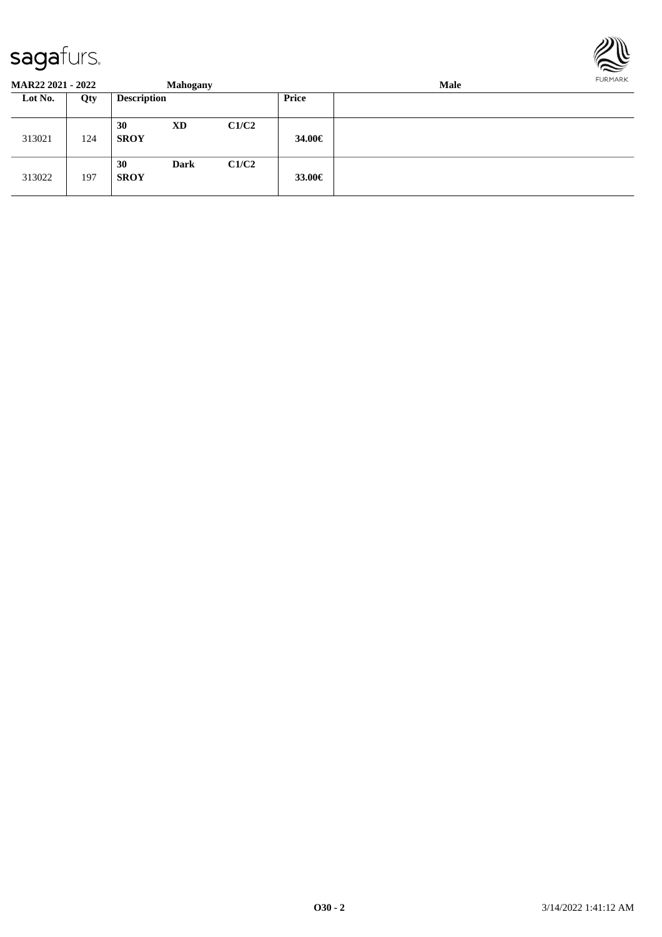

**MAR22 2021 - 2022 Mahogany Male Lot No. Qty Description Price** 313021 124 **30 XD C1/C2 SROY 34.00€** 313022 197 **30 Dark C1/C2 SROY 33.00€**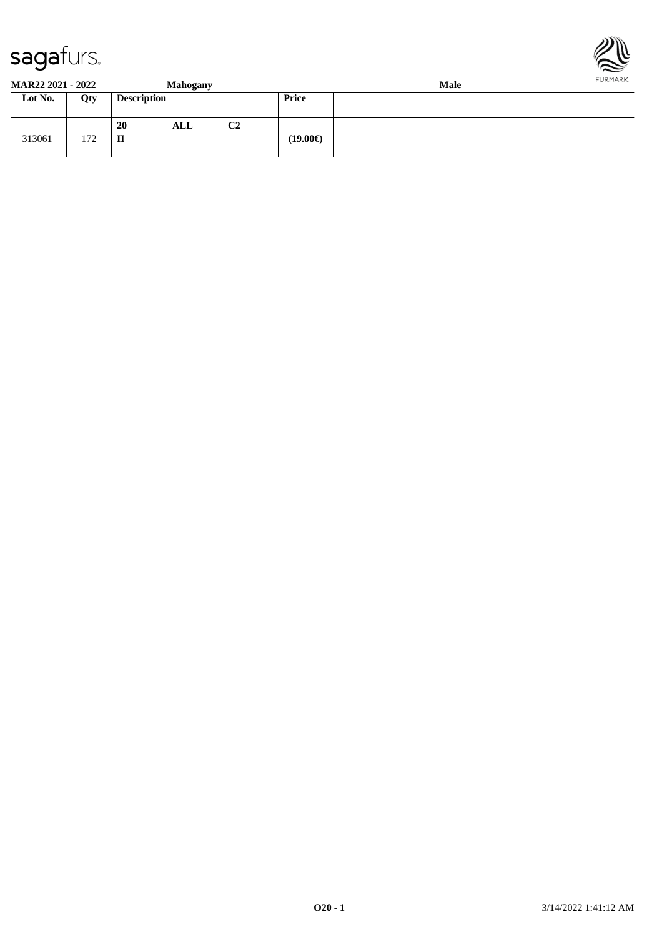



**MAR22 2021 - 2022 Mahogany Male**

| Lot No. | Qty        | $\overline{\phantom{0}}$<br><b>Description</b> | . .            | Price             |
|---------|------------|------------------------------------------------|----------------|-------------------|
| 313061  | 172<br>112 | 20<br>ALL<br>$\mathbf{I}$                      | C <sub>2</sub> | $(19.00\epsilon)$ |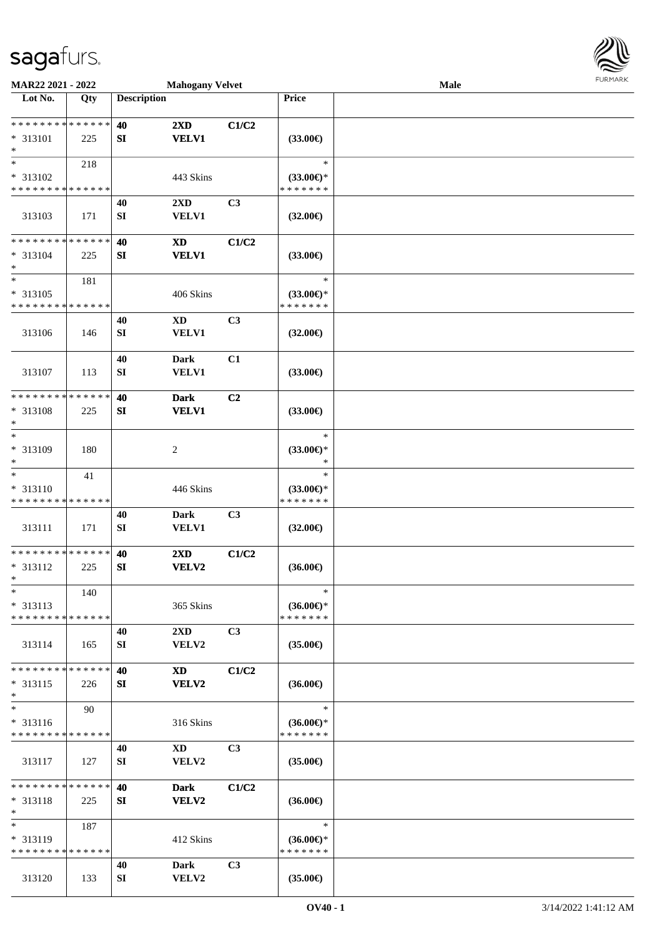

| MAR22 2021 - 2022                       |     |                    | <b>Mahogany Velvet</b>     |                |                                      | Male |  |
|-----------------------------------------|-----|--------------------|----------------------------|----------------|--------------------------------------|------|--|
| Lot No.                                 | Qty | <b>Description</b> |                            |                | Price                                |      |  |
|                                         |     |                    |                            |                |                                      |      |  |
| **************                          |     | 40                 | $2\mathbf{X}\mathbf{D}$    | C1/C2          |                                      |      |  |
| * 313101                                | 225 | SI                 | <b>VELV1</b>               |                | $(33.00\epsilon)$                    |      |  |
| $\ast$<br>$\ast$                        |     |                    |                            |                |                                      |      |  |
|                                         | 218 |                    |                            |                | $\ast$                               |      |  |
| * 313102<br>* * * * * * * * * * * * * * |     |                    | 443 Skins                  |                | $(33.00\epsilon)$ *<br>* * * * * * * |      |  |
|                                         |     |                    |                            |                |                                      |      |  |
| 313103                                  | 171 | 40<br>${\bf SI}$   | 2XD<br>VELV1               | C3             | $(32.00\epsilon)$                    |      |  |
|                                         |     |                    |                            |                |                                      |      |  |
| * * * * * * * * * * * * * *             |     | 40                 | $\boldsymbol{\mathrm{XD}}$ | C1/C2          |                                      |      |  |
| * 313104                                | 225 | ${\bf S}{\bf I}$   | <b>VELV1</b>               |                | $(33.00\epsilon)$                    |      |  |
| $\ast$                                  |     |                    |                            |                |                                      |      |  |
| $\ast$                                  | 181 |                    |                            |                | $\ast$                               |      |  |
| * 313105                                |     |                    | 406 Skins                  |                | $(33.00\epsilon)$ *                  |      |  |
| * * * * * * * * * * * * * *             |     |                    |                            |                | * * * * * * *                        |      |  |
|                                         |     | 40                 | <b>XD</b>                  | C3             |                                      |      |  |
| 313106                                  | 146 | ${\bf SI}$         | VELV1                      |                | $(32.00\epsilon)$                    |      |  |
|                                         |     |                    |                            |                |                                      |      |  |
|                                         |     | 40                 | <b>Dark</b>                | C1             |                                      |      |  |
| 313107                                  | 113 | ${\bf SI}$         | <b>VELV1</b>               |                | $(33.00\epsilon)$                    |      |  |
| * * * * * * * * * * * * * *             |     | 40                 | <b>Dark</b>                | C2             |                                      |      |  |
| * 313108                                | 225 | SI                 | <b>VELV1</b>               |                | $(33.00\epsilon)$                    |      |  |
| $\ast$                                  |     |                    |                            |                |                                      |      |  |
| $\ast$                                  |     |                    |                            |                | $\ast$                               |      |  |
| * 313109                                | 180 |                    | $\sqrt{2}$                 |                | $(33.00\epsilon)$ *                  |      |  |
| $\ast$                                  |     |                    |                            |                | $\ast$                               |      |  |
| $\ast$                                  | 41  |                    |                            |                | $\ast$                               |      |  |
| * 313110                                |     |                    | 446 Skins                  |                | $(33.00\epsilon)$ *                  |      |  |
| * * * * * * * * * * * * * *             |     |                    |                            |                | * * * * * * *                        |      |  |
|                                         |     | 40                 | <b>Dark</b>                | C3             |                                      |      |  |
| 313111                                  | 171 | SI                 | <b>VELV1</b>               |                | $(32.00\epsilon)$                    |      |  |
| ******** <mark>******</mark>            |     | 40                 | 2XD                        | C1/C2          |                                      |      |  |
| * 313112                                | 225 | SI                 | <b>VELV2</b>               |                | $(36.00\epsilon)$                    |      |  |
| $\ast$                                  |     |                    |                            |                |                                      |      |  |
| $\ast$                                  | 140 |                    |                            |                | $\ast$                               |      |  |
| $* 313113$                              |     |                    | 365 Skins                  |                | $(36.00\epsilon)$ *                  |      |  |
| * * * * * * * * * * * * * *             |     |                    |                            |                | * * * * * * *                        |      |  |
|                                         |     | 40                 | $2\mathbf{X}\mathbf{D}$    | C3             |                                      |      |  |
| 313114                                  | 165 | SI                 | VELV2                      |                | $(35.00\epsilon)$                    |      |  |
|                                         |     |                    |                            |                |                                      |      |  |
| * * * * * * * * * * * * * *             |     | 40                 | XD                         | C1/C2          |                                      |      |  |
| $* 313115$<br>$\ast$                    | 226 | <b>SI</b>          | VELV2                      |                | $(36.00\epsilon)$                    |      |  |
| $\ast$                                  | 90  |                    |                            |                | $\ast$                               |      |  |
| $* 313116$                              |     |                    | 316 Skins                  |                | $(36.00\epsilon)$ *                  |      |  |
| * * * * * * * * * * * * * *             |     |                    |                            |                | * * * * * * *                        |      |  |
|                                         |     | 40                 | XD                         | C <sub>3</sub> |                                      |      |  |
| 313117                                  | 127 | SI                 | VELV2                      |                | $(35.00\epsilon)$                    |      |  |
|                                         |     |                    |                            |                |                                      |      |  |
| * * * * * * * * * * * * * *             |     | 40                 | <b>Dark</b>                | C1/C2          |                                      |      |  |
| $* 313118$                              | 225 | <b>SI</b>          | <b>VELV2</b>               |                | $(36.00\epsilon)$                    |      |  |
| $\ast$                                  |     |                    |                            |                |                                      |      |  |
| $\ast$                                  | 187 |                    |                            |                | $\ast$                               |      |  |
| * 313119                                |     |                    | 412 Skins                  |                | $(36.00€)$ *                         |      |  |
| * * * * * * * * * * * * * *             |     |                    |                            |                | * * * * * * *                        |      |  |
| 313120                                  | 133 | 40<br>SI           | Dark<br>VELV2              | C3             | $(35.00\epsilon)$                    |      |  |
|                                         |     |                    |                            |                |                                      |      |  |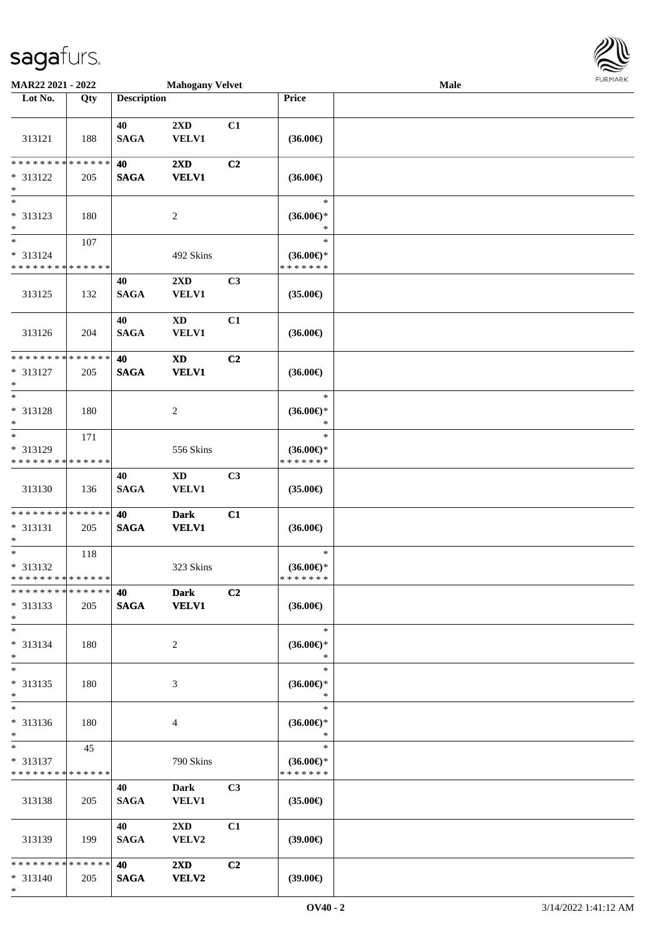

| MAR22 2021 - 2022                                            |     |                    | <b>Mahogany Velvet</b>                     |                |                                                | Male | <b>LOKITAKV</b> |
|--------------------------------------------------------------|-----|--------------------|--------------------------------------------|----------------|------------------------------------------------|------|-----------------|
| Lot No.                                                      | Qty | <b>Description</b> |                                            |                | Price                                          |      |                 |
| 313121                                                       | 188 | 40<br><b>SAGA</b>  | 2XD<br><b>VELV1</b>                        | C1             | $(36.00\epsilon)$                              |      |                 |
| **************<br>* 313122<br>$\ast$                         | 205 | 40<br><b>SAGA</b>  | 2XD<br><b>VELV1</b>                        | C2             | $(36.00\epsilon)$                              |      |                 |
| $\ast$<br>* 313123<br>$\ast$                                 | 180 |                    | 2                                          |                | $\ast$<br>$(36.00\epsilon)$ *<br>$\ast$        |      |                 |
| $\overline{\ast}$<br>* 313124<br>* * * * * * * * * * * * * * | 107 |                    | 492 Skins                                  |                | $\ast$<br>$(36.00\epsilon)$ *<br>* * * * * * * |      |                 |
| 313125                                                       | 132 | 40<br><b>SAGA</b>  | 2XD<br><b>VELV1</b>                        | C <sub>3</sub> | $(35.00\epsilon)$                              |      |                 |
| 313126                                                       | 204 | 40<br><b>SAGA</b>  | $\mathbf{X}\mathbf{D}$<br><b>VELV1</b>     | C1             | $(36.00\epsilon)$                              |      |                 |
| * * * * * * * * * * * * * *<br>$* 313127$<br>$\ast$          | 205 | 40<br><b>SAGA</b>  | $\boldsymbol{\mathrm{XD}}$<br><b>VELV1</b> | C2             | $(36.00\epsilon)$                              |      |                 |
| $\ast$<br>* 313128<br>$\ast$                                 | 180 |                    | $\overline{c}$                             |                | $\ast$<br>$(36.00\epsilon)$ *<br>$\ast$        |      |                 |
| $\ast$<br>* 313129<br>* * * * * * * * * * * * * *            | 171 |                    | 556 Skins                                  |                | $\ast$<br>$(36.00\epsilon)$ *<br>* * * * * * * |      |                 |
| 313130                                                       | 136 | 40<br><b>SAGA</b>  | $\mathbf{X}\mathbf{D}$<br><b>VELV1</b>     | C3             | $(35.00\epsilon)$                              |      |                 |
| * * * * * * * * * * * * * *<br>$* 313131$<br>$\ast$          | 205 | 40<br><b>SAGA</b>  | <b>Dark</b><br><b>VELV1</b>                | C1             | $(36.00\epsilon)$                              |      |                 |
| $\ast$<br>* 313132<br>**************                         | 118 |                    | 323 Skins                                  |                | $\ast$<br>$(36.00\epsilon)$ *<br>* * * * * * * |      |                 |
| * * * * * * * * * * * * * *<br>$* 313133$<br>$\ast$          | 205 | 40<br><b>SAGA</b>  | <b>Dark</b><br><b>VELV1</b>                | C2             | $(36.00\epsilon)$                              |      |                 |
| $\ast$<br>* 313134<br>$*$                                    | 180 |                    | $\overline{2}$                             |                | $\ast$<br>$(36.00\epsilon)$ *<br>$\ast$        |      |                 |
| $\ast$<br>* 313135<br>$\ast$                                 | 180 |                    | 3                                          |                | $\ast$<br>$(36.00€)$ *<br>$\ast$               |      |                 |
| $\ast$<br>* 313136<br>$\ast$                                 | 180 |                    | 4                                          |                | $\ast$<br>$(36.00\epsilon)$ *<br>$\ast$        |      |                 |
| $\ast$<br>* 313137<br>* * * * * * * * * * * * * *            | 45  |                    | 790 Skins                                  |                | $\ast$<br>$(36.00\epsilon)$ *<br>* * * * * * * |      |                 |
| 313138                                                       | 205 | 40<br><b>SAGA</b>  | <b>Dark</b><br><b>VELV1</b>                | C3             | $(35.00\epsilon)$                              |      |                 |
| 313139                                                       | 199 | 40<br><b>SAGA</b>  | $2\mathbf{X}\mathbf{D}$<br>VELV2           | C1             | $(39.00\epsilon)$                              |      |                 |
| * * * * * * * * * * * * * * *<br>* 313140<br>$*$             | 205 | 40<br><b>SAGA</b>  | $2\mathbf{X}\mathbf{D}$<br><b>VELV2</b>    | C2             | (39.00)                                        |      |                 |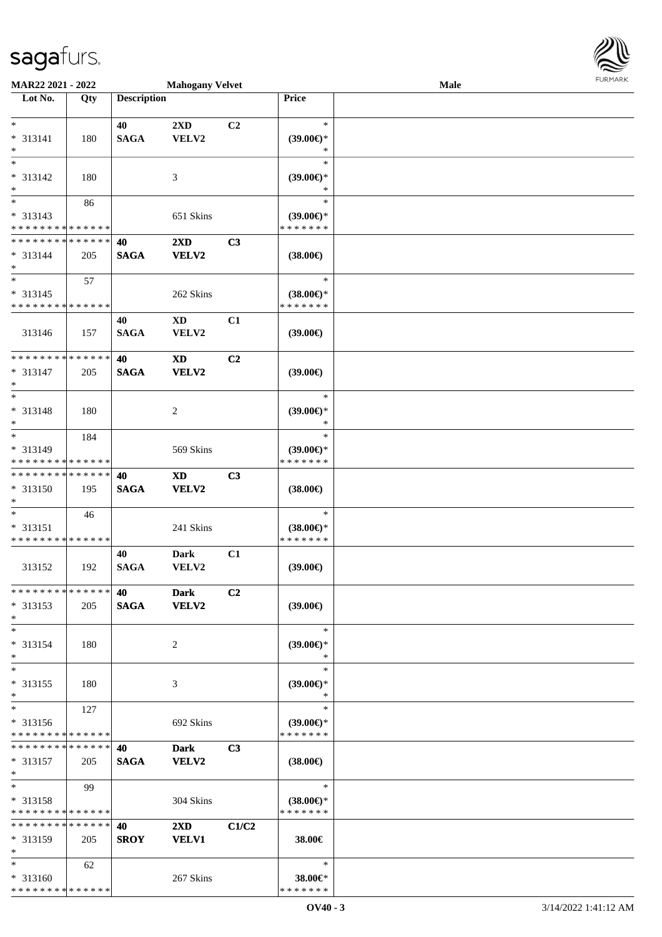

| MAR22 2021 - 2022                       |     |                    | <b>Mahogany Velvet</b>     |                |                     | Male |  |
|-----------------------------------------|-----|--------------------|----------------------------|----------------|---------------------|------|--|
| Lot No.                                 | Qty | <b>Description</b> |                            |                | Price               |      |  |
|                                         |     |                    |                            |                |                     |      |  |
| $\ast$                                  |     | 40                 | 2XD                        | C <sub>2</sub> | $\ast$              |      |  |
| $* 313141$                              | 180 | <b>SAGA</b>        | ${\bf VELV2}$              |                | $(39.00\epsilon)$ * |      |  |
| $\ast$                                  |     |                    |                            |                | $\ast$              |      |  |
| $\ast$                                  |     |                    |                            |                | $\ast$              |      |  |
| * 313142                                |     |                    |                            |                |                     |      |  |
|                                         | 180 |                    | 3                          |                | $(39.00\epsilon)$ * |      |  |
| $\ast$<br>$\overline{\phantom{a}^*}$    |     |                    |                            |                | ∗                   |      |  |
|                                         | 86  |                    |                            |                | $\ast$              |      |  |
| $* 313143$                              |     |                    | 651 Skins                  |                | $(39.00\epsilon)$ * |      |  |
| * * * * * * * * * * * * * *             |     |                    |                            |                | * * * * * * *       |      |  |
| **************                          |     | 40                 | $2\mathbf{X}\mathbf{D}$    | C3             |                     |      |  |
| $* 313144$                              | 205 | <b>SAGA</b>        | <b>VELV2</b>               |                | $(38.00\epsilon)$   |      |  |
| $\ast$                                  |     |                    |                            |                |                     |      |  |
| $\ast$                                  | 57  |                    |                            |                | $\ast$              |      |  |
| $* 313145$                              |     |                    | 262 Skins                  |                | $(38.00\epsilon)$ * |      |  |
| * * * * * * * * * * * * * *             |     |                    |                            |                | * * * * * * *       |      |  |
|                                         |     | 40                 | <b>XD</b>                  | C1             |                     |      |  |
|                                         |     |                    |                            |                |                     |      |  |
| 313146                                  | 157 | <b>SAGA</b>        | VELV2                      |                | (39.00)             |      |  |
|                                         |     |                    |                            |                |                     |      |  |
| ******** <mark>******</mark>            |     | 40                 | <b>XD</b>                  | C <sub>2</sub> |                     |      |  |
| * 313147                                | 205 | <b>SAGA</b>        | <b>VELV2</b>               |                | (39.00)             |      |  |
| $\ast$                                  |     |                    |                            |                |                     |      |  |
| $\ast$                                  |     |                    |                            |                | $\ast$              |      |  |
| * 313148                                | 180 |                    | $\overline{c}$             |                | $(39.00\epsilon)$ * |      |  |
| $\ast$                                  |     |                    |                            |                | ∗                   |      |  |
| $\ast$                                  | 184 |                    |                            |                | $\ast$              |      |  |
| * 313149                                |     |                    | 569 Skins                  |                | $(39.00\epsilon)$ * |      |  |
| * * * * * * * * * * * * * *             |     |                    |                            |                | * * * * * * *       |      |  |
| **************                          |     | 40                 |                            |                |                     |      |  |
|                                         |     |                    | $\boldsymbol{\mathrm{XD}}$ | C3             |                     |      |  |
| * 313150                                | 195 | <b>SAGA</b>        | VELV2                      |                | $(38.00\epsilon)$   |      |  |
| $\ast$                                  |     |                    |                            |                |                     |      |  |
| $\ast$                                  | 46  |                    |                            |                | $\ast$              |      |  |
| $* 313151$                              |     |                    | 241 Skins                  |                | $(38.00\epsilon)$ * |      |  |
| * * * * * * * * * * * * * *             |     |                    |                            |                | * * * * * * *       |      |  |
|                                         |     | 40                 | <b>Dark</b>                | C1             |                     |      |  |
| 313152                                  | 192 | <b>SAGA</b>        | VELV2                      |                | (39.00)             |      |  |
|                                         |     |                    |                            |                |                     |      |  |
| * * * * * * * * * * * * * *             |     | 40                 | <b>Dark</b>                | C <sub>2</sub> |                     |      |  |
| $* 313153$                              | 205 | <b>SAGA</b>        | <b>VELV2</b>               |                | $(39.00\epsilon)$   |      |  |
| $\ast$                                  |     |                    |                            |                |                     |      |  |
| $\ast$                                  |     |                    |                            |                | $\ast$              |      |  |
| $* 313154$                              | 180 |                    |                            |                | $(39.00\epsilon)$ * |      |  |
|                                         |     |                    | 2                          |                |                     |      |  |
| $\ast$                                  |     |                    |                            |                | ∗                   |      |  |
| $\ast$                                  |     |                    |                            |                | $\ast$              |      |  |
| $* 313155$                              | 180 |                    | 3                          |                | $(39.00\epsilon)$ * |      |  |
| $\ast$                                  |     |                    |                            |                | $\ast$              |      |  |
| $\ast$                                  | 127 |                    |                            |                | $\ast$              |      |  |
| * 313156                                |     |                    | 692 Skins                  |                | $(39.00€)$ *        |      |  |
| * * * * * * * * * * * * * *             |     |                    |                            |                | * * * * * * *       |      |  |
| * * * * * * * * * * * * * *             |     | 40                 | <b>Dark</b>                | C <sub>3</sub> |                     |      |  |
| $* 313157$                              | 205 | <b>SAGA</b>        | <b>VELV2</b>               |                | $(38.00\epsilon)$   |      |  |
| $\ast$                                  |     |                    |                            |                |                     |      |  |
| $*$                                     | 99  |                    |                            |                | $\ast$              |      |  |
|                                         |     |                    |                            |                | $(38.00\epsilon)$ * |      |  |
| * 313158<br>* * * * * * * * * * * * * * |     |                    | 304 Skins                  |                | * * * * * * *       |      |  |
|                                         |     |                    |                            |                |                     |      |  |
| * * * * * * * * * * * * * *             |     | 40                 | $2\mathbf{X}\mathbf{D}$    | C1/C2          |                     |      |  |
| $* 313159$                              | 205 | <b>SROY</b>        | <b>VELV1</b>               |                | 38.00€              |      |  |
| $\ast$                                  |     |                    |                            |                |                     |      |  |
| $*$                                     | 62  |                    |                            |                | $\ast$              |      |  |
| $* 313160$                              |     |                    | 267 Skins                  |                | 38.00€*             |      |  |
| * * * * * * * * * * * * * *             |     |                    |                            |                | * * * * * * *       |      |  |
|                                         |     |                    |                            |                |                     |      |  |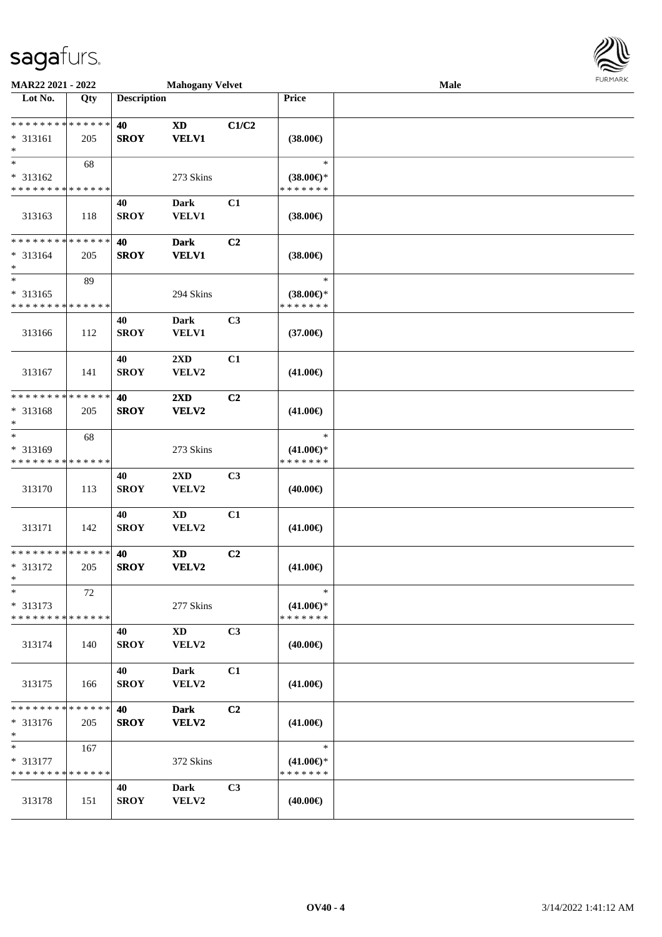

| MAR22 2021 - 2022                                    |     |                    | <b>Mahogany Velvet</b>                     |                |                                                | Male | FURMARK |
|------------------------------------------------------|-----|--------------------|--------------------------------------------|----------------|------------------------------------------------|------|---------|
| Lot No.                                              | Qty | <b>Description</b> |                                            |                | Price                                          |      |         |
| * * * * * * * * * * * * * *<br>* 313161<br>$\ast$    | 205 | 40<br><b>SROY</b>  | $\boldsymbol{\mathrm{XD}}$<br><b>VELV1</b> | C1/C2          | $(38.00\epsilon)$                              |      |         |
| $\ast$<br>* 313162<br>* * * * * * * * * * * * * *    | 68  |                    | 273 Skins                                  |                | $\ast$<br>$(38.00\epsilon)$ *<br>* * * * * * * |      |         |
| 313163                                               | 118 | 40<br><b>SROY</b>  | <b>Dark</b><br><b>VELV1</b>                | C1             | $(38.00\epsilon)$                              |      |         |
| ******** <mark>******</mark><br>$* 313164$<br>$\ast$ | 205 | 40<br><b>SROY</b>  | <b>Dark</b><br><b>VELV1</b>                | C <sub>2</sub> | $(38.00\epsilon)$                              |      |         |
| $\ast$<br>$* 313165$<br>* * * * * * * * * * * * * *  | 89  |                    | 294 Skins                                  |                | $\ast$<br>$(38.00\epsilon)$ *<br>* * * * * * * |      |         |
| 313166                                               | 112 | 40<br><b>SROY</b>  | <b>Dark</b><br><b>VELV1</b>                | C <sub>3</sub> | $(37.00\epsilon)$                              |      |         |
| 313167                                               | 141 | 40<br><b>SROY</b>  | 2XD<br>VELV2                               | C1             | $(41.00\epsilon)$                              |      |         |
| * * * * * * * * * * * * * *<br>* 313168<br>$\ast$    | 205 | 40<br><b>SROY</b>  | 2XD<br><b>VELV2</b>                        | C2             | $(41.00\epsilon)$                              |      |         |
| $\ast$<br>* 313169<br>* * * * * * * * * * * * * *    | 68  |                    | 273 Skins                                  |                | $\ast$<br>$(41.00\epsilon)$ *<br>* * * * * * * |      |         |
| 313170                                               | 113 | 40<br><b>SROY</b>  | 2XD<br>VELV2                               | C <sub>3</sub> | $(40.00\epsilon)$                              |      |         |
| 313171                                               | 142 | 40<br><b>SROY</b>  | $\mathbf{X}\mathbf{D}$<br>VELV2            | C1             | $(41.00\epsilon)$                              |      |         |
| **************<br>* 313172<br>$*$                    | 205 | 40<br><b>SROY</b>  | <b>XD</b><br><b>VELV2</b>                  | C <sub>2</sub> | $(41.00\epsilon)$                              |      |         |
| $\ast$<br>$* 313173$<br>* * * * * * * * * * * * * *  | 72  |                    | 277 Skins                                  |                | $\ast$<br>$(41.00\epsilon)$ *<br>* * * * * * * |      |         |
| 313174                                               | 140 | 40<br><b>SROY</b>  | $\mathbf{X}\mathbf{D}$<br>VELV2            | C3             | $(40.00\epsilon)$                              |      |         |
| 313175                                               | 166 | 40<br><b>SROY</b>  | <b>Dark</b><br>VELV2                       | C1             | $(41.00\epsilon)$                              |      |         |
| * * * * * * * * * * * * * *<br>$* 313176$<br>$\ast$  | 205 | 40<br><b>SROY</b>  | <b>Dark</b><br><b>VELV2</b>                | C <sub>2</sub> | $(41.00\epsilon)$                              |      |         |
| $\ast$<br>* 313177<br>* * * * * * * * * * * * * *    | 167 |                    | 372 Skins                                  |                | $\ast$<br>$(41.00\epsilon)$ *<br>* * * * * * * |      |         |
| 313178                                               | 151 | 40<br><b>SROY</b>  | <b>Dark</b><br>VELV2                       | C3             | $(40.00\epsilon)$                              |      |         |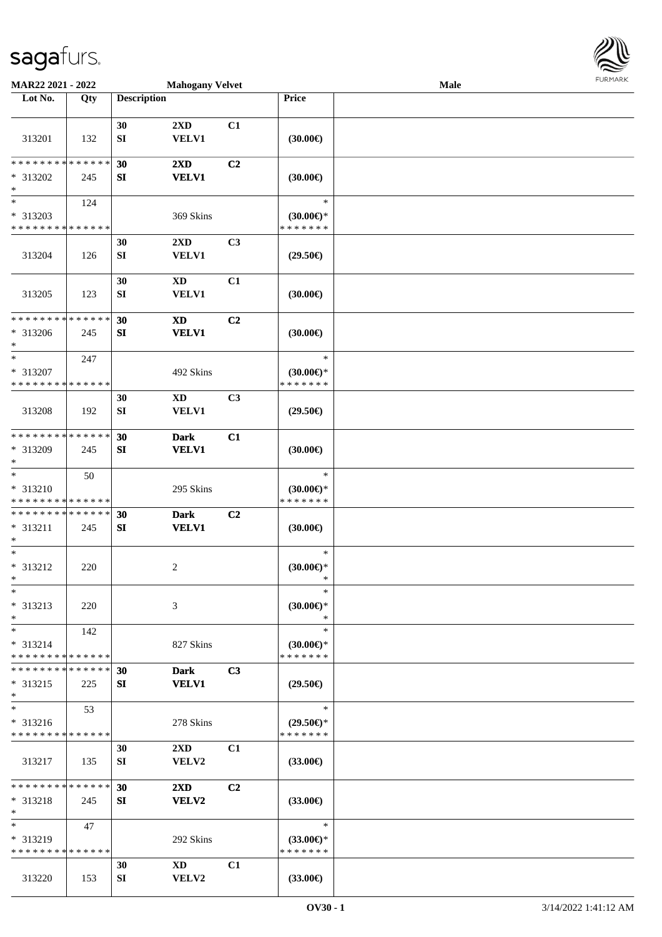

| MAR22 2021 - 2022                                                   |     |                        | <b>Mahogany Velvet</b>                  |                |                                                | Male |  |
|---------------------------------------------------------------------|-----|------------------------|-----------------------------------------|----------------|------------------------------------------------|------|--|
| Lot No.                                                             | Qty | <b>Description</b>     |                                         |                | Price                                          |      |  |
| 313201                                                              | 132 | 30<br>${\bf SI}$       | $2\mathbf{X}\mathbf{D}$<br><b>VELV1</b> | C1             | (30.00)                                        |      |  |
| * * * * * * * * * * * * * *<br>* 313202<br>$\ast$                   | 245 | 30<br>SI               | 2XD<br><b>VELV1</b>                     | C <sub>2</sub> | (30.00)                                        |      |  |
| $\overline{\phantom{1}}$<br>* 313203<br>* * * * * * * * * * * * * * | 124 |                        | 369 Skins                               |                | $\ast$<br>$(30.00\epsilon)$ *<br>* * * * * * * |      |  |
| 313204                                                              | 126 | 30<br>${\bf S}{\bf I}$ | 2XD<br><b>VELV1</b>                     | C <sub>3</sub> | $(29.50\epsilon)$                              |      |  |
| 313205                                                              | 123 | 30<br>${\bf SI}$       | <b>XD</b><br>VELV1                      | C1             | (30.00)                                        |      |  |
| * * * * * * * * * * * * * *<br>* 313206<br>$\ast$                   | 245 | 30<br>SI               | <b>XD</b><br><b>VELV1</b>               | C2             | (30.00)                                        |      |  |
| $\ast$<br>* 313207<br>* * * * * * * * * * * * * *                   | 247 |                        | 492 Skins                               |                | $\ast$<br>$(30.00\epsilon)$ *<br>* * * * * * * |      |  |
| 313208                                                              | 192 | 30<br>SI               | <b>XD</b><br><b>VELV1</b>               | C3             | $(29.50\epsilon)$                              |      |  |
| * * * * * * * * * * * * * *<br>* 313209<br>$\ast$                   | 245 | 30<br>SI               | <b>Dark</b><br><b>VELV1</b>             | C1             | (30.00)                                        |      |  |
| $\ast$<br>* 313210<br>* * * * * * * * * * * * * *                   | 50  |                        | 295 Skins                               |                | $\ast$<br>$(30.00\epsilon)$ *<br>* * * * * * * |      |  |
| * * * * * * * * * * * * * *<br>* 313211<br>$\ast$                   | 245 | 30<br>SI               | <b>Dark</b><br><b>VELV1</b>             | C2             | $(30.00\epsilon)$                              |      |  |
| $\ast$<br>* 313212<br>$*$                                           | 220 |                        | $\overline{c}$                          |                | $\ast$<br>(30.00)<br>$\ast$                    |      |  |
| $*$<br>$* 313213$<br>$\ast$                                         | 220 |                        | 3                                       |                | $\ast$<br>$(30.00\epsilon)$ *<br>$\ast$        |      |  |
| $*$<br>* 313214<br>* * * * * * * * * * * * * *                      | 142 |                        | 827 Skins                               |                | $\ast$<br>$(30.00\epsilon)$ *<br>* * * * * * * |      |  |
| * * * * * * * * * * * * * *<br>$* 313215$<br>$\ast$                 | 225 | 30<br>SI               | <b>Dark</b><br><b>VELV1</b>             | C3             | $(29.50\epsilon)$                              |      |  |
| $\ast$<br>$* 313216$<br>* * * * * * * * * * * * * *                 | 53  |                        | 278 Skins                               |                | $\ast$<br>$(29.50\epsilon)$ *<br>* * * * * * * |      |  |
| 313217                                                              | 135 | 30<br>SI               | $2\mathbf{X}\mathbf{D}$<br><b>VELV2</b> | C1             | $(33.00\epsilon)$                              |      |  |
| * * * * * * * * * * * * * *<br>$* 313218$<br>$\ast$                 | 245 | 30<br>SI               | $2\mathbf{X}\mathbf{D}$<br><b>VELV2</b> | C <sub>2</sub> | $(33.00\epsilon)$                              |      |  |
| $\ast$<br>* 313219<br>* * * * * * * * * * * * * *                   | 47  |                        | 292 Skins                               |                | $\ast$<br>$(33.00€)$ *<br>* * * * * * *        |      |  |
| 313220                                                              | 153 | 30<br>SI               | XD<br>VELV2                             | C1             | $(33.00\epsilon)$                              |      |  |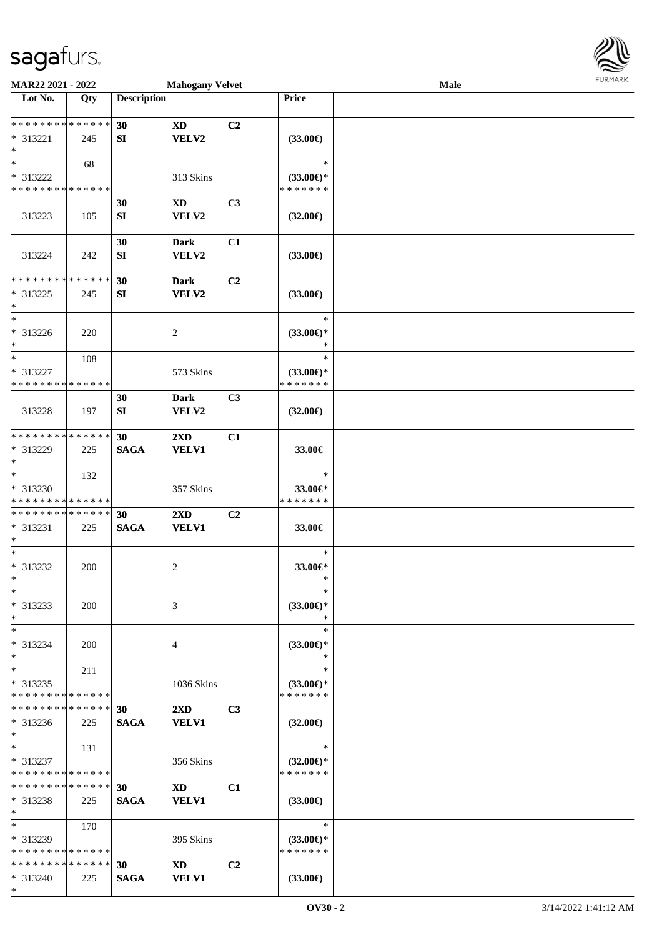

| MAR22 2021 - 2022                          |            |                    | <b>Mahogany Velvet</b>  |                |                          | Male |  |
|--------------------------------------------|------------|--------------------|-------------------------|----------------|--------------------------|------|--|
| Lot No.                                    | Qty        | <b>Description</b> |                         |                | Price                    |      |  |
|                                            |            |                    |                         |                |                          |      |  |
| * * * * * * * * * * * * * *                |            | 30                 | <b>XD</b>               | C2             |                          |      |  |
| * 313221                                   | 245        | SI                 | <b>VELV2</b>            |                | $(33.00\epsilon)$        |      |  |
| $\ast$                                     |            |                    |                         |                |                          |      |  |
| $\ast$                                     | 68         |                    |                         |                | $\ast$                   |      |  |
| * 313222                                   |            |                    | 313 Skins               |                | $(33.00\epsilon)$ *      |      |  |
| * * * * * * * * * * * * * *                |            |                    |                         |                | * * * * * * *            |      |  |
|                                            |            | 30                 | XD                      | C <sub>3</sub> |                          |      |  |
|                                            |            |                    |                         |                |                          |      |  |
| 313223                                     | 105        | ${\bf S}{\bf I}$   | VELV2                   |                | $(32.00\epsilon)$        |      |  |
|                                            |            |                    |                         |                |                          |      |  |
|                                            |            | 30                 | <b>Dark</b>             | C1             |                          |      |  |
| 313224                                     | 242        | ${\bf S}{\bf I}$   | VELV2                   |                | $(33.00\epsilon)$        |      |  |
|                                            |            |                    |                         |                |                          |      |  |
| * * * * * * * * * * * * * *                |            | 30                 | <b>Dark</b>             | C <sub>2</sub> |                          |      |  |
| $* 313225$                                 | 245        | SI                 | <b>VELV2</b>            |                | $(33.00\epsilon)$        |      |  |
| $\ast$                                     |            |                    |                         |                |                          |      |  |
| $\ast$                                     |            |                    |                         |                | $\ast$                   |      |  |
| $* 313226$                                 | 220        |                    | 2                       |                | $(33.00\epsilon)$ *      |      |  |
| $\ast$                                     |            |                    |                         |                | $\ast$                   |      |  |
| $\ast$                                     | 108        |                    |                         |                | $\ast$                   |      |  |
| * 313227                                   |            |                    | 573 Skins               |                | $(33.00\epsilon)$ *      |      |  |
| * * * * * * * * * * * * * *                |            |                    |                         |                | * * * * * * *            |      |  |
|                                            |            | 30                 | <b>Dark</b>             | C3             |                          |      |  |
| 313228                                     | 197        | SI                 | VELV2                   |                | $(32.00\epsilon)$        |      |  |
|                                            |            |                    |                         |                |                          |      |  |
| * * * * * * * * * * * * * *                |            | 30                 | $2\mathbf{X}\mathbf{D}$ | C1             |                          |      |  |
| * 313229                                   | 225        | <b>SAGA</b>        | <b>VELV1</b>            |                | 33.00€                   |      |  |
| $\ast$                                     |            |                    |                         |                |                          |      |  |
| $\ast$                                     | 132        |                    |                         |                | $\ast$                   |      |  |
| * 313230                                   |            |                    |                         |                |                          |      |  |
| * * * * * * * * * * * * * *                |            |                    | 357 Skins               |                | 33.00€*<br>* * * * * * * |      |  |
|                                            |            |                    |                         |                |                          |      |  |
| **************                             |            | 30                 | 2XD                     | C2             |                          |      |  |
| $* 313231$                                 | 225        | <b>SAGA</b>        | <b>VELV1</b>            |                | 33.00€                   |      |  |
| $\ast$                                     |            |                    |                         |                |                          |      |  |
| $\ast$                                     |            |                    |                         |                | $\ast$                   |      |  |
| * 313232                                   | 200        |                    | 2                       |                | 33.00€*                  |      |  |
| $*$                                        |            |                    |                         |                | $\ast$                   |      |  |
| $*$                                        |            |                    |                         |                | $\ast$                   |      |  |
| * 313233                                   | <b>200</b> |                    | 3                       |                | $(33.00\epsilon)$ *      |      |  |
| $\ast$                                     |            |                    |                         |                | ∗                        |      |  |
| $\ast$                                     |            |                    |                         |                | $\ast$                   |      |  |
| * 313234                                   | 200        |                    | 4                       |                | $(33.00 \in )^*$         |      |  |
| $\ast$                                     |            |                    |                         |                | ∗                        |      |  |
| $\ast$                                     | 211        |                    |                         |                | $\ast$                   |      |  |
| $* 313235$                                 |            |                    | 1036 Skins              |                | $(33.00\epsilon)$ *      |      |  |
| * * * * * * * * * * * * * *                |            |                    |                         |                | * * * * * * *            |      |  |
| * * * * * * * * * * * * * * *              |            | 30                 | $2\mathbf{X}\mathbf{D}$ | C <sub>3</sub> |                          |      |  |
| $* 313236$                                 | 225        | <b>SAGA</b>        | <b>VELV1</b>            |                | $(32.00\epsilon)$        |      |  |
| $*$                                        |            |                    |                         |                |                          |      |  |
| $*$                                        | 131        |                    |                         |                | $\ast$                   |      |  |
| * 313237                                   |            |                    | 356 Skins               |                | $(32.00\epsilon)$ *      |      |  |
| * * * * * * * * <mark>* * * * * * *</mark> |            |                    |                         |                | * * * * * * *            |      |  |
| * * * * * * * * * * * * * *                |            | 30                 | <b>XD</b>               | C1             |                          |      |  |
|                                            |            |                    |                         |                |                          |      |  |
| $* 313238$<br>$*$                          | 225        | <b>SAGA</b>        | <b>VELV1</b>            |                | $(33.00\epsilon)$        |      |  |
| $*$                                        |            |                    |                         |                | $\ast$                   |      |  |
|                                            | 170        |                    |                         |                |                          |      |  |
| * 313239                                   |            |                    | 395 Skins               |                | $(33.00\epsilon)$ *      |      |  |
| * * * * * * * * * * * * * *                |            |                    |                         |                | * * * * * * *            |      |  |
| * * * * * * * * * * * * * *                |            | 30                 | <b>XD</b>               | C2             |                          |      |  |
| $* 313240$                                 | 225        | <b>SAGA</b>        | <b>VELV1</b>            |                | $(33.00\epsilon)$        |      |  |
| $*$                                        |            |                    |                         |                |                          |      |  |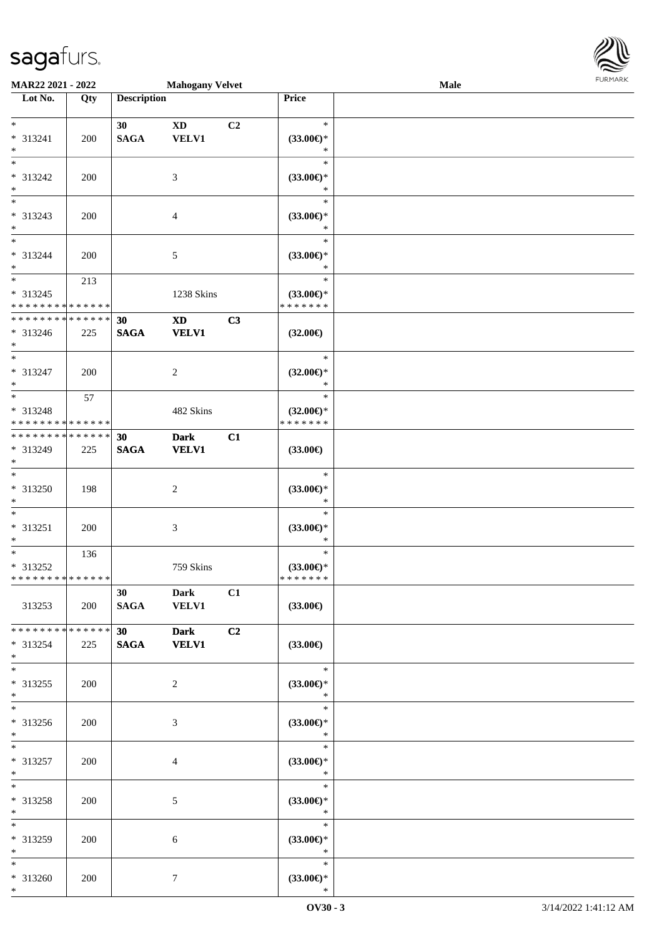| MAR22 2021 - 2022                  |            |                    | <b>Mahogany Velvet</b>      |    |                               | Male | $1 \times 1 \times 1 \times 1 \times 1$ |
|------------------------------------|------------|--------------------|-----------------------------|----|-------------------------------|------|-----------------------------------------|
| Lot No.                            | Qty        | <b>Description</b> |                             |    | Price                         |      |                                         |
| $*$                                |            |                    |                             |    | $\ast$                        |      |                                         |
| $* 313241$                         |            | 30                 | <b>XD</b>                   | C2 |                               |      |                                         |
| $*$                                | 200        | <b>SAGA</b>        | <b>VELV1</b>                |    | $(33.00\epsilon)$ *<br>$\ast$ |      |                                         |
| $\overline{\ast}$                  |            |                    |                             |    | $\ast$                        |      |                                         |
| * 313242                           | 200        |                    | 3                           |    | $(33.00\epsilon)$ *           |      |                                         |
| $*$                                |            |                    |                             |    | $\ast$                        |      |                                         |
| $*$                                |            |                    |                             |    | $\ast$                        |      |                                         |
| * 313243                           | 200        |                    | $\overline{4}$              |    | $(33.00\epsilon)$ *           |      |                                         |
| $\ast$<br>$*$                      |            |                    |                             |    | $\ast$                        |      |                                         |
|                                    |            |                    |                             |    | $\ast$                        |      |                                         |
| * 313244<br>$*$                    | 200        |                    | $\sqrt{5}$                  |    | $(33.00\epsilon)$ *<br>$\ast$ |      |                                         |
|                                    | 213        |                    |                             |    | $\ast$                        |      |                                         |
| * 313245                           |            |                    | 1238 Skins                  |    | $(33.00\epsilon)$ *           |      |                                         |
| * * * * * * * * * * * * * *        |            |                    |                             |    | * * * * * * *                 |      |                                         |
| ******** <mark>******</mark>       |            | 30                 | $\mathbf{X}\mathbf{D}$      | C3 |                               |      |                                         |
| * 313246                           | 225        | <b>SAGA</b>        | <b>VELV1</b>                |    | $(32.00\epsilon)$             |      |                                         |
| $*$                                |            |                    |                             |    |                               |      |                                         |
| $*$                                |            |                    |                             |    | $\ast$                        |      |                                         |
| * 313247<br>$*$                    | 200        |                    | $\overline{c}$              |    | $(32.00\epsilon)$ *<br>$\ast$ |      |                                         |
| $\overline{\ast}$                  | 57         |                    |                             |    | $\ast$                        |      |                                         |
| * 313248                           |            |                    | 482 Skins                   |    | $(32.00\epsilon)$ *           |      |                                         |
| * * * * * * * * * * * * * *        |            |                    |                             |    | * * * * * * *                 |      |                                         |
| * * * * * * * * * * * * * *        |            | 30                 | <b>Dark</b>                 | C1 |                               |      |                                         |
| * 313249                           | 225        | <b>SAGA</b>        | <b>VELV1</b>                |    | $(33.00\epsilon)$             |      |                                         |
| $*$                                |            |                    |                             |    |                               |      |                                         |
| $*$                                |            |                    |                             |    | $\ast$                        |      |                                         |
| $* 313250$                         | 198        |                    | $\sqrt{2}$                  |    | $(33.00\epsilon)$ *           |      |                                         |
| $\ast$<br>$\overline{\phantom{0}}$ |            |                    |                             |    | $\ast$<br>$\ast$              |      |                                         |
| $* 313251$                         | 200        |                    | 3                           |    | $(33.00\epsilon)$ *           |      |                                         |
| $*$                                |            |                    |                             |    | $\ast$                        |      |                                         |
| $*$                                | 136        |                    |                             |    | $\ast$                        |      |                                         |
| $* 313252$                         |            |                    | 759 Skins                   |    | $(33.00\epsilon)$ *           |      |                                         |
| * * * * * * * * * * * * * *        |            |                    |                             |    | * * * * * * *                 |      |                                         |
|                                    |            | 30 <sup>1</sup>    | Dark                        | C1 |                               |      |                                         |
| 313253                             | 200        | <b>SAGA</b>        | <b>VELV1</b>                |    | $(33.00\epsilon)$             |      |                                         |
| * * * * * * * * * * * * * *        |            |                    |                             |    |                               |      |                                         |
| $* 313254$                         | 225        | 30<br><b>SAGA</b>  | <b>Dark</b><br><b>VELV1</b> | C2 | $(33.00\epsilon)$             |      |                                         |
| $*$                                |            |                    |                             |    |                               |      |                                         |
| $*$                                |            |                    |                             |    | $\ast$                        |      |                                         |
| * 313255                           | 200        |                    | 2                           |    | $(33.00\epsilon)$ *           |      |                                         |
| $*$                                |            |                    |                             |    | $\ast$                        |      |                                         |
| $*$                                |            |                    |                             |    | $\ast$                        |      |                                         |
| $* 313256$                         | 200        |                    | 3                           |    | $(33.00\epsilon)$ *           |      |                                         |
| $*$                                |            |                    |                             |    | $\ast$                        |      |                                         |
| $*$                                |            |                    |                             |    | $\ast$                        |      |                                         |
| * 313257<br>$*$                    | 200        |                    | 4                           |    | $(33.00\epsilon)$ *<br>$*$    |      |                                         |
| $*$                                |            |                    |                             |    | $\ast$                        |      |                                         |
| * 313258                           | 200        |                    | 5                           |    | $(33.00\epsilon)$ *           |      |                                         |
| $*$                                |            |                    |                             |    | $\ast$                        |      |                                         |
| $*$                                |            |                    |                             |    | $\ast$                        |      |                                         |
| * 313259                           | <b>200</b> |                    | 6                           |    | $(33.00\epsilon)$ *           |      |                                         |
| $*$                                |            |                    |                             |    | $\ast$                        |      |                                         |
| $*$                                |            |                    |                             |    | $\ast$                        |      |                                         |
| * 313260                           | 200        |                    | $\tau$                      |    | $(33.00\epsilon)$ *           |      |                                         |
| $*$                                |            |                    |                             |    | $\ast$                        |      |                                         |

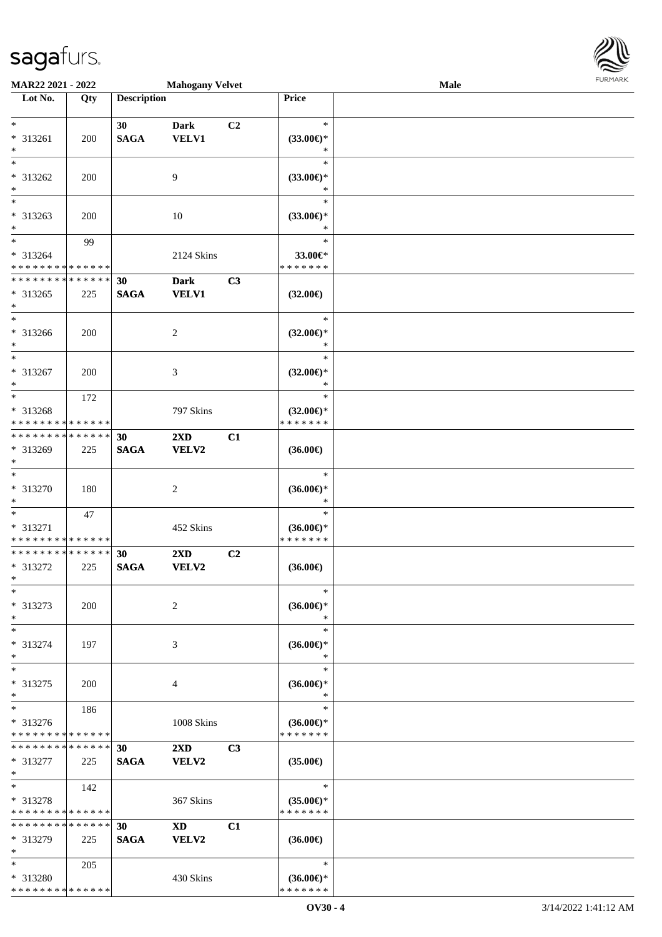| MAR22 2021 - 2022                       |             |                    | <b>Mahogany Velvet</b>  |    |                                      | Male |  |
|-----------------------------------------|-------------|--------------------|-------------------------|----|--------------------------------------|------|--|
| $\overline{\phantom{1}}$ Lot No.        | Qty         | <b>Description</b> |                         |    | Price                                |      |  |
|                                         |             |                    |                         |    |                                      |      |  |
| $\ast$                                  |             | 30                 | <b>Dark</b>             | C2 | $\ast$                               |      |  |
| * 313261                                | 200         | <b>SAGA</b>        | VELV1                   |    | $(33.00\epsilon)$ *                  |      |  |
| $\ast$<br>$_{\ast}$                     |             |                    |                         |    | $\ast$                               |      |  |
|                                         |             |                    |                         |    | $\ast$                               |      |  |
| * 313262                                | 200         |                    | 9                       |    | $(33.00\epsilon)$ *                  |      |  |
| $\ast$                                  |             |                    |                         |    | $\ast$                               |      |  |
| $\ast$                                  |             |                    |                         |    | $\ast$                               |      |  |
| * 313263                                | 200         |                    | 10                      |    | $(33.00\epsilon)$ *                  |      |  |
| $\ast$<br>$\overline{\phantom{a}^*}$    |             |                    |                         |    | $\ast$                               |      |  |
|                                         | 99          |                    |                         |    | $\ast$                               |      |  |
| * 313264                                |             |                    | 2124 Skins              |    | 33.00€*                              |      |  |
| * * * * * * * * * * * * * *             |             |                    |                         |    | * * * * * * *                        |      |  |
| * * * * * * * * * * * * * *             |             | 30                 | <b>Dark</b>             | C3 |                                      |      |  |
| $* 313265$                              | 225         | <b>SAGA</b>        | <b>VELV1</b>            |    | $(32.00\epsilon)$                    |      |  |
| $\ast$                                  |             |                    |                         |    |                                      |      |  |
| $\ast$                                  |             |                    |                         |    | $\ast$                               |      |  |
| $* 313266$                              | 200         |                    | $\overline{c}$          |    | $(32.00\epsilon)$ *                  |      |  |
| $\ast$<br>$\overline{\phantom{a}^*}$    |             |                    |                         |    | $\ast$                               |      |  |
|                                         |             |                    |                         |    | $\ast$                               |      |  |
| * 313267                                | 200         |                    | 3                       |    | $(32.00\epsilon)$ *                  |      |  |
| $\ast$                                  |             |                    |                         |    | $\ast$                               |      |  |
| $\overline{\phantom{a}^*}$              | 172         |                    |                         |    | $\ast$                               |      |  |
| * 313268                                |             |                    | 797 Skins               |    | $(32.00\epsilon)$ *                  |      |  |
| * * * * * * * * * * * * * *             |             |                    |                         |    | * * * * * * *                        |      |  |
| **************                          |             | 30                 | 2XD                     | C1 |                                      |      |  |
| * 313269                                | 225         | <b>SAGA</b>        | VELV2                   |    | $(36.00\epsilon)$                    |      |  |
| $\ast$<br>$\overline{\ast}$             |             |                    |                         |    |                                      |      |  |
|                                         |             |                    |                         |    | $\ast$                               |      |  |
| * 313270                                | 180         |                    | $\sqrt{2}$              |    | $(36.00\epsilon)$ *                  |      |  |
| $\ast$                                  |             |                    |                         |    | $\ast$                               |      |  |
| $\ast$                                  | 47          |                    |                         |    | $\ast$                               |      |  |
| * 313271                                |             |                    | 452 Skins               |    | $(36.00\epsilon)$ *                  |      |  |
| * * * * * * * * * * * * * *             |             |                    |                         |    | * * * * * * *                        |      |  |
| **************                          |             | 30                 | $2\mathbf{X}\mathbf{D}$ | C2 |                                      |      |  |
| * 313272                                | 225         | $\mathbf{SAGA}$    | VELV2                   |    | $(36.00\epsilon)$                    |      |  |
| $*$                                     |             |                    |                         |    | $\ast$                               |      |  |
| $\ast$                                  |             |                    |                         |    |                                      |      |  |
| * 313273                                | 200         |                    | $\overline{c}$          |    | $(36.00\epsilon)$ *                  |      |  |
| $\ast$<br>$\ast$                        |             |                    |                         |    | $\ast$<br>$\ast$                     |      |  |
|                                         |             |                    |                         |    |                                      |      |  |
| * 313274<br>$\ast$                      | 197         |                    | 3                       |    | $(36.00\epsilon)$ *<br>$\ast$        |      |  |
| $\ast$                                  |             |                    |                         |    | $\ast$                               |      |  |
|                                         |             |                    |                         |    |                                      |      |  |
| * 313275<br>$\ast$                      | 200         |                    | 4                       |    | $(36.00\epsilon)$ *<br>$\ast$        |      |  |
| $\ast$                                  |             |                    |                         |    | $\ast$                               |      |  |
|                                         | 186         |                    |                         |    |                                      |      |  |
| * 313276<br>* * * * * * * * * * * * * * |             |                    | 1008 Skins              |    | $(36.00\epsilon)$ *<br>* * * * * * * |      |  |
| * * * * * * * * * * * * * *             |             | 30                 |                         | C3 |                                      |      |  |
| * 313277                                |             |                    | $2\mathbf{X}\mathbf{D}$ |    |                                      |      |  |
| $\ast$                                  | 225         | <b>SAGA</b>        | VELV2                   |    | $(35.00\epsilon)$                    |      |  |
| $\ast$                                  | 142         |                    |                         |    | $\ast$                               |      |  |
| * 313278                                |             |                    | 367 Skins               |    | $(35.00\epsilon)$ *                  |      |  |
| * * * * * * * * * * * * * *             |             |                    |                         |    | * * * * * * *                        |      |  |
| * * * * * * * *                         | * * * * * * | 30                 | <b>XD</b>               | C1 |                                      |      |  |
| * 313279                                | 225         | <b>SAGA</b>        | VELV2                   |    | $(36.00\epsilon)$                    |      |  |
| $\ast$                                  |             |                    |                         |    |                                      |      |  |
| $\ast$                                  | 205         |                    |                         |    | $\ast$                               |      |  |
| * 313280                                |             |                    | 430 Skins               |    | $(36.00\epsilon)$ *                  |      |  |
| * * * * * * * * * * * * * *             |             |                    |                         |    | * * * * * * *                        |      |  |
|                                         |             |                    |                         |    |                                      |      |  |

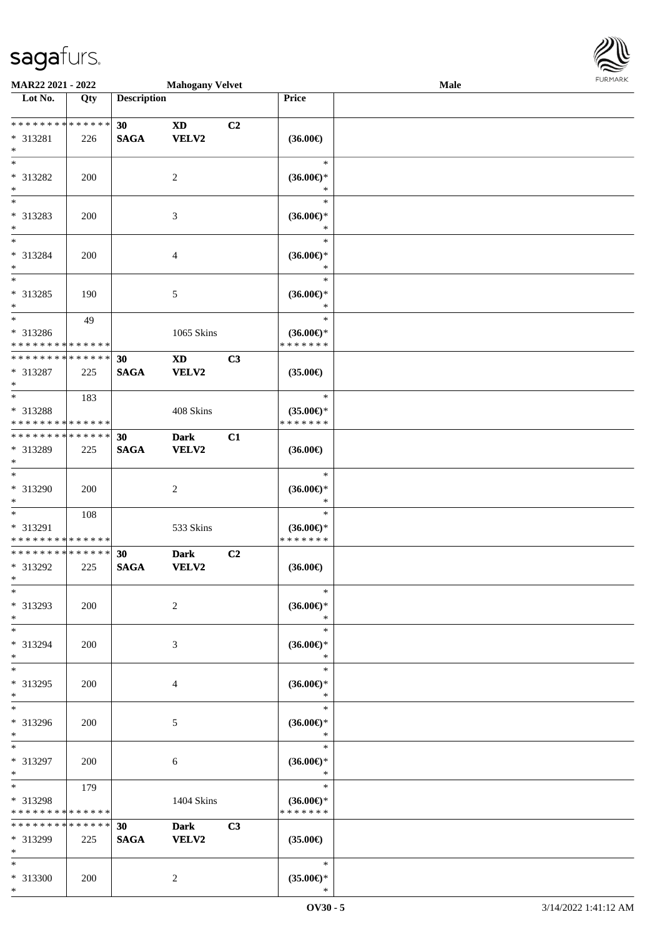

| MAR22 2021 - 2022            |             |                    | <b>Mahogany Velvet</b>    |                |                                | <b>Male</b> |  |
|------------------------------|-------------|--------------------|---------------------------|----------------|--------------------------------|-------------|--|
| Lot No.                      | Qty         | <b>Description</b> |                           |                | Price                          |             |  |
| ******** <mark>******</mark> |             |                    |                           |                |                                |             |  |
| * 313281                     |             | 30<br><b>SAGA</b>  | <b>XD</b><br><b>VELV2</b> | C2             | $(36.00\epsilon)$              |             |  |
| $\ast$                       | 226         |                    |                           |                |                                |             |  |
| $*$                          |             |                    |                           |                | $\ast$                         |             |  |
| * 313282                     | 200         |                    | $\overline{c}$            |                | $(36.00\epsilon)$ *            |             |  |
| $\ast$                       |             |                    |                           |                | *                              |             |  |
| $\overline{\phantom{0}}$     |             |                    |                           |                | $\ast$                         |             |  |
| * 313283                     | 200         |                    | 3                         |                | $(36.00\epsilon)$ *            |             |  |
| $\ast$                       |             |                    |                           |                | $\ast$                         |             |  |
| $\overline{\ast}$            |             |                    |                           |                | $\ast$                         |             |  |
| * 313284                     | 200         |                    | 4                         |                | $(36.00\epsilon)$ *            |             |  |
| $\ast$<br>$\overline{\ast}$  |             |                    |                           |                | $\ast$                         |             |  |
|                              |             |                    |                           |                | $\ast$                         |             |  |
| $* 313285$<br>$*$            | 190         |                    | 5                         |                | $(36.00\epsilon)$ *<br>$\ast$  |             |  |
| $*$                          | 49          |                    |                           |                | $\ast$                         |             |  |
| * 313286                     |             |                    | 1065 Skins                |                | $(36.00\epsilon)$ *            |             |  |
| * * * * * * * * * * * * * *  |             |                    |                           |                | * * * * * * *                  |             |  |
| ******** <mark>******</mark> |             | 30                 | <b>XD</b>                 | C3             |                                |             |  |
| * 313287                     | 225         | <b>SAGA</b>        | VELV2                     |                | $(35.00\epsilon)$              |             |  |
| $*$                          |             |                    |                           |                |                                |             |  |
| $*$                          | 183         |                    |                           |                | $\ast$                         |             |  |
| * 313288                     |             |                    | 408 Skins                 |                | $(35.00\epsilon)$ *            |             |  |
| * * * * * * * * * * * * * *  |             |                    |                           |                | * * * * * * *                  |             |  |
| * * * * * * * * * * * * * *  |             | 30                 | <b>Dark</b>               | C1             |                                |             |  |
| * 313289<br>$*$              | 225         | <b>SAGA</b>        | <b>VELV2</b>              |                | $(36.00\epsilon)$              |             |  |
| $*$                          |             |                    |                           |                | $\ast$                         |             |  |
| * 313290                     | 200         |                    | $\overline{c}$            |                | $(36.00\epsilon)$ *            |             |  |
| $*$                          |             |                    |                           |                | $\ast$                         |             |  |
| $\overline{\phantom{0}}$     | 108         |                    |                           |                | $\ast$                         |             |  |
| * 313291                     |             |                    | 533 Skins                 |                | $(36.00\epsilon)$ *            |             |  |
| * * * * * * * * * * * * * *  |             |                    |                           |                | * * * * * * *                  |             |  |
| * * * * * * * * * * * * * *  |             | 30                 | <b>Dark</b>               | C <sub>2</sub> |                                |             |  |
| * 313292<br>$*$              | 225         | <b>SAGA</b>        | <b>VELV2</b>              |                | $(36.00\epsilon)$              |             |  |
| $*$                          |             |                    |                           |                | $\ast$                         |             |  |
| * 313293                     | 200         |                    | 2                         |                | $(36.00\epsilon)$ *            |             |  |
| $*$                          |             |                    |                           |                | ∗                              |             |  |
| $*$                          |             |                    |                           |                | $\ast$                         |             |  |
| * 313294                     | 200         |                    | 3                         |                | $(36.00\epsilon)$ *            |             |  |
| $*$                          |             |                    |                           |                | $\ast$                         |             |  |
| $*$                          |             |                    |                           |                | $\ast$                         |             |  |
| * 313295                     | 200         |                    | 4                         |                | $(36.00\epsilon)$ *            |             |  |
| $*$<br>$*$                   |             |                    |                           |                | $\ast$<br>$\ast$               |             |  |
| * 313296                     |             |                    |                           |                |                                |             |  |
| $*$                          | 200         |                    | 5                         |                | $(36.00\epsilon)$ *<br>$\ast$  |             |  |
| $*$                          |             |                    |                           |                | $\ast$                         |             |  |
| * 313297                     | 200         |                    | 6                         |                | $(36.00\epsilon)$ *            |             |  |
| $*$                          |             |                    |                           |                | $\ast$                         |             |  |
| $*$ $*$                      | 179         |                    |                           |                | $\ast$                         |             |  |
| * 313298                     |             |                    | 1404 Skins                |                | $(36.00\epsilon)$ *            |             |  |
| * * * * * * * * * * * * * *  |             |                    |                           |                | * * * * * * *                  |             |  |
| * * * * * * * *              | * * * * * * | 30                 | <b>Dark</b>               | C3             |                                |             |  |
| * 313299<br>$\ast$           | 225         | <b>SAGA</b>        | VELV2                     |                | $(35.00\epsilon)$              |             |  |
| $*$                          |             |                    |                           |                | $\ast$                         |             |  |
| * 313300                     | 200         |                    | $\overline{c}$            |                | $(35.00\mathnormal{\infty})^*$ |             |  |
| $*$                          |             |                    |                           |                | $\ast$                         |             |  |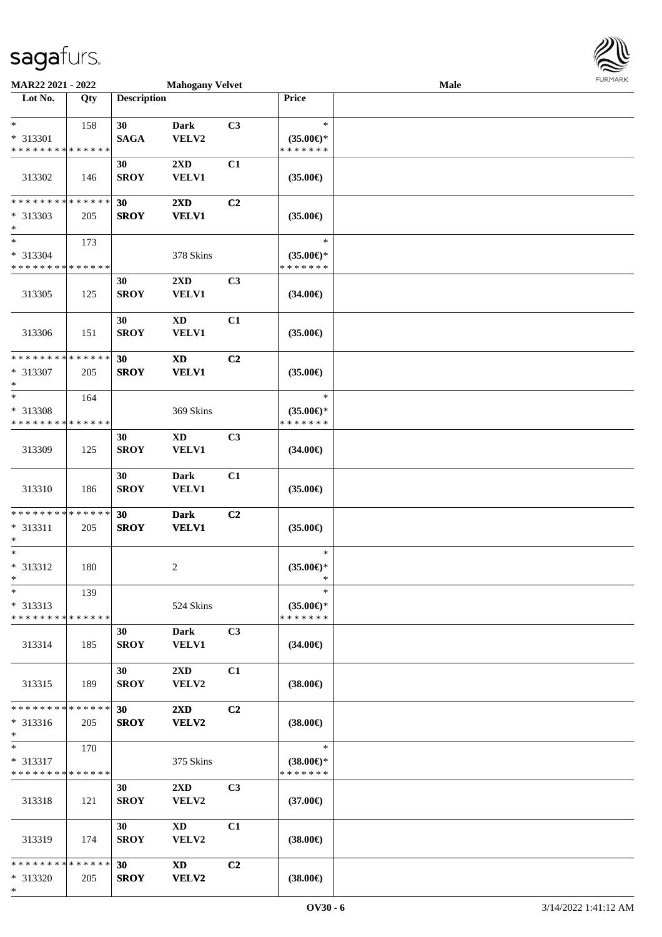\*

| MAR22 2021 - 2022                                                             |     |                                | <b>Mahogany Velvet</b>                  |    |                                                | Male |  |
|-------------------------------------------------------------------------------|-----|--------------------------------|-----------------------------------------|----|------------------------------------------------|------|--|
| Lot No.                                                                       | Qty | <b>Description</b>             |                                         |    | Price                                          |      |  |
| $\ast$<br>* 313301                                                            | 158 | 30<br><b>SAGA</b>              | <b>Dark</b><br>VELV2                    | C3 | $\ast$<br>$(35.00\epsilon)$ *                  |      |  |
| * * * * * * * * * * * * * *<br>313302                                         | 146 | 30<br><b>SROY</b>              | 2XD<br><b>VELV1</b>                     | C1 | * * * * * * *<br>$(35.00\epsilon)$             |      |  |
| * * * * * * * * * * * * * *<br>* 313303                                       | 205 | 30<br><b>SROY</b>              | $2\mathbf{X}\mathbf{D}$<br><b>VELV1</b> | C2 | $(35.00\epsilon)$                              |      |  |
| $\ast$<br>$\overline{\phantom{1}}$<br>* 313304<br>* * * * * * * * * * * * * * | 173 |                                | 378 Skins                               |    | $\ast$<br>$(35.00\epsilon)$ *<br>* * * * * * * |      |  |
| 313305                                                                        | 125 | 30<br><b>SROY</b>              | $2\mathbf{X}\mathbf{D}$<br><b>VELV1</b> | C3 | $(34.00\epsilon)$                              |      |  |
| 313306                                                                        | 151 | 30<br><b>SROY</b>              | <b>XD</b><br><b>VELV1</b>               | C1 | $(35.00\epsilon)$                              |      |  |
| * * * * * * * * * * * * * *<br>* 313307<br>$\ast$                             | 205 | 30<br><b>SROY</b>              | $\mathbf{X}\mathbf{D}$<br><b>VELV1</b>  | C2 | $(35.00\epsilon)$                              |      |  |
| $\ast$<br>* 313308<br>* * * * * * * * * * * * * *                             | 164 |                                | 369 Skins                               |    | $\ast$<br>$(35.00\epsilon)$ *<br>* * * * * * * |      |  |
| 313309                                                                        | 125 | 30<br><b>SROY</b>              | <b>XD</b><br>VELV1                      | C3 | $(34.00\epsilon)$                              |      |  |
| 313310                                                                        | 186 | 30<br><b>SROY</b>              | <b>Dark</b><br><b>VELV1</b>             | C1 | $(35.00\epsilon)$                              |      |  |
| * * * * * * * * * * * * * *<br>* 313311<br>$\ast$                             | 205 | 30<br><b>SROY</b>              | <b>Dark</b><br><b>VELV1</b>             | C2 | $(35.00\epsilon)$                              |      |  |
| $\ast$<br>* 313312<br>$*$                                                     | 180 |                                | $\sqrt{2}$                              |    | $\ast$<br>$(35.00\epsilon)$ *<br>$\ast$        |      |  |
| $\ast$<br>$* 313313$<br>* * * * * * * * * * * * * *                           | 139 |                                | 524 Skins                               |    | $\ast$<br>$(35.00\epsilon)$ *<br>* * * * * * * |      |  |
| 313314                                                                        | 185 | 30<br><b>SROY</b>              | Dark<br><b>VELV1</b>                    | C3 | $(34.00\epsilon)$                              |      |  |
| 313315                                                                        | 189 | 30<br><b>SROY</b>              | $2\mathbf{X}\mathbf{D}$<br>VELV2        | C1 | $(38.00\epsilon)$                              |      |  |
| * * * * * * * * * * * * * *<br>$* 313316$<br>$\ast$                           | 205 | 30 <sup>°</sup><br><b>SROY</b> | $2\mathbf{X}\mathbf{D}$<br>VELV2        | C2 | $(38.00\epsilon)$                              |      |  |
| $*$<br>* 313317<br>* * * * * * * * * * * * * *                                | 170 |                                | 375 Skins                               |    | $\ast$<br>$(38.00\epsilon)$ *<br>* * * * * * * |      |  |
| 313318                                                                        | 121 | 30<br><b>SROY</b>              | $2\mathbf{X}\mathbf{D}$<br>VELV2        | C3 | $(37.00\epsilon)$                              |      |  |
| 313319                                                                        | 174 | 30<br><b>SROY</b>              | XD<br>VELV2                             | C1 | $(38.00\epsilon)$                              |      |  |
| * * * * * * * * * * * * * *<br>* 313320                                       | 205 | 30<br><b>SROY</b>              | <b>XD</b><br><b>VELV2</b>               | C2 | $(38.00\epsilon)$                              |      |  |

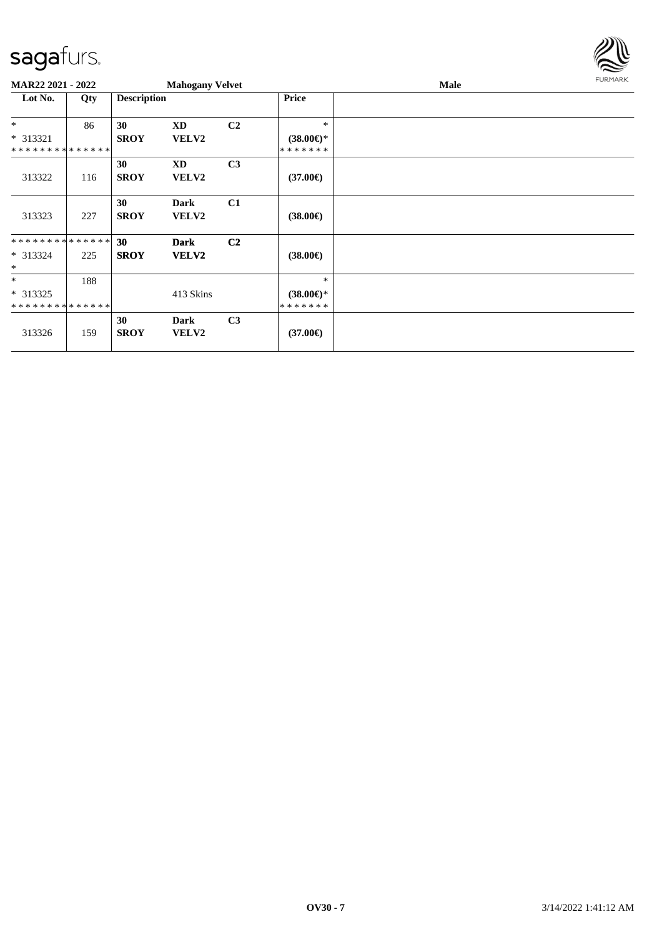

| MAR22 2021 - 2022           |     |                    | <b>Mahogany Velvet</b>      |                |                     | <b>Male</b> | FURMARK |
|-----------------------------|-----|--------------------|-----------------------------|----------------|---------------------|-------------|---------|
| Lot No.                     | Qty | <b>Description</b> |                             |                | <b>Price</b>        |             |         |
| $*$                         | 86  | 30                 | XD                          | C <sub>2</sub> | $\ast$              |             |         |
| * 313321                    |     | <b>SROY</b>        | VELV2                       |                | $(38.00\epsilon)$ * |             |         |
| **************              |     |                    |                             |                | * * * * * * *       |             |         |
|                             |     | 30                 | <b>XD</b>                   | C3             |                     |             |         |
| 313322                      | 116 | <b>SROY</b>        | <b>VELV2</b>                |                | $(37.00\epsilon)$   |             |         |
|                             |     | 30                 | <b>Dark</b>                 | C1             |                     |             |         |
| 313323                      | 227 | <b>SROY</b>        | <b>VELV2</b>                |                | $(38.00\epsilon)$   |             |         |
| **************              |     | 30                 | <b>Dark</b>                 | C2             |                     |             |         |
| * 313324                    | 225 | <b>SROY</b>        | <b>VELV2</b>                |                | $(38.00\epsilon)$   |             |         |
| $\ast$                      |     |                    |                             |                |                     |             |         |
| $\ast$                      | 188 |                    |                             |                | $\ast$              |             |         |
| $* 313325$                  |     |                    | 413 Skins                   |                | $(38.00\epsilon)$ * |             |         |
| * * * * * * * * * * * * * * |     |                    |                             |                | * * * * * * *       |             |         |
| 313326                      | 159 | 30<br><b>SROY</b>  | <b>Dark</b><br><b>VELV2</b> | C <sub>3</sub> | $(37.00\epsilon)$   |             |         |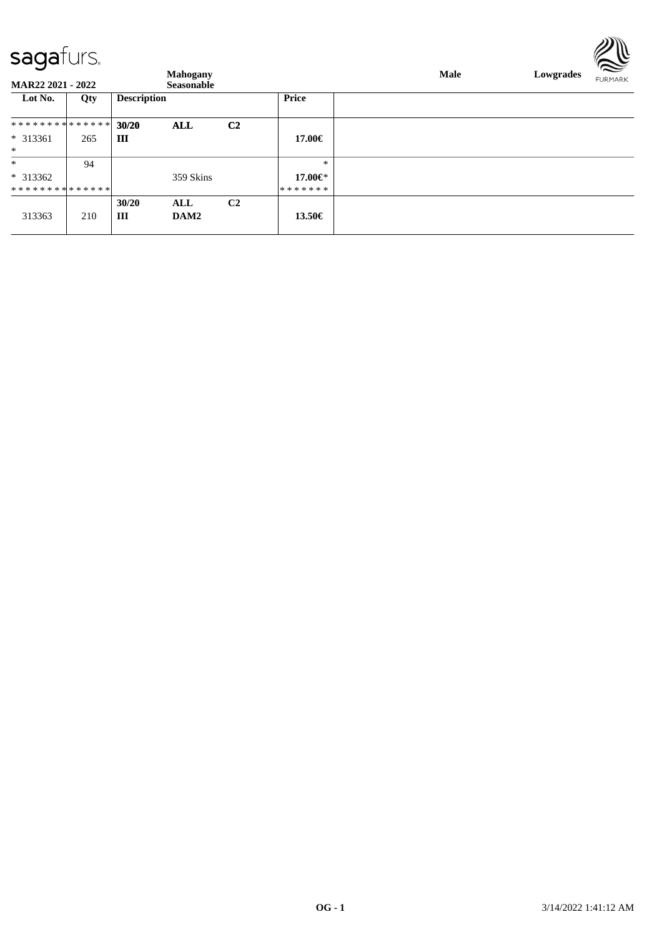**MAR22 2021 - 2022 Seasonable Mahogany Male Lowgrades FURMARK Lot No. Qty Description Price** \* \* \* \* \* \* \* \* \* \* \* \* \* \* **30/20 ALL C2 III 17.00€** \* 313361 265 \* \* 94 \* \* 313362 359 Skins \* **17.00€** \* \* \* \* \* \* \* \* \* \* \* \* \* \* \* \* \* \* \* \* \* **30/20 ALL C2** 313363 210 **III DAM2 13.50€**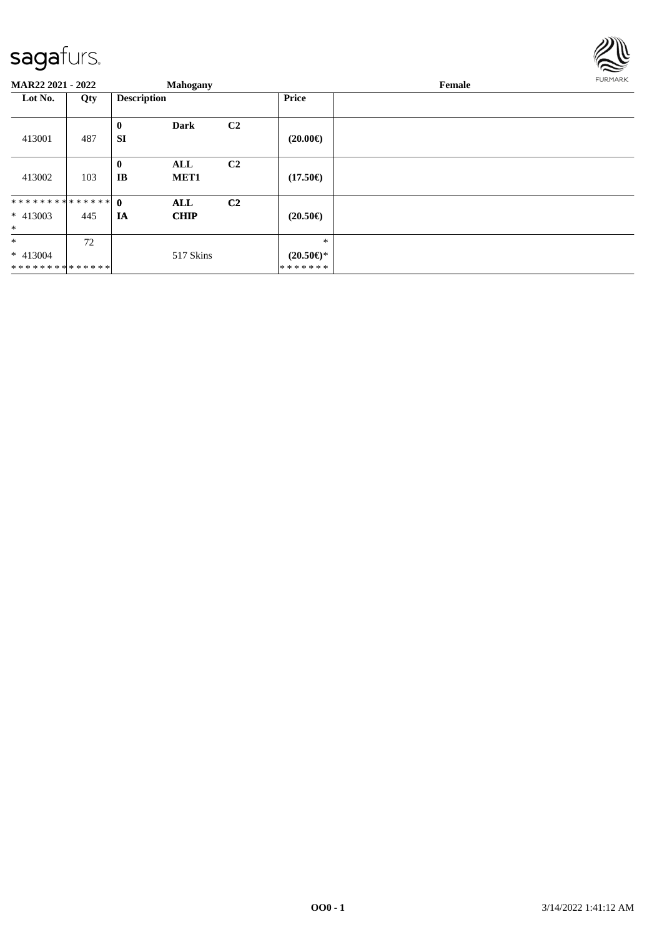

| <b>MAR22 2021 - 2022</b> |     |                       | <b>Mahogany</b>         |                |                           | Female | FURMARK |
|--------------------------|-----|-----------------------|-------------------------|----------------|---------------------------|--------|---------|
| Lot No.                  | Qty | <b>Description</b>    |                         |                | Price                     |        |         |
| 413001                   | 487 | $\bf{0}$<br><b>SI</b> | <b>Dark</b>             | C <sub>2</sub> | $(20.00\epsilon)$         |        |         |
| 413002                   | 103 | $\bf{0}$<br>IB        | ALL<br>MET <sub>1</sub> | C <sub>2</sub> | $(17.50\epsilon)$         |        |         |
|                          |     |                       | <b>ALL</b>              | C <sub>2</sub> |                           |        |         |
| $* 413003$               | 445 | IA                    | <b>CHIP</b>             |                | $(20.50\epsilon)$         |        |         |
| $\ast$                   |     |                       |                         |                |                           |        |         |
| $\ast$                   | 72  |                       |                         |                | $\ast$                    |        |         |
| $* 413004$               |     |                       | 517 Skins               |                | $(20.50 \in \mathcal{F})$ |        |         |
| **************           |     |                       |                         |                | *******                   |        |         |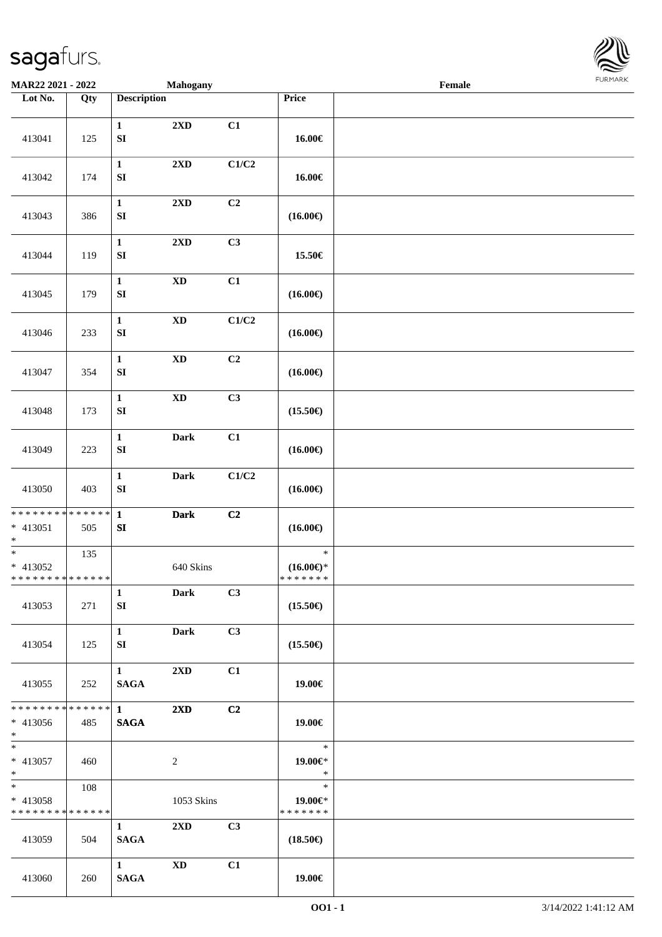

| MAR22 2021 - 2022                                      |     |                                  | <b>Mahogany</b>         |                           |                                                | Female |  |
|--------------------------------------------------------|-----|----------------------------------|-------------------------|---------------------------|------------------------------------------------|--------|--|
| Lot No.                                                | Qty | <b>Description</b>               |                         |                           | Price                                          |        |  |
| 413041                                                 | 125 | $\mathbf{1}$<br>${\bf S}{\bf I}$ | $2{\bf X}{\bf D}$       | C1                        | 16.00€                                         |        |  |
| 413042                                                 | 174 | $\mathbf{1}$<br>${\bf S}{\bf I}$ | 2XD                     | C1/C2                     | 16.00€                                         |        |  |
| 413043                                                 | 386 | $\mathbf{1}$<br>${\bf S}{\bf I}$ | 2XD                     | C <sub>2</sub>            | $(16.00\epsilon)$                              |        |  |
| 413044                                                 | 119 | $\mathbf{1}$<br>${\bf S}{\bf I}$ | $2{\bf X}{\bf D}$       | C3                        | 15.50€                                         |        |  |
| 413045                                                 | 179 | $\mathbf 1$<br>${\bf SI}$        | $\mathbf{X}\mathbf{D}$  | C1                        | $(16.00\epsilon)$                              |        |  |
| 413046                                                 | 233 | $\mathbf 1$<br>${\bf S}{\bf I}$  | $\mathbf{X}\mathbf{D}$  | $\mathbf{C1}/\mathbf{C2}$ | $(16.00\textnormal{\textcircled{\textsf{F}}})$ |        |  |
| 413047                                                 | 354 | $\mathbf{1}$<br>${\bf S}{\bf I}$ | $\mathbf{X}\mathbf{D}$  | C2                        | $(16.00\in)$                                   |        |  |
| 413048                                                 | 173 | $\mathbf 1$<br>${\bf S}{\bf I}$  | $\mathbf{X}\mathbf{D}$  | C3                        | $(15.50\epsilon)$                              |        |  |
| 413049                                                 | 223 | $\mathbf{1}$<br>${\bf S}{\bf I}$ | <b>Dark</b>             | C1                        | $(16.00\textnormal{\textcircled{\textsf{F}}})$ |        |  |
| 413050                                                 | 403 | $\mathbf 1$<br>${\bf S}{\bf I}$  | <b>Dark</b>             | C1/C2                     | $(16.00\in)$                                   |        |  |
| ******** <mark>******</mark><br>$* 413051$<br>$\ast$   | 505 | $\mathbf{1}$<br>${\bf S}{\bf I}$ | <b>Dark</b>             | C2                        | $(16.00\epsilon)$                              |        |  |
| $*$<br>* 413052<br>* * * * * * * * * * * * * *         | 135 |                                  | 640 Skins               |                           | $\ast$<br>$(16.00\epsilon)$ *<br>* * * * * * * |        |  |
| 413053                                                 | 271 | $\mathbf{1}$<br>SI               | <b>Dark</b>             | C3                        | $(15.50\epsilon)$                              |        |  |
| 413054                                                 | 125 | $\mathbf{1}$<br>SI               | <b>Dark</b>             | C3                        | $(15.50\epsilon)$                              |        |  |
| 413055                                                 | 252 | $\mathbf{1}$<br><b>SAGA</b>      | $2\mathbf{X}\mathbf{D}$ | C1                        | 19.00€                                         |        |  |
| * * * * * * * * * * * * * * *<br>* 413056<br>$*$ $*$   | 485 | $1 -$<br><b>SAGA</b>             | $2\mathbf{X}\mathbf{D}$ | C2                        | 19.00€                                         |        |  |
| $*$<br>$* 413057$<br>$*$                               | 460 |                                  | $\overline{2}$          |                           | $\ast$<br>19.00€*<br>$\ast$                    |        |  |
| $*$ and $*$<br>* 413058<br>* * * * * * * * * * * * * * | 108 |                                  | 1053 Skins              |                           | $\ast$<br>19.00€*<br>* * * * * * *             |        |  |
| 413059                                                 | 504 | $\mathbf{1}$<br><b>SAGA</b>      | 2XD                     | C3                        | $(18.50\epsilon)$                              |        |  |
| 413060                                                 | 260 | $\mathbf{1}$<br><b>SAGA</b>      | <b>XD</b>               | C1                        | 19.00€                                         |        |  |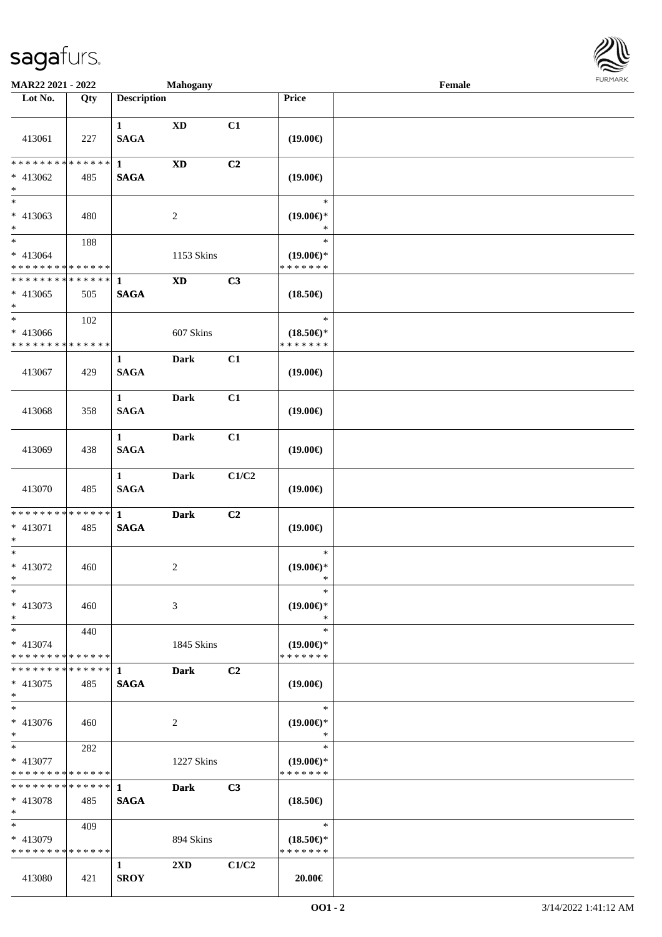

| <b>MAR22 2021 - 2022</b>                                         |     |                                 | Mahogany                |       |                                                | Female |  |
|------------------------------------------------------------------|-----|---------------------------------|-------------------------|-------|------------------------------------------------|--------|--|
| Lot No.                                                          | Qty | <b>Description</b>              |                         |       | Price                                          |        |  |
| 413061                                                           | 227 | $\mathbf{1}$<br>$\mathbf{SAGA}$ | XD                      | C1    | $(19.00\epsilon)$                              |        |  |
| * * * * * * * * * * * * * * *<br>* 413062<br>$*$                 | 485 | $\mathbf{1}$<br><b>SAGA</b>     | $\mathbf{X}\mathbf{D}$  | C2    | $(19.00\epsilon)$                              |        |  |
| $\overline{\phantom{0}}$<br>* 413063<br>$*$                      | 480 |                                 | 2                       |       | $\ast$<br>$(19.00\epsilon)$ *<br>$\ast$        |        |  |
| $*$<br>* 413064<br>* * * * * * * * * * * * * *                   | 188 |                                 | 1153 Skins              |       | $\ast$<br>$(19.00\epsilon)$ *<br>* * * * * * * |        |  |
| ******** <mark>******</mark><br>$* 413065$<br>$\ast$             | 505 | $\mathbf{1}$<br><b>SAGA</b>     | $\mathbf{X}\mathbf{D}$  | C3    | $(18.50\epsilon)$                              |        |  |
| $*$<br>$* 413066$<br>* * * * * * * * * * * * * *                 | 102 |                                 | 607 Skins               |       | $\ast$<br>$(18.50\epsilon)$ *<br>* * * * * * * |        |  |
| 413067                                                           | 429 | $\mathbf{1}$<br><b>SAGA</b>     | <b>Dark</b>             | C1    | $(19.00\epsilon)$                              |        |  |
| 413068                                                           | 358 | $\mathbf{1}$<br><b>SAGA</b>     | Dark                    | C1    | $(19.00\epsilon)$                              |        |  |
| 413069                                                           | 438 | $\mathbf{1}$<br><b>SAGA</b>     | <b>Dark</b>             | C1    | $(19.00\epsilon)$                              |        |  |
| 413070                                                           | 485 | $\mathbf{1}$<br><b>SAGA</b>     | <b>Dark</b>             | C1/C2 | $(19.00\epsilon)$                              |        |  |
| * * * * * * * * * * * * * * <mark>*</mark><br>* 413071<br>$\ast$ | 485 | $\mathbf{1}$<br><b>SAGA</b>     | <b>Dark</b>             | C2    | $(19.00\epsilon)$                              |        |  |
| $*$<br>* 413072<br>$*$                                           | 460 |                                 | $\overline{c}$          |       | $\ast$<br>$(19.00\epsilon)$ *<br>$\ast$        |        |  |
| $\ast$<br>* 413073<br>$\ast$                                     | 460 |                                 | 3                       |       | $\ast$<br>$(19.00\epsilon)$ *<br>∗             |        |  |
| $*$<br>* 413074<br>* * * * * * * * * * * * * *                   | 440 |                                 | 1845 Skins              |       | $\ast$<br>$(19.00\epsilon)$ *<br>* * * * * * * |        |  |
| * * * * * * * * * * * * * * *<br>* 413075<br>$*$                 | 485 | 1<br><b>SAGA</b>                | <b>Dark</b>             | C2    | $(19.00\epsilon)$                              |        |  |
| $*$<br>* 413076<br>$*$                                           | 460 |                                 | 2                       |       | $\ast$<br>$(19.00\epsilon)$ *<br>$\ast$        |        |  |
| $*$ $-$<br>* 413077<br>* * * * * * * * * * * * * *               | 282 |                                 | 1227 Skins              |       | $\ast$<br>$(19.00\epsilon)$ *<br>* * * * * * * |        |  |
| * * * * * * * * * * * * * * <mark>*</mark><br>* 413078<br>$*$    | 485 | $\mathbf{1}$<br><b>SAGA</b>     | <b>Dark</b>             | C3    | $(18.50\epsilon)$                              |        |  |
| $*$<br>$* 413079$<br>* * * * * * * * * * * * * *                 | 409 |                                 | 894 Skins               |       | $\ast$<br>$(18.50\epsilon)$ *<br>* * * * * * * |        |  |
| 413080                                                           | 421 | $\mathbf{1}$<br><b>SROY</b>     | $2\mathbf{X}\mathbf{D}$ | C1/C2 | $20.00 \in$                                    |        |  |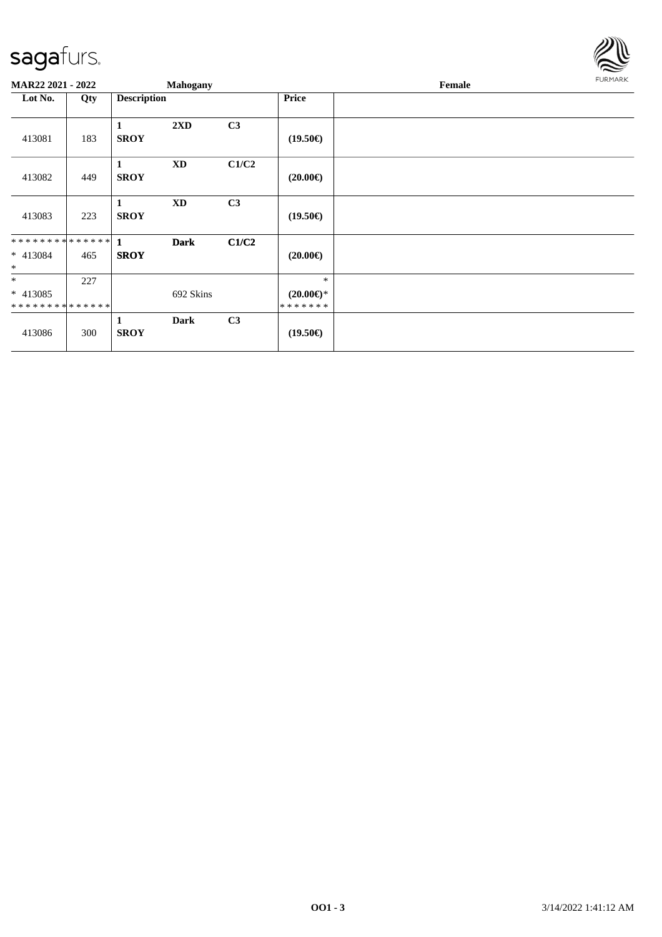

| MAR22 2021 - 2022                                   |     |                    | <b>Mahogany</b>        |                |                                                | Female |  |  |  |
|-----------------------------------------------------|-----|--------------------|------------------------|----------------|------------------------------------------------|--------|--|--|--|
| Lot No.                                             | Qty | <b>Description</b> |                        |                | <b>Price</b>                                   |        |  |  |  |
| 413081                                              | 183 | 1<br><b>SROY</b>   | 2XD                    | C3             | $(19.50\epsilon)$                              |        |  |  |  |
| 413082                                              | 449 | 1<br><b>SROY</b>   | $\mathbf{X}\mathbf{D}$ | C1/C2          | $(20.00\epsilon)$                              |        |  |  |  |
| 413083                                              | 223 | 1<br><b>SROY</b>   | <b>XD</b>              | C <sub>3</sub> | $(19.50\epsilon)$                              |        |  |  |  |
| $* 413084$<br>$\ast$                                | 465 | <b>SROY</b>        | <b>Dark</b>            | C1/C2          | $(20.00\epsilon)$                              |        |  |  |  |
| $\ast$<br>$* 413085$<br>* * * * * * * * * * * * * * | 227 |                    | 692 Skins              |                | $\ast$<br>$(20.00\epsilon)$ *<br>* * * * * * * |        |  |  |  |
| 413086                                              | 300 | 1<br><b>SROY</b>   | <b>Dark</b>            | C3             | $(19.50\epsilon)$                              |        |  |  |  |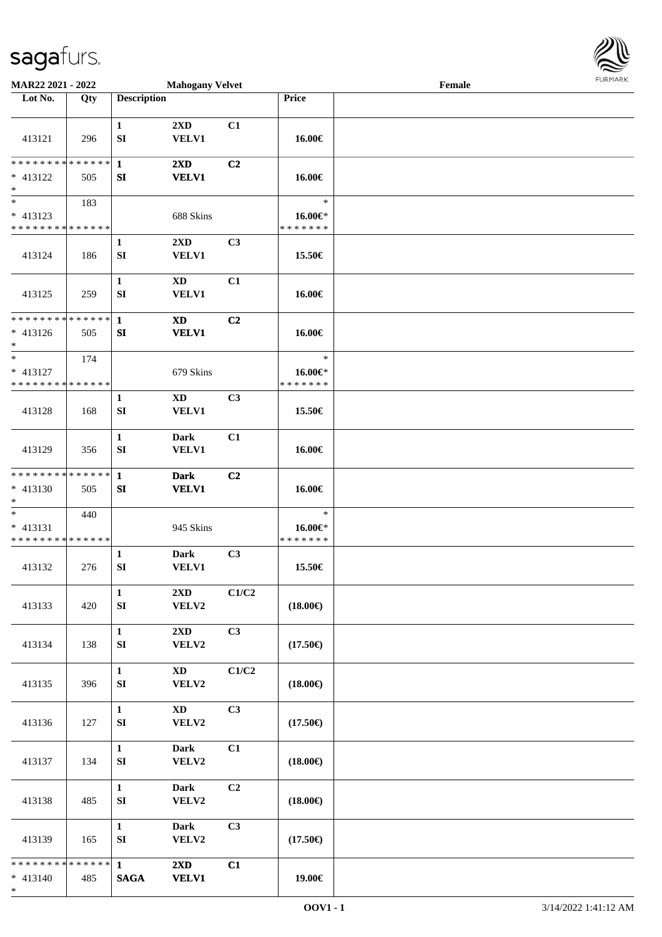

| MAR22 2021 - 2022                                                     |     |                                  | <b>Mahogany Velvet</b>                  |       |                                    | Female |  |
|-----------------------------------------------------------------------|-----|----------------------------------|-----------------------------------------|-------|------------------------------------|--------|--|
| Lot No.                                                               | Qty | <b>Description</b>               |                                         |       | Price                              |        |  |
| 413121                                                                | 296 | $\mathbf{1}$<br>SI               | 2XD<br><b>VELV1</b>                     | C1    | 16.00€                             |        |  |
| ******** <mark>******</mark><br>$* 413122$<br>$\ast$                  | 505 | $\mathbf{1}$<br>SI               | $2\mathbf{X}\mathbf{D}$<br><b>VELV1</b> | C2    | 16.00€                             |        |  |
| $\overline{\phantom{0}}$<br>$* 413123$<br>* * * * * * * * * * * * * * | 183 |                                  | 688 Skins                               |       | $\ast$<br>16.00€*<br>* * * * * * * |        |  |
| 413124                                                                | 186 | $\mathbf{1}$<br>SI               | 2XD<br><b>VELV1</b>                     | C3    | 15.50€                             |        |  |
| 413125                                                                | 259 | $\mathbf{1}$<br>${\bf SI}$       | $\mathbf{X}\mathbf{D}$<br><b>VELV1</b>  | C1    | 16.00€                             |        |  |
| ******** <mark>******</mark><br>$* 413126$<br>$\ast$                  | 505 | $\mathbf{1}$<br>SI               | <b>XD</b><br><b>VELV1</b>               | C2    | 16.00€                             |        |  |
| $\ast$<br>$* 413127$<br>* * * * * * * * * * * * * *                   | 174 |                                  | 679 Skins                               |       | $\ast$<br>16.00€*<br>* * * * * * * |        |  |
| 413128                                                                | 168 | $\mathbf{1}$<br>SI               | <b>XD</b><br><b>VELV1</b>               | C3    | 15.50€                             |        |  |
| 413129                                                                | 356 | $\mathbf{1}$<br>SI               | <b>Dark</b><br><b>VELV1</b>             | C1    | 16.00€                             |        |  |
| * * * * * * * * * * * * * *<br>* 413130<br>$\ast$                     | 505 | $\mathbf{1}$<br>SI               | <b>Dark</b><br><b>VELV1</b>             | C2    | 16.00€                             |        |  |
| $\ast$<br>$* 413131$<br>* * * * * * * * * * * * * *                   | 440 |                                  | 945 Skins                               |       | $\ast$<br>16.00€*<br>* * * * * * * |        |  |
| 413132                                                                | 276 | $\mathbf{1}$<br>${\bf SI}$       | <b>Dark</b><br><b>VELV1</b>             | C3    | 15.50€                             |        |  |
| 413133                                                                | 420 | $\mathbf{1}$<br>SI               | $2{\bf X}{\bf D}$<br>VELV2              | C1/C2 | $(18.00\epsilon)$                  |        |  |
| 413134                                                                | 138 | $\mathbf{1}$<br>${\bf S}{\bf I}$ | 2XD<br>VELV2                            | C3    | $(17.50\epsilon)$                  |        |  |
| 413135                                                                | 396 | $\mathbf{1}$<br>SI               | $\mathbf{X}\mathbf{D}$<br>VELV2         | C1/C2 | $(18.00\epsilon)$                  |        |  |
| 413136                                                                | 127 | $\mathbf{1}$<br>SI               | $\mathbf{X}\mathbf{D}$<br>VELV2         | C3    | $(17.50\epsilon)$                  |        |  |
| 413137                                                                | 134 | $\mathbf{1}$<br>SI               | <b>Dark</b><br>VELV2                    | C1    | $(18.00\epsilon)$                  |        |  |
| 413138                                                                | 485 | $\mathbf{1}$<br>SI               | <b>Dark</b><br>VELV2                    | C2    | $(18.00\epsilon)$                  |        |  |
| 413139                                                                | 165 | $\mathbf{1}$<br>SI               | <b>Dark</b><br>VELV2                    | C3    | $(17.50\epsilon)$                  |        |  |
| * * * * * * * * * * * * * * *<br>$* 413140$<br>$*$                    | 485 | $\mathbf{1}$<br><b>SAGA</b>      | $2\mathbf{X}\mathbf{D}$<br><b>VELV1</b> | C1    | 19.00€                             |        |  |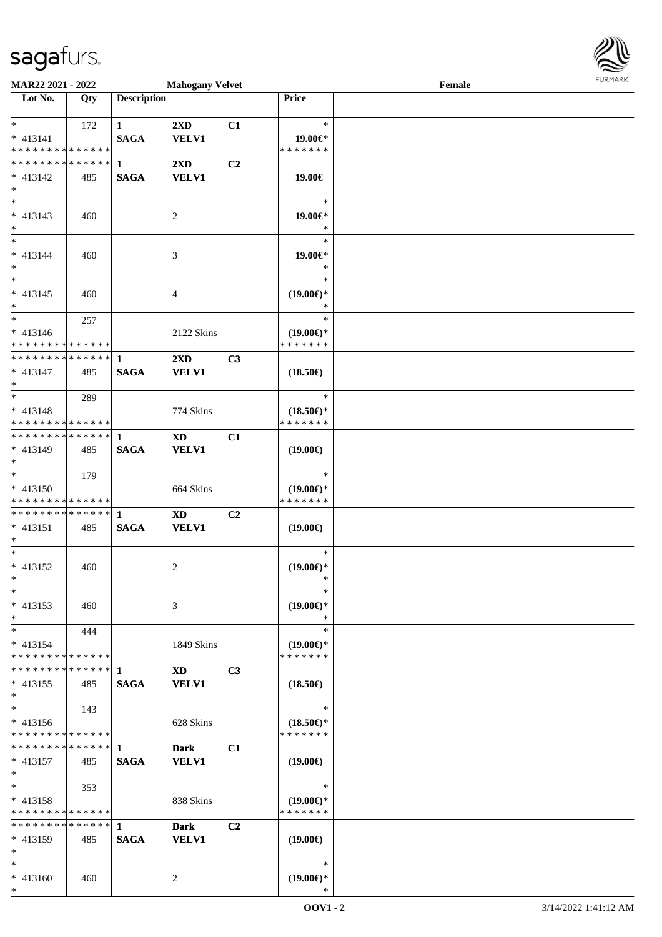

| MAR22 2021 - 2022                          |     |                    | <b>Mahogany Velvet</b> |                |                                      | Female |  |
|--------------------------------------------|-----|--------------------|------------------------|----------------|--------------------------------------|--------|--|
| Lot No.                                    | Qty | <b>Description</b> |                        |                | Price                                |        |  |
|                                            |     |                    |                        |                |                                      |        |  |
| $*$ $*$                                    | 172 | $\mathbf{1}$       | 2XD                    | C1             | $\ast$                               |        |  |
| $* 413141$                                 |     | <b>SAGA</b>        | <b>VELV1</b>           |                | 19.00€*                              |        |  |
| * * * * * * * * * * * * * *                |     |                    |                        |                | * * * * * * *                        |        |  |
| * * * * * * * * * * * * * * *              |     | $\mathbf 1$        | 2XD                    | C <sub>2</sub> |                                      |        |  |
| $* 413142$                                 | 485 | <b>SAGA</b>        | <b>VELV1</b>           |                | 19.00€                               |        |  |
| $\ast$                                     |     |                    |                        |                |                                      |        |  |
| $\overline{\phantom{0}}$                   |     |                    |                        |                | $\ast$                               |        |  |
| $* 413143$                                 | 460 |                    | 2                      |                | $19.00 \in$ *                        |        |  |
| $\ast$                                     |     |                    |                        |                | $\ast$                               |        |  |
| $*$                                        |     |                    |                        |                | $\ast$                               |        |  |
|                                            |     |                    |                        |                |                                      |        |  |
| $* 413144$                                 | 460 |                    | 3                      |                | 19.00€*                              |        |  |
| $\ast$                                     |     |                    |                        |                | $\ast$                               |        |  |
|                                            |     |                    |                        |                | $\ast$                               |        |  |
| $* 413145$                                 | 460 |                    | 4                      |                | $(19.00\epsilon)$ *                  |        |  |
| $*$                                        |     |                    |                        |                | $\ast$                               |        |  |
| $*$                                        | 257 |                    |                        |                | $\ast$                               |        |  |
| $* 413146$                                 |     |                    | 2122 Skins             |                | $(19.00\epsilon)$ *                  |        |  |
| * * * * * * * * * * * * * *                |     |                    |                        |                | * * * * * * *                        |        |  |
| * * * * * * * * <mark>* * * * * * *</mark> |     | $\mathbf{1}$       | 2XD                    | C3             |                                      |        |  |
| $* 413147$                                 | 485 | <b>SAGA</b>        | <b>VELV1</b>           |                | $(18.50\epsilon)$                    |        |  |
| $*$                                        |     |                    |                        |                |                                      |        |  |
| $*$                                        | 289 |                    |                        |                | $\ast$                               |        |  |
| $* 413148$                                 |     |                    | 774 Skins              |                | $(18.50\epsilon)$ *                  |        |  |
| * * * * * * * * * * * * * * *              |     |                    |                        |                | * * * * * * *                        |        |  |
| * * * * * * * * * * * * * * *              |     | 1                  | <b>XD</b>              | C1             |                                      |        |  |
| * 413149                                   | 485 | <b>SAGA</b>        | <b>VELV1</b>           |                | $(19.00\epsilon)$                    |        |  |
| $*$                                        |     |                    |                        |                |                                      |        |  |
| $*$                                        | 179 |                    |                        |                | $\ast$                               |        |  |
|                                            |     |                    |                        |                |                                      |        |  |
| * 413150<br>* * * * * * * * * * * * * *    |     |                    | 664 Skins              |                | $(19.00\epsilon)$ *<br>* * * * * * * |        |  |
|                                            |     |                    |                        |                |                                      |        |  |
| * * * * * * * * * * * * * * *              |     | 1                  | <b>XD</b>              | C2             |                                      |        |  |
| $* 413151$                                 | 485 | <b>SAGA</b>        | <b>VELV1</b>           |                | $(19.00\epsilon)$                    |        |  |
| $*$                                        |     |                    |                        |                |                                      |        |  |
| $*$                                        |     |                    |                        |                | $\ast$                               |        |  |
| * 413152                                   | 460 |                    | 2                      |                | $(19.00\epsilon)$ *                  |        |  |
| $*$ $-$                                    |     |                    |                        |                | ∗                                    |        |  |
| $*$                                        |     |                    |                        |                | $\ast$                               |        |  |
| $* 413153$                                 | 460 |                    | 3                      |                | $(19.00\epsilon)$ *                  |        |  |
| $*$                                        |     |                    |                        |                | $\ast$                               |        |  |
| $*$                                        | 444 |                    |                        |                | $\ast$                               |        |  |
| $* 413154$                                 |     |                    | 1849 Skins             |                | $(19.00\epsilon)$ *                  |        |  |
| * * * * * * * * * * * * * * *              |     |                    |                        |                | * * * * * * *                        |        |  |
| * * * * * * * * * * * * * * *              |     | -1                 | XD                     | C3             |                                      |        |  |
| $* 413155$                                 | 485 | <b>SAGA</b>        | <b>VELV1</b>           |                | $(18.50\epsilon)$                    |        |  |
| $*$                                        |     |                    |                        |                |                                      |        |  |
| $*$                                        | 143 |                    |                        |                | $\ast$                               |        |  |
| * 413156                                   |     |                    | 628 Skins              |                | $(18.50\epsilon)$ *                  |        |  |
| * * * * * * * * * * * * * *                |     |                    |                        |                | * * * * * * *                        |        |  |
| * * * * * * * * * * * * * * *              |     | $\mathbf 1$        | <b>Dark</b>            | C1             |                                      |        |  |
| $* 413157$                                 | 485 | <b>SAGA</b>        | <b>VELV1</b>           |                | $(19.00\epsilon)$                    |        |  |
| $*$                                        |     |                    |                        |                |                                      |        |  |
| $*$                                        |     |                    |                        |                | $\ast$                               |        |  |
|                                            | 353 |                    |                        |                |                                      |        |  |
| $* 413158$                                 |     |                    | 838 Skins              |                | $(19.00\epsilon)$ *                  |        |  |
| * * * * * * * * * * * * * *                |     |                    |                        |                | * * * * * * *                        |        |  |
| * * * * * * * * <mark>* * * * * * *</mark> |     | $\mathbf{1}$       | <b>Dark</b>            | C2             |                                      |        |  |
| * 413159                                   | 485 | <b>SAGA</b>        | <b>VELV1</b>           |                | $(19.00\epsilon)$                    |        |  |
| $*$                                        |     |                    |                        |                |                                      |        |  |
| $*$                                        |     |                    |                        |                | $\ast$                               |        |  |
| * 413160                                   | 460 |                    | 2                      |                | $(19.00\epsilon)$ *                  |        |  |
| $*$                                        |     |                    |                        |                | $\ast$                               |        |  |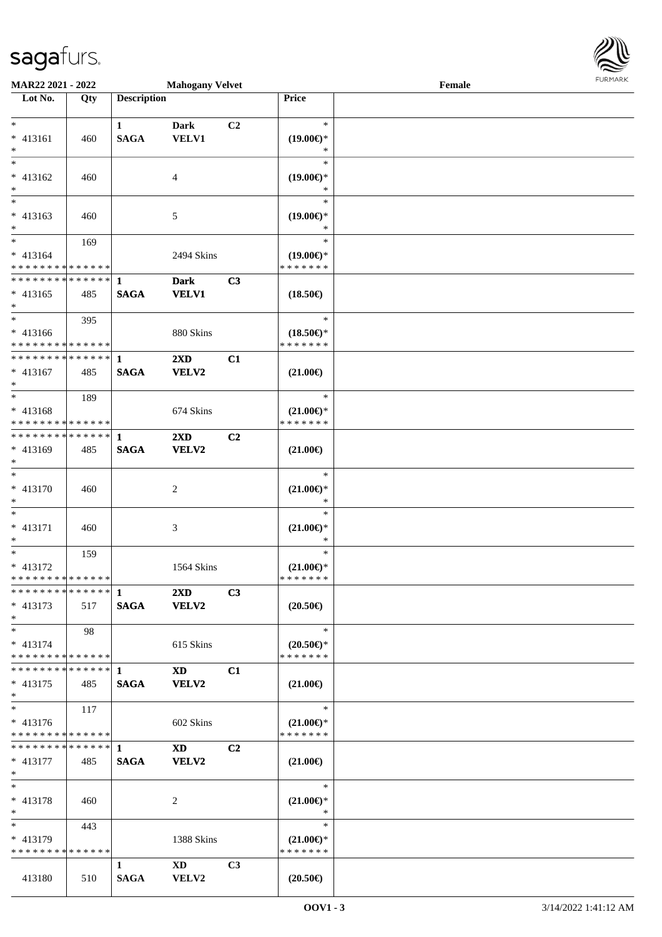

| MAR22 2021 - 2022             |     |                    | <b>Mahogany Velvet</b>  |                |                               | Female | 1.911171777 |
|-------------------------------|-----|--------------------|-------------------------|----------------|-------------------------------|--------|-------------|
| Lot No.                       | Qty | <b>Description</b> |                         |                | Price                         |        |             |
|                               |     |                    |                         |                |                               |        |             |
| $*$                           |     | $\mathbf{1}$       | <b>Dark</b>             | C2             | $\ast$                        |        |             |
| $* 413161$                    | 460 | <b>SAGA</b>        | VELV1                   |                | $(19.00\epsilon)$ *           |        |             |
| $*$                           |     |                    |                         |                | *                             |        |             |
|                               |     |                    |                         |                | $\ast$                        |        |             |
| * 413162                      | 460 |                    | 4                       |                | $(19.00\epsilon)$ *           |        |             |
| $*$                           |     |                    |                         |                | *                             |        |             |
| $*$                           |     |                    |                         |                | $\ast$                        |        |             |
| * 413163                      | 460 |                    | 5                       |                | $(19.00\epsilon)$ *           |        |             |
| $\ast$                        |     |                    |                         |                | $\ast$                        |        |             |
|                               | 169 |                    |                         |                | $\ast$                        |        |             |
| $* 413164$                    |     |                    | 2494 Skins              |                | $(19.00\epsilon)$ *           |        |             |
| * * * * * * * * * * * * * *   |     |                    |                         |                | * * * * * * *                 |        |             |
| ******** <mark>******</mark>  |     | 1                  | <b>Dark</b>             | C3             |                               |        |             |
| $* 413165$                    | 485 | <b>SAGA</b>        | <b>VELV1</b>            |                | $(18.50\epsilon)$             |        |             |
| $*$                           |     |                    |                         |                |                               |        |             |
| $*$                           | 395 |                    |                         |                | $\ast$                        |        |             |
| $* 413166$                    |     |                    | 880 Skins               |                | $(18.50\epsilon)$ *           |        |             |
| * * * * * * * * * * * * * * * |     |                    |                         |                | * * * * * * *                 |        |             |
| * * * * * * * * * * * * * * * |     | $\mathbf{1}$       | 2XD                     | C1             |                               |        |             |
| $* 413167$                    | 485 | <b>SAGA</b>        | VELV2                   |                | $(21.00\epsilon)$             |        |             |
| $*$                           |     |                    |                         |                |                               |        |             |
|                               | 189 |                    |                         |                | $\ast$                        |        |             |
| $* 413168$                    |     |                    | 674 Skins               |                | $(21.00\mathbb{E})^*$         |        |             |
| * * * * * * * * * * * * * * * |     |                    |                         |                | * * * * * * *                 |        |             |
| * * * * * * * * * * * * * * * |     | $\mathbf{1}$       | 2XD                     | C2             |                               |        |             |
| * 413169                      | 485 | <b>SAGA</b>        | VELV2                   |                | $(21.00\epsilon)$             |        |             |
| $*$                           |     |                    |                         |                |                               |        |             |
| $*$                           |     |                    |                         |                | $\ast$                        |        |             |
| * 413170                      | 460 |                    | 2                       |                | $(21.00\epsilon)$ *           |        |             |
| $*$                           |     |                    |                         |                | $\ast$                        |        |             |
| $*$                           |     |                    |                         |                | $\ast$                        |        |             |
| $* 413171$                    | 460 |                    | 3                       |                | $(21.00\epsilon)$ *           |        |             |
| $*$                           |     |                    |                         |                | $\ast$                        |        |             |
| $*$                           | 159 |                    |                         |                | $\ast$                        |        |             |
| * 413172                      |     |                    | 1564 Skins              |                | $(21.00 \in )^*$              |        |             |
| * * * * * * * * * * * * * *   |     |                    |                         |                | * * * * * * *                 |        |             |
|                               |     |                    | $2\mathbf{X}\mathbf{D}$ | C3             |                               |        |             |
| $* 413173$                    | 517 | <b>SAGA</b>        | VELV2                   |                | $(20.50\epsilon)$             |        |             |
| $*$                           |     |                    |                         |                |                               |        |             |
| $*$                           | 98  |                    |                         |                | $\ast$                        |        |             |
| $* 413174$                    |     |                    | 615 Skins               |                | $(20.50\epsilon)$ *           |        |             |
| * * * * * * * * * * * * * * * |     |                    |                         |                | * * * * * * *                 |        |             |
| * * * * * * * * * * * * * * * |     | $\mathbf{1}$       | <b>XD</b>               | C1             |                               |        |             |
| $* 413175$                    | 485 | <b>SAGA</b>        | VELV2                   |                | $(21.00\epsilon)$             |        |             |
| $*$                           |     |                    |                         |                |                               |        |             |
| $*$                           | 117 |                    |                         |                | $\ast$                        |        |             |
| $* 413176$                    |     |                    | 602 Skins               |                | $(21.00\epsilon)$ *           |        |             |
| * * * * * * * * * * * * * * * |     |                    |                         |                | * * * * * * *                 |        |             |
| * * * * * * * * * * * * * * * |     | $\mathbf{1}$       | <b>XD</b>               | C <sub>2</sub> |                               |        |             |
|                               |     |                    |                         |                |                               |        |             |
| * 413177<br>$*$               | 485 | <b>SAGA</b>        | VELV2                   |                | $(21.00\epsilon)$             |        |             |
| $*$                           |     |                    |                         |                | $\ast$                        |        |             |
|                               |     |                    |                         |                |                               |        |             |
| * 413178<br>$*$               | 460 |                    | 2                       |                | $(21.00\epsilon)$ *<br>$\ast$ |        |             |
| $*$ $*$                       |     |                    |                         |                | $\ast$                        |        |             |
|                               | 443 |                    |                         |                |                               |        |             |
| $* 413179$                    |     |                    | 1388 Skins              |                | $(21.00\epsilon)$ *           |        |             |
| * * * * * * * * * * * * * *   |     |                    |                         |                | * * * * * * *                 |        |             |
|                               |     | $\mathbf{1}$       | $\mathbf{X}\mathbf{D}$  | C3             |                               |        |             |
| 413180                        | 510 | <b>SAGA</b>        | VELV2                   |                | $(20.50\epsilon)$             |        |             |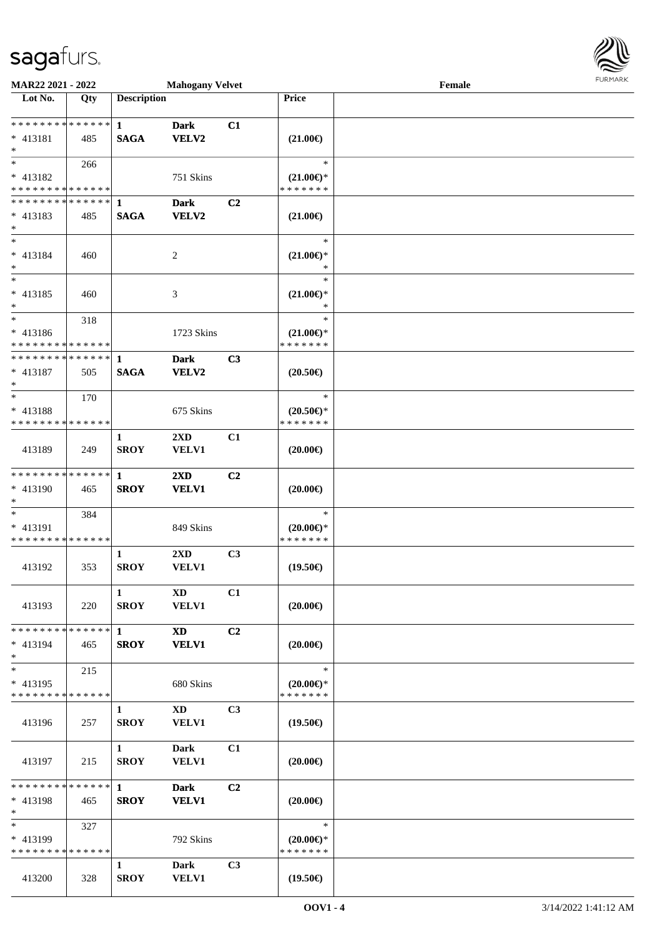

| MAR22 2021 - 2022                       |     |                    | <b>Mahogany Velvet</b>  |                |                                      | Female |  |
|-----------------------------------------|-----|--------------------|-------------------------|----------------|--------------------------------------|--------|--|
| Lot No.                                 | Qty | <b>Description</b> |                         |                | <b>Price</b>                         |        |  |
|                                         |     |                    |                         |                |                                      |        |  |
| ******** <mark>******</mark>            |     | $\mathbf{1}$       | <b>Dark</b>             | C1             |                                      |        |  |
| * 413181                                | 485 | <b>SAGA</b>        | VELV2                   |                | $(21.00\epsilon)$                    |        |  |
| $*$<br>$*$                              |     |                    |                         |                | $\ast$                               |        |  |
| * 413182                                | 266 |                    | 751 Skins               |                |                                      |        |  |
| * * * * * * * * * * * * * *             |     |                    |                         |                | $(21.00\epsilon)$ *<br>* * * * * * * |        |  |
| * * * * * * * * * * * * * * *           |     | -1                 | <b>Dark</b>             | C <sub>2</sub> |                                      |        |  |
| $* 413183$                              | 485 | <b>SAGA</b>        | <b>VELV2</b>            |                | $(21.00\epsilon)$                    |        |  |
| $*$                                     |     |                    |                         |                |                                      |        |  |
| $*$                                     |     |                    |                         |                | $\ast$                               |        |  |
| $* 413184$                              | 460 |                    | $\overline{c}$          |                | $(21.00\epsilon)$ *                  |        |  |
| $*$                                     |     |                    |                         |                | $\ast$                               |        |  |
| $*$                                     |     |                    |                         |                | $\ast$                               |        |  |
| $* 413185$                              | 460 |                    | 3                       |                | $(21.00\epsilon)$ *                  |        |  |
| $*$<br>$*$                              |     |                    |                         |                | $\ast$<br>$\ast$                     |        |  |
| * 413186                                | 318 |                    | 1723 Skins              |                |                                      |        |  |
| * * * * * * * * * * * * * *             |     |                    |                         |                | $(21.00\epsilon)$ *<br>* * * * * * * |        |  |
| * * * * * * * * * * * * * *             |     | 1                  | <b>Dark</b>             | C3             |                                      |        |  |
| * 413187                                | 505 | <b>SAGA</b>        | VELV2                   |                | $(20.50\epsilon)$                    |        |  |
| $*$                                     |     |                    |                         |                |                                      |        |  |
| $*$                                     | 170 |                    |                         |                | $\ast$                               |        |  |
| * 413188                                |     |                    | 675 Skins               |                | $(20.50\epsilon)$ *                  |        |  |
| * * * * * * * * * * * * * *             |     |                    |                         |                | * * * * * * *                        |        |  |
|                                         |     | 1                  | 2XD                     | C1             |                                      |        |  |
| 413189                                  | 249 | <b>SROY</b>        | <b>VELV1</b>            |                | $(20.00\epsilon)$                    |        |  |
| * * * * * * * * * * * * * *             |     | $\mathbf{1}$       | 2XD                     | C <sub>2</sub> |                                      |        |  |
| * 413190                                | 465 | <b>SROY</b>        | <b>VELV1</b>            |                | $(20.00\epsilon)$                    |        |  |
| $*$                                     |     |                    |                         |                |                                      |        |  |
| $*$                                     | 384 |                    |                         |                | $\ast$                               |        |  |
| * 413191                                |     |                    | 849 Skins               |                | $(20.00\epsilon)$ *                  |        |  |
| * * * * * * * * * * * * * *             |     |                    |                         |                | * * * * * * *                        |        |  |
|                                         |     | 1                  | $2\mathbf{X}\mathbf{D}$ | C <sub>3</sub> |                                      |        |  |
| 413192                                  | 353 | <b>SROY</b>        | <b>VELV1</b>            |                | $(19.50\epsilon)$                    |        |  |
|                                         |     | $\mathbf{1}$       | $\mathbf{X}\mathbf{D}$  | C1             |                                      |        |  |
| 413193                                  | 220 | <b>SROY</b>        | <b>VELV1</b>            |                | $(20.00\epsilon)$                    |        |  |
|                                         |     |                    |                         |                |                                      |        |  |
| * * * * * * * * * * * * * * *           |     | $\mathbf{1}$       | <b>XD</b>               | C <sub>2</sub> |                                      |        |  |
| * 413194                                | 465 | <b>SROY</b>        | <b>VELV1</b>            |                | $(20.00\epsilon)$                    |        |  |
| $*$                                     |     |                    |                         |                |                                      |        |  |
| $*$                                     | 215 |                    |                         |                | $\ast$                               |        |  |
| * 413195<br>* * * * * * * * * * * * * * |     |                    | 680 Skins               |                | $(20.00\epsilon)$ *                  |        |  |
|                                         |     |                    |                         | C <sub>3</sub> | * * * * * * *                        |        |  |
| 413196                                  | 257 | 1<br><b>SROY</b>   | XD<br>VELV1             |                | $(19.50\epsilon)$                    |        |  |
|                                         |     |                    |                         |                |                                      |        |  |
|                                         |     | $\mathbf{1}$       | Dark                    | C1             |                                      |        |  |
| 413197                                  | 215 | <b>SROY</b>        | <b>VELV1</b>            |                | $(20.00\epsilon)$                    |        |  |
|                                         |     |                    |                         |                |                                      |        |  |
| * * * * * * * * * * * * * * *           |     | $\mathbf{1}$       | <b>Dark</b>             | C <sub>2</sub> |                                      |        |  |
| * 413198                                | 465 | <b>SROY</b>        | <b>VELV1</b>            |                | $(20.00\epsilon)$                    |        |  |
| $*$<br>$*$                              |     |                    |                         |                | $\ast$                               |        |  |
| $* 413199$                              | 327 |                    | 792 Skins               |                | $(20.00\epsilon)$ *                  |        |  |
| * * * * * * * * * * * * * *             |     |                    |                         |                | * * * * * * *                        |        |  |
|                                         |     | 1                  | <b>Dark</b>             | C <sub>3</sub> |                                      |        |  |
| 413200                                  | 328 | <b>SROY</b>        | <b>VELV1</b>            |                | $(19.50\epsilon)$                    |        |  |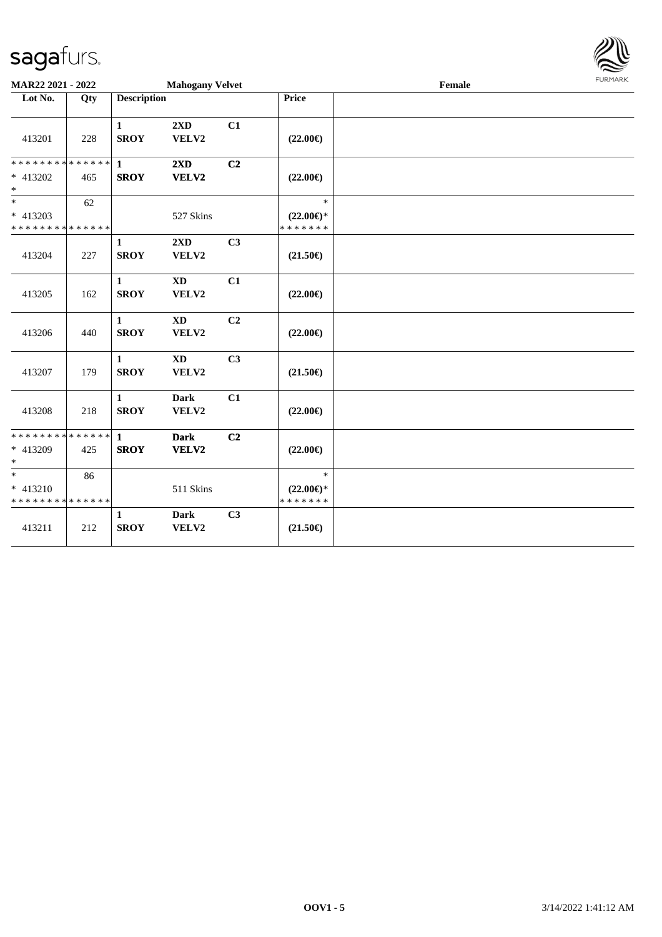

| MAR22 2021 - 2022                                     |     |                             | <b>Mahogany Velvet</b>          |                |                                                | Female | <b>FURMARK</b> |
|-------------------------------------------------------|-----|-----------------------------|---------------------------------|----------------|------------------------------------------------|--------|----------------|
| Lot No.                                               | Qty | <b>Description</b>          |                                 |                | Price                                          |        |                |
| 413201                                                | 228 | 1<br><b>SROY</b>            | 2XD<br>VELV2                    | C1             | $(22.00\epsilon)$                              |        |                |
| * * * * * * * * * * * * * *<br>* 413202<br>$\ast$     | 465 | $\mathbf{1}$<br><b>SROY</b> | 2XD<br>VELV2                    | C <sub>2</sub> | $(22.00\epsilon)$                              |        |                |
| $_{*}^{-}$<br>* 413203<br>* * * * * * * * * * * * * * | 62  |                             | 527 Skins                       |                | $\ast$<br>$(22.00\epsilon)$ *<br>* * * * * * * |        |                |
| 413204                                                | 227 | 1<br><b>SROY</b>            | 2XD<br>VELV2                    | C <sub>3</sub> | $(21.50\epsilon)$                              |        |                |
| 413205                                                | 162 | $\mathbf{1}$<br><b>SROY</b> | $\mathbf{X}\mathbf{D}$<br>VELV2 | C1             | $(22.00\epsilon)$                              |        |                |
| 413206                                                | 440 | $\mathbf{1}$<br><b>SROY</b> | $\mathbf{X}\mathbf{D}$<br>VELV2 | C <sub>2</sub> | $(22.00\epsilon)$                              |        |                |
| 413207                                                | 179 | $\mathbf{1}$<br><b>SROY</b> | $\mathbf{X}\mathbf{D}$<br>VELV2 | C <sub>3</sub> | $(21.50\epsilon)$                              |        |                |
| 413208                                                | 218 | $\mathbf{1}$<br><b>SROY</b> | <b>Dark</b><br>VELV2            | C1             | $(22.00\epsilon)$                              |        |                |
| * * * * * * * * * * * * * *<br>* 413209<br>$\ast$     | 425 | $\mathbf{1}$<br><b>SROY</b> | <b>Dark</b><br>VELV2            | C <sub>2</sub> | $(22.00\epsilon)$                              |        |                |
| $\ast$<br>* 413210<br>* * * * * * * * * * * * * *     | 86  |                             | 511 Skins                       |                | $\ast$<br>$(22.00\epsilon)$ *<br>* * * * * * * |        |                |
| 413211                                                | 212 | $\mathbf{1}$<br><b>SROY</b> | <b>Dark</b><br>VELV2            | C3             | $(21.50\epsilon)$                              |        |                |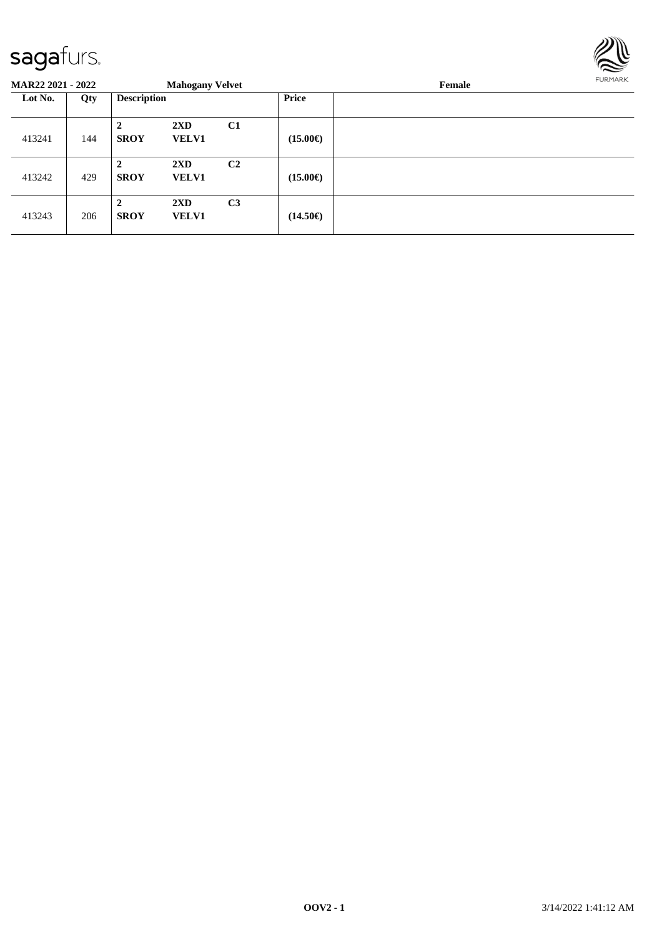

| <b>MAR22 2021 - 2022</b> |     |                               | <b>Mahogany Velvet</b>                  |                |                   | Female | <b>FURMARK</b> |
|--------------------------|-----|-------------------------------|-----------------------------------------|----------------|-------------------|--------|----------------|
| Lot No.                  | Qty | <b>Description</b>            |                                         |                | Price             |        |                |
| 413241                   | 144 | $\mathbf{2}$<br><b>SROY</b>   | $2\mathbf{X}\mathbf{D}$<br><b>VELV1</b> | C1             | $(15.00\epsilon)$ |        |                |
| 413242                   | 429 | $\overline{2}$<br><b>SROY</b> | $2\mathbf{X}\mathbf{D}$<br><b>VELV1</b> | C <sub>2</sub> | $(15.00\epsilon)$ |        |                |
| 413243                   | 206 | $\overline{2}$<br><b>SROY</b> | $2\mathbf{X}\mathbf{D}$<br><b>VELV1</b> | C <sub>3</sub> | $(14.50\epsilon)$ |        |                |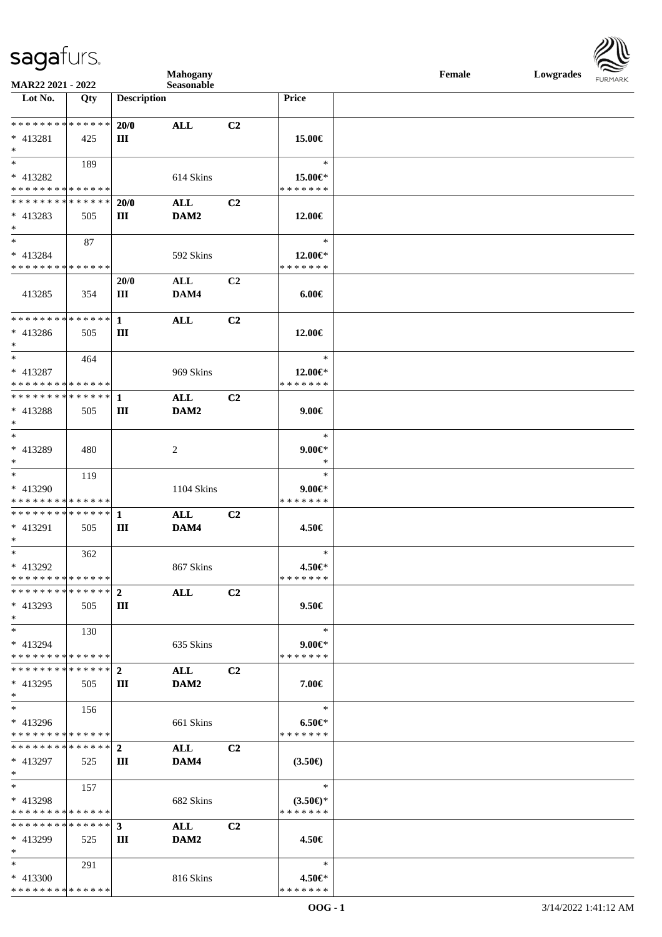| <b>saga</b> furs. |  |
|-------------------|--|
|                   |  |



| Mahogany                                  |             |                    |                    |                | Female                      | Lowgrades |  |  |
|-------------------------------------------|-------------|--------------------|--------------------|----------------|-----------------------------|-----------|--|--|
| MAR22 2021 - 2022<br>Lot No.              | Qty         | <b>Description</b> | Seasonable         |                | Price                       |           |  |  |
|                                           |             |                    |                    |                |                             |           |  |  |
| * * * * * * * * * * * * * *               |             | 20/0               | <b>ALL</b>         | C2             |                             |           |  |  |
| $* 413281$                                | 425         | Ш                  |                    |                | 15.00€                      |           |  |  |
| $\ast$                                    |             |                    |                    |                |                             |           |  |  |
| $\overline{\phantom{a}^*}$                | 189         |                    |                    |                | $\ast$                      |           |  |  |
| * 413282                                  |             |                    | 614 Skins          |                | 15.00€*                     |           |  |  |
| * * * * * * * * * * * * * *               |             |                    |                    |                | * * * * * * *               |           |  |  |
| * * * * * * * * * * * * * *               |             | 20/0               | <b>ALL</b>         | C2             |                             |           |  |  |
| $* 413283$                                | 505         | Ш                  | DAM2               |                | 12.00€                      |           |  |  |
| ∗                                         |             |                    |                    |                |                             |           |  |  |
| $\ast$                                    | 87          |                    |                    |                | $\ast$                      |           |  |  |
| $* 413284$                                |             |                    | 592 Skins          |                | 12.00€*                     |           |  |  |
| * * * * * * * * * * * * * *               |             |                    |                    |                | * * * * * * *               |           |  |  |
|                                           |             | 20/0               | ALL                | C2             |                             |           |  |  |
| 413285                                    | 354         | Ш                  | DAM4               |                | $6.00 \in$                  |           |  |  |
| * * * * * * * * * * * * * * *             |             |                    |                    |                |                             |           |  |  |
| * 413286                                  |             | $\mathbf{1}$       | <b>ALL</b>         | C2             |                             |           |  |  |
| $\ast$                                    | 505         | $\rm III$          |                    |                | 12.00€                      |           |  |  |
| $\ast$                                    | 464         |                    |                    |                | $\ast$                      |           |  |  |
| $* 413287$                                |             |                    | 969 Skins          |                | 12.00€*                     |           |  |  |
| * * * * * * * * * * * * * *               |             |                    |                    |                | * * * * * * *               |           |  |  |
| **************                            |             | $\mathbf{1}$       | $\bf ALL$          | C2             |                             |           |  |  |
| * 413288                                  | 505         | Ш                  | DAM2               |                | $9.00 \in$                  |           |  |  |
| ∗                                         |             |                    |                    |                |                             |           |  |  |
| $\ast$                                    |             |                    |                    |                | $\ast$                      |           |  |  |
| * 413289                                  | 480         |                    | $\overline{c}$     |                | $9.00 \in$ *                |           |  |  |
| ∗                                         |             |                    |                    |                | $\ast$                      |           |  |  |
| $\ast$                                    | 119         |                    |                    |                | $\ast$                      |           |  |  |
| * 413290                                  |             |                    | 1104 Skins         |                | $9.00 \in$ *                |           |  |  |
| ******** <mark>******</mark>              |             |                    |                    |                | * * * * * * *               |           |  |  |
| **************                            |             | $\mathbf{1}$       | <b>ALL</b>         | C2             |                             |           |  |  |
| * 413291                                  | 505         | $\rm III$          | DAM4               |                | 4.50€                       |           |  |  |
| $\ast$                                    |             |                    |                    |                |                             |           |  |  |
| $\ast$                                    | 362         |                    |                    |                | $\ast$                      |           |  |  |
| * 413292                                  |             |                    | 867 Skins          |                | 4.50€*                      |           |  |  |
| * * * * * * * * * * * * * * *             |             |                    |                    |                | * * * * * * *               |           |  |  |
| * * * * * * * *                           | * * * * * * | $\mathbf{2}$       | <b>ALL</b>         | C <sub>2</sub> |                             |           |  |  |
| $* 413293$                                | 505         | Ш                  |                    |                | $9.50 \in$                  |           |  |  |
| $\ast$                                    |             |                    |                    |                |                             |           |  |  |
| $\ast$                                    | 130         |                    |                    |                | $\ast$                      |           |  |  |
| $* 413294$                                |             |                    | 635 Skins          |                | $9.00 \in$                  |           |  |  |
| * * * * * * * * * * * * * *               |             |                    |                    |                | * * * * * * *               |           |  |  |
| **************                            |             | $\mathbf{2}$       | <b>ALL</b>         | C2             |                             |           |  |  |
| * 413295                                  | 505         | Ш                  | DAM2               |                | 7.00€                       |           |  |  |
| ∗<br>$\ast$                               |             |                    |                    |                | $\ast$                      |           |  |  |
|                                           | 156         |                    |                    |                |                             |           |  |  |
| $* 413296$<br>* * * * * * * * * * * * * * |             |                    | 661 Skins          |                | $6.50 \in$<br>* * * * * * * |           |  |  |
| * * * * * * * * * * * * * *               |             | $\mathbf{2}$       |                    |                |                             |           |  |  |
| $* 413297$                                |             |                    | <b>ALL</b><br>DAM4 | C2             |                             |           |  |  |
| $\ast$                                    | 525         | Ш                  |                    |                | $(3.50\epsilon)$            |           |  |  |
| $\ast$                                    | 157         |                    |                    |                | $\ast$                      |           |  |  |
| $* 413298$                                |             |                    | 682 Skins          |                | $(3.50\epsilon)$ *          |           |  |  |
| * * * * * * * * * * * * * *               |             |                    |                    |                | * * * * * * *               |           |  |  |
| * * * * * * * * * * * * * * *             |             | 3                  | <b>ALL</b>         | C <sub>2</sub> |                             |           |  |  |
| * 413299                                  | 525         | Ш                  | DAM2               |                | 4.50€                       |           |  |  |
| $\ast$                                    |             |                    |                    |                |                             |           |  |  |
| $*$                                       | 291         |                    |                    |                | $\ast$                      |           |  |  |
| $* 413300$                                |             |                    | 816 Skins          |                | 4.50€*                      |           |  |  |
| * * * * * * * * * * * * * *               |             |                    |                    |                | * * * * * * *               |           |  |  |